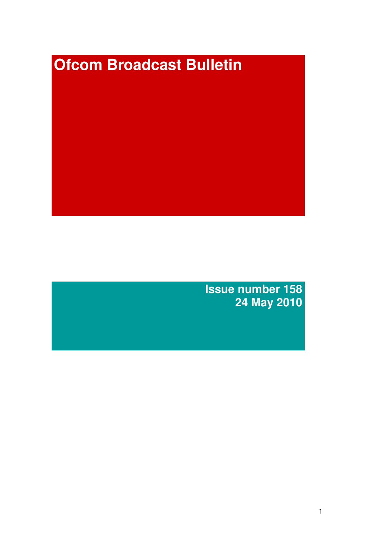# **Ofcom Broadcast Bulletin**

**Issue number 158 24 May 2010**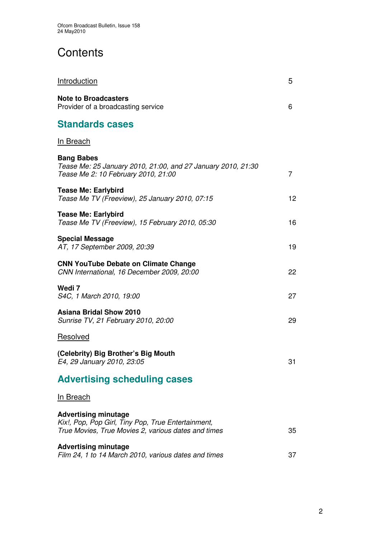# **Contents**

| <b>Introduction</b>                                                                                                                      | 5  |
|------------------------------------------------------------------------------------------------------------------------------------------|----|
| <b>Note to Broadcasters</b><br>Provider of a broadcasting service                                                                        | 6  |
| <b>Standards cases</b>                                                                                                                   |    |
| <b>In Breach</b>                                                                                                                         |    |
| <b>Bang Babes</b><br>Tease Me: 25 January 2010, 21:00, and 27 January 2010, 21:30<br>Tease Me 2: 10 February 2010, 21:00                 | 7  |
| <b>Tease Me: Earlybird</b><br>Tease Me TV (Freeview), 25 January 2010, 07:15                                                             | 12 |
| <b>Tease Me: Earlybird</b><br>Tease Me TV (Freeview), 15 February 2010, 05:30                                                            | 16 |
| <b>Special Message</b><br>AT, 17 September 2009, 20:39                                                                                   | 19 |
| <b>CNN YouTube Debate on Climate Change</b><br>CNN International, 16 December 2009, 20:00                                                | 22 |
| Wedi 7<br>S4C, 1 March 2010, 19:00                                                                                                       | 27 |
| <b>Asiana Bridal Show 2010</b><br>Sunrise TV, 21 February 2010, 20:00                                                                    | 29 |
| Resolved                                                                                                                                 |    |
| (Celebrity) Big Brother's Big Mouth<br>E4, 29 January 2010, 23:05                                                                        | 31 |
| <b>Advertising scheduling cases</b>                                                                                                      |    |
| <b>In Breach</b>                                                                                                                         |    |
| <b>Advertising minutage</b><br>Kix!, Pop, Pop Girl, Tiny Pop, True Entertainment,<br>True Movies, True Movies 2, various dates and times | 35 |
| <b>Advertising minutage</b><br>Film 24, 1 to 14 March 2010, various dates and times                                                      | 37 |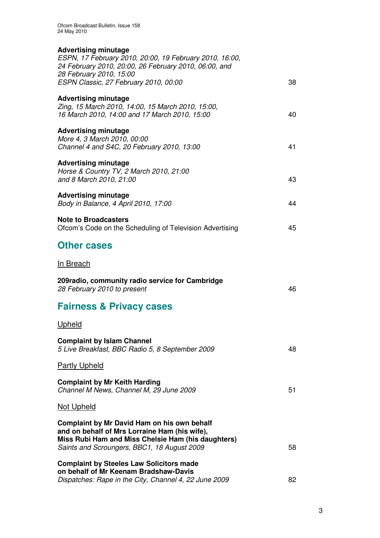| <b>Advertising minutage</b><br>ESPN, 17 February 2010, 20:00, 19 February 2010, 16:00,<br>24 February 2010, 20:00, 26 February 2010, 06:00, and<br>28 February 2010, 15:00                        |    |
|---------------------------------------------------------------------------------------------------------------------------------------------------------------------------------------------------|----|
| ESPN Classic, 27 February 2010, 00:00                                                                                                                                                             | 38 |
| <b>Advertising minutage</b><br>Zing, 15 March 2010, 14:00, 15 March 2010, 15:00,<br>16 March 2010, 14:00 and 17 March 2010, 15:00                                                                 | 40 |
| <b>Advertising minutage</b><br>More 4, 3 March 2010, 00:00<br>Channel 4 and S4C, 20 February 2010, 13:00                                                                                          | 41 |
| <b>Advertising minutage</b><br>Horse & Country TV, 2 March 2010, 21:00<br>and 8 March 2010, 21:00                                                                                                 | 43 |
| <b>Advertising minutage</b><br>Body in Balance, 4 April 2010, 17:00                                                                                                                               | 44 |
| <b>Note to Broadcasters</b><br>Ofcom's Code on the Scheduling of Television Advertising                                                                                                           | 45 |
| <b>Other cases</b>                                                                                                                                                                                |    |
| <u>In Breach</u>                                                                                                                                                                                  |    |
| 209radio, community radio service for Cambridge<br>28 February 2010 to present                                                                                                                    | 46 |
| <b>Fairness &amp; Privacy cases</b>                                                                                                                                                               |    |
| <u>Upheld</u>                                                                                                                                                                                     |    |
| <b>Complaint by Islam Channel</b><br>5 Live Breakfast, BBC Radio 5, 8 September 2009                                                                                                              | 48 |
| <b>Partly Upheld</b>                                                                                                                                                                              |    |
| <b>Complaint by Mr Keith Harding</b><br>Channel M News, Channel M, 29 June 2009                                                                                                                   | 51 |
| <b>Not Upheld</b>                                                                                                                                                                                 |    |
| Complaint by Mr David Ham on his own behalf<br>and on behalf of Mrs Lorraine Ham (his wife),<br>Miss Rubi Ham and Miss Chelsie Ham (his daughters)<br>Saints and Scroungers, BBC1, 18 August 2009 | 58 |
| <b>Complaint by Steeles Law Solicitors made</b><br>on behalf of Mr Keenam Bradshaw-Davis<br>Dispatches: Rape in the City, Channel 4, 22 June 2009                                                 | 82 |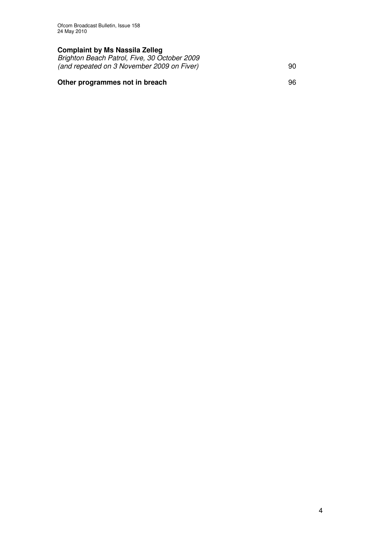## **Complaint by Ms Nassila Zelleg**

*Brighton Beach Patrol, Five, 30 October 2009 (and repeated on 3 November 2009 on Fiver)* 90

## **Other programmes not in breach** 96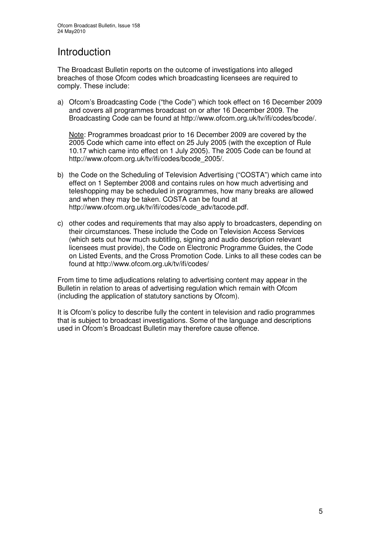# Introduction

The Broadcast Bulletin reports on the outcome of investigations into alleged breaches of those Ofcom codes which broadcasting licensees are required to comply. These include:

a) Ofcom's Broadcasting Code ("the Code") which took effect on 16 December 2009 and covers all programmes broadcast on or after 16 December 2009. The Broadcasting Code can be found at http://www.ofcom.org.uk/tv/ifi/codes/bcode/.

Note: Programmes broadcast prior to 16 December 2009 are covered by the 2005 Code which came into effect on 25 July 2005 (with the exception of Rule 10.17 which came into effect on 1 July 2005). The 2005 Code can be found at http://www.ofcom.org.uk/tv/ifi/codes/bcode\_2005/.

- b) the Code on the Scheduling of Television Advertising ("COSTA") which came into effect on 1 September 2008 and contains rules on how much advertising and teleshopping may be scheduled in programmes, how many breaks are allowed and when they may be taken. COSTA can be found at http://www.ofcom.org.uk/tv/ifi/codes/code\_adv/tacode.pdf.
- c) other codes and requirements that may also apply to broadcasters, depending on their circumstances. These include the Code on Television Access Services (which sets out how much subtitling, signing and audio description relevant licensees must provide), the Code on Electronic Programme Guides, the Code on Listed Events, and the Cross Promotion Code. Links to all these codes can be found at http://www.ofcom.org.uk/tv/ifi/codes/

From time to time adjudications relating to advertising content may appear in the Bulletin in relation to areas of advertising regulation which remain with Ofcom (including the application of statutory sanctions by Ofcom).

It is Ofcom's policy to describe fully the content in television and radio programmes that is subject to broadcast investigations. Some of the language and descriptions used in Ofcom's Broadcast Bulletin may therefore cause offence.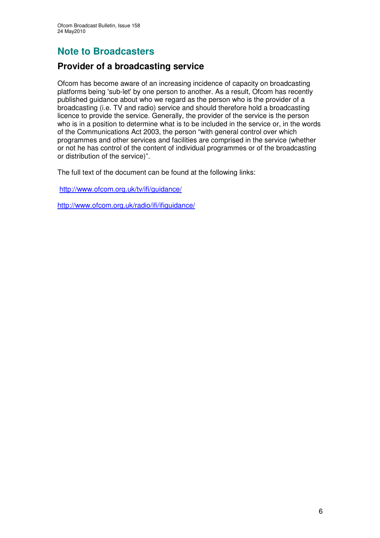# **Note to Broadcasters**

# **Provider of a broadcasting service**

Ofcom has become aware of an increasing incidence of capacity on broadcasting platforms being 'sub-let'by one person to another. As a result, Ofcom has recently published guidance about who we regard as the person who is the provider of a broadcasting (i.e. TV and radio) service and should therefore hold a broadcasting licence to provide the service. Generally, the provider of the service is the person who is in a position to determine what is to be included in the service or, in the words of the Communications Act 2003, the person "with general control over which programmes and other services and facilities are comprised in the service (whether or not he has control of the content of individual programmes or of the broadcasting or distribution of the service)".

The full text of the document can be found at the following links:

http://www.ofcom.org.uk/tv/ifi/guidance/

http://www.ofcom.org.uk/radio/ifi/ifiguidance/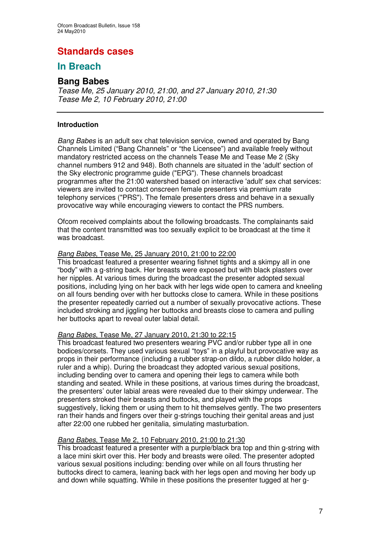# **Standards cases**

# **In Breach**

# **Bang Babes**

*Tease Me, 25 January 2010, 21:00, and 27 January 2010, 21:30 Tease Me 2, 10 February 2010, 21:00*

## **Introduction**

*Bang Babes* is an adult sex chat television service, owned and operated by Bang Channels Limited ("Bang Channels" or "the Licensee") and available freely without mandatory restricted access on the channels Tease Me and Tease Me 2 (Sky channel numbers 912 and 948). Both channels are situated in the 'adult'section of the Sky electronic programme guide ("EPG"). These channels broadcast programmes after the 21:00 watershed based on interactive 'adult'sex chat services: viewers are invited to contact onscreen female presenters via premium rate telephony services ("PRS"). The female presenters dress and behave in a sexually provocative way while encouraging viewers to contact the PRS numbers.

Ofcom received complaints about the following broadcasts. The complainants said that the content transmitted was too sexually explicit to be broadcast at the time it was broadcast.

#### *Bang Babes*, Tease Me, 25 January 2010, 21:00 to 22:00

This broadcast featured a presenter wearing fishnet tights and a skimpy all in one "body" with a g-string back. Her breasts were exposed but with black plasters over her nipples. At various times during the broadcast the presenter adopted sexual positions, including lying on her back with her legs wide open to camera and kneeling on all fours bending over with her buttocks close to camera. While in these positions the presenter repeatedly carried out a number of sexually provocative actions. These included stroking and jiggling her buttocks and breasts close to camera and pulling her buttocks apart to reveal outer labial detail.

#### *Bang Babes*, Tease Me, 27 January 2010, 21:30 to 22:15

This broadcast featured two presenters wearing PVC and/or rubber type all in one bodices/corsets. They used various sexual "toys" in a playful but provocative way as props in their performance (including a rubber strap-on dildo, a rubber dildo holder, a ruler and a whip). During the broadcast they adopted various sexual positions, including bending over to camera and opening their legs to camera while both standing and seated. While in these positions, at various times during the broadcast, the presenters' outer labial areas were revealed due to their skimpy underwear. The presenters stroked their breasts and buttocks, and played with the props suggestively, licking them or using them to hit themselves gently. The two presenters ran their hands and fingers over their g-strings touching their genital areas and just after 22:00 one rubbed her genitalia, simulating masturbation.

## *Bang Babes*, Tease Me 2, 10 February 2010, 21:00 to 21:30

This broadcast featured a presenter with a purple/black bra top and thin g-string with a lace mini skirt over this. Her body and breasts were oiled. The presenter adopted various sexual positions including: bending over while on all fours thrusting her buttocks direct to camera, leaning back with her legs open and moving her body up and down while squatting. While in these positions the presenter tugged at her g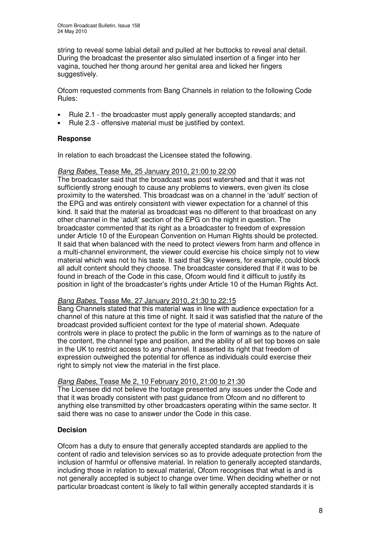string to reveal some labial detail and pulled at her buttocks to reveal anal detail. During the broadcast the presenter also simulated insertion of a finger into her vagina, touched her thong around her genital area and licked her fingers suggestively.

Ofcom requested comments from Bang Channels in relation to the following Code Rules:

- Rule 2.1 the broadcaster must apply generally accepted standards; and
- Rule 2.3 offensive material must be justified by context.

## **Response**

In relation to each broadcast the Licensee stated the following.

#### *Bang Babes*, Tease Me, 25 January 2010, 21:00 to 22:00

The broadcaster said that the broadcast was post watershed and that it was not sufficiently strong enough to cause any problems to viewers, even given its close proximity to the watershed. This broadcast was on a channel in the 'adult' section of the EPG and was entirely consistent with viewer expectation for a channel of this kind. It said that the material as broadcast was no different to that broadcast on any other channel in the 'adult' section of the EPG on the night in question. The broadcaster commented that its right as a broadcaster to freedom of expression under Article 10 of the European Convention on Human Rights should be protected. It said that when balanced with the need to protect viewers from harm and offence in a multi-channel environment, the viewer could exercise his choice simply not to view material which was not to his taste. It said that Sky viewers, for example, could block all adult content should they choose. The broadcaster considered that if it was to be found in breach of the Code in this case, Ofcom would find it difficult to justify its position in light of the broadcaster's rights under Article 10 of the Human Rights Act.

#### *Bang Babes*, Tease Me, 27 January 2010, 21:30 to 22:15

Bang Channels stated that this material was in line with audience expectation for a channel of this nature at this time of night. It said it was satisfied that the nature of the broadcast provided sufficient context for the type of material shown. Adequate controls were in place to protect the public in the form of warnings as to the nature of the content, the channel type and position, and the ability of all set top boxes on sale in the UK to restrict access to any channel. It asserted its right that freedom of expression outweighed the potential for offence as individuals could exercise their right to simply not view the material in the first place.

#### *Bang Babes*, Tease Me 2, 10 February 2010, 21:00 to 21:30

The Licensee did not believe the footage presented any issues under the Code and that it was broadly consistent with past guidance from Ofcom and no different to anything else transmitted by other broadcasters operating within the same sector. It said there was no case to answer under the Code in this case.

## **Decision**

Ofcom has a duty to ensure that generally accepted standards are applied to the content of radio and television services so as to provide adequate protection from the inclusion of harmful or offensive material. In relation to generally accepted standards, including those in relation to sexual material, Ofcom recognises that what is and is not generally accepted is subject to change over time. When deciding whether or not particular broadcast content is likely to fall within generally accepted standards it is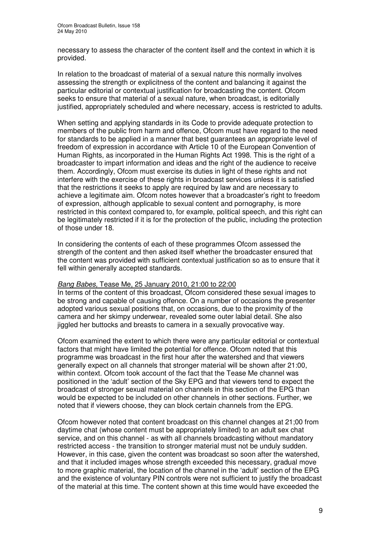necessary to assess the character of the content itself and the context in which it is provided.

In relation to the broadcast of material of a sexual nature this normally involves assessing the strength or explicitness of the content and balancing it against the particular editorial or contextual justification for broadcasting the content. Ofcom seeks to ensure that material of a sexual nature, when broadcast, is editorially justified, appropriately scheduled and where necessary, access is restricted to adults.

When setting and applying standards in its Code to provide adequate protection to members of the public from harm and offence, Ofcom must have regard to the need for standards to be applied in a manner that best guarantees an appropriate level of freedom of expression in accordance with Article 10 of the European Convention of Human Rights, as incorporated in the Human Rights Act 1998. This is the right of a broadcaster to impart information and ideas and the right of the audience to receive them. Accordingly, Ofcom must exercise its duties in light of these rights and not interfere with the exercise of these rights in broadcast services unless it is satisfied that the restrictions it seeks to apply are required by law and are necessary to achieve a legitimate aim. Ofcom notes however that a broadcaster's right to freedom of expression, although applicable to sexual content and pornography, is more restricted in this context compared to, for example, political speech, and this right can be legitimately restricted if it is for the protection of the public, including the protection of those under 18.

In considering the contents of each of these programmes Ofcom assessed the strength of the content and then asked itself whether the broadcaster ensured that the content was provided with sufficient contextual justification so as to ensure that it fell within generally accepted standards.

#### *Bang Babes,* Tease Me, 25 January 2010, 21:00 to 22:00

In terms of the content of this broadcast, Ofcom considered these sexual images to be strong and capable of causing offence. On a number of occasions the presenter adopted various sexual positions that, on occasions, due to the proximity of the camera and her skimpy underwear, revealed some outer labial detail. She also jiggled her buttocks and breasts to camera in a sexually provocative way.

Ofcom examined the extent to which there were any particular editorial or contextual factors that might have limited the potential for offence. Ofcom noted that this programme was broadcast in the first hour after the watershed and that viewers generally expect on all channels that stronger material will be shown after 21:00, within context. Ofcom took account of the fact that the Tease Me channel was positioned in the 'adult' section of the Sky EPG and that viewers tend to expect the broadcast of stronger sexual material on channels in this section of the EPG than would be expected to be included on other channels in other sections. Further, we noted that if viewers choose, they can block certain channels from the EPG.

Ofcom however noted that content broadcast on this channel changes at 21;00 from daytime chat (whose content must be appropriately limited) to an adult sex chat service, and on this channel - as with all channels broadcasting without mandatory restricted access - the transition to stronger material must not be unduly sudden. However, in this case, given the content was broadcast so soon after the watershed, and that it included images whose strength exceeded this necessary, gradual move to more graphic material, the location of the channel in the 'adult' section of the EPG and the existence of voluntary PIN controls were not sufficient to justify the broadcast of the material at this time. The content shown at this time would have exceeded the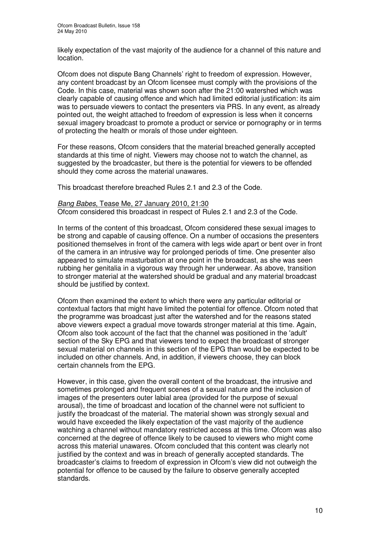likely expectation of the vast majority of the audience for a channel of this nature and location.

Ofcom does not dispute Bang Channels' right to freedom of expression. However, any content broadcast by an Ofcom licensee must comply with the provisions of the Code. In this case, material was shown soon after the 21:00 watershed which was clearly capable of causing offence and which had limited editorial justification: its aim was to persuade viewers to contact the presenters via PRS. In any event, as already pointed out, the weight attached to freedom of expression is less when it concerns sexual imagery broadcast to promote a product or service or pornography or in terms of protecting the health or morals of those under eighteen.

For these reasons, Ofcom considers that the material breached generally accepted standards at this time of night. Viewers may choose not to watch the channel, as suggested by the broadcaster, but there is the potential for viewers to be offended should they come across the material unawares.

This broadcast therefore breached Rules 2.1 and 2.3 of the Code.

#### *Bang Babes*, Tease Me, 27 January 2010, 21:30

Ofcom considered this broadcast in respect of Rules 2.1 and 2.3 of the Code.

In terms of the content of this broadcast, Ofcom considered these sexual images to be strong and capable of causing offence. On a number of occasions the presenters positioned themselves in front of the camera with legs wide apart or bent over in front of the camera in an intrusive way for prolonged periods of time. One presenter also appeared to simulate masturbation at one point in the broadcast, as she was seen rubbing her genitalia in a vigorous way through her underwear. As above, transition to stronger material at the watershed should be gradual and any material broadcast should be justified by context.

Ofcom then examined the extent to which there were any particular editorial or contextual factors that might have limited the potential for offence. Ofcom noted that the programme was broadcast just after the watershed and for the reasons stated above viewers expect a gradual move towards stronger material at this time. Again, Ofcom also took account of the fact that the channel was positioned in the 'adult' section of the Sky EPG and that viewers tend to expect the broadcast of stronger sexual material on channels in this section of the EPG than would be expected to be included on other channels. And, in addition, if viewers choose, they can block certain channels from the EPG.

However, in this case, given the overall content of the broadcast, the intrusive and sometimes prolonged and frequent scenes of a sexual nature and the inclusion of images of the presenters outer labial area (provided for the purpose of sexual arousal), the time of broadcast and location of the channel were not sufficient to justify the broadcast of the material. The material shown was strongly sexual and would have exceeded the likely expectation of the vast majority of the audience watching a channel without mandatory restricted access at this time. Ofcom was also concerned at the degree of offence likely to be caused to viewers who might come across this material unawares. Ofcom concluded that this content was clearly not justified by the context and was in breach of generally accepted standards. The broadcaster's claims to freedom of expression in Ofcom's view did not outweigh the potential for offence to be caused by the failure to observe generally accepted standards.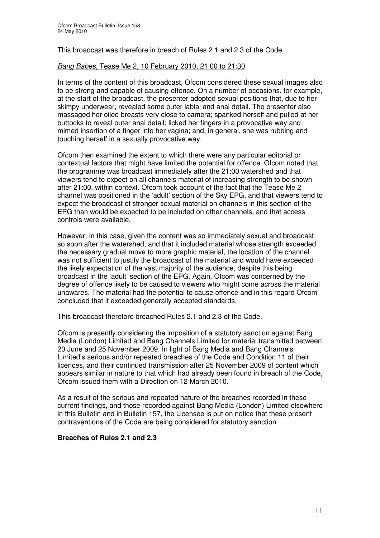This broadcast was therefore in breach of Rules 2.1 and 2.3 of the Code.

#### *Bang Babes*, Tease Me 2, 10 February 2010, 21:00 to 21:30

In terms of the content of this broadcast, Ofcom considered these sexual images also to be strong and capable of causing offence. On a number of occasions, for example, at the start of the broadcast, the presenter adopted sexual positions that, due to her skimpy underwear, revealed some outer labial and anal detail. The presenter also massaged her oiled breasts very close to camera; spanked herself and pulled at her buttocks to reveal outer anal detail; licked her fingers in a provocative way and mimed insertion of a finger into her vagina; and, in general, she was rubbing and touching herself in a sexually provocative way.

Ofcom then examined the extent to which there were any particular editorial or contextual factors that might have limited the potential for offence. Ofcom noted that the programme was broadcast immediately after the 21:00 watershed and that viewers tend to expect on all channels material of increasing strength to be shown after 21:00, within context. Ofcom took account of the fact that the Tease Me 2 channel was positioned in the 'adult' section of the Sky EPG, and that viewers tend to expect the broadcast of stronger sexual material on channels in this section of the EPG than would be expected to be included on other channels, and that access controls were available.

However, in this case, given the content was so immediately sexual and broadcast so soon after the watershed, and that it included material whose strength exceeded the necessary gradual move to more graphic material, the location of the channel was not sufficient to justify the broadcast of the material and would have exceeded the likely expectation of the vast majority of the audience, despite this being broadcast in the 'adult' section of the EPG. Again, Ofcom was concerned by the degree of offence likely to be caused to viewers who might come across the material unawares. The material had the potential to cause offence and in this regard Ofcom concluded that it exceeded generally accepted standards.

This broadcast therefore breached Rules 2.1 and 2.3 of the Code.

Ofcom is presently considering the imposition of a statutory sanction against Bang Media (London) Limited and Bang Channels Limited for material transmitted between 20 June and 25 November 2009. In light of Bang Media and Bang Channels Limited's serious and/or repeated breaches of the Code and Condition 11 of their licences, and their continued transmission after 25 November 2009 of content which appears similar in nature to that which had already been found in breach of the Code, Ofcom issued them with a Direction on 12 March 2010.

As a result of the serious and repeated nature of the breaches recorded in these current findings, and those recorded against Bang Media (London) Limited elsewhere in this Bulletin and in Bulletin 157, the Licensee is put on notice that these present contraventions of the Code are being considered for statutory sanction.

#### **Breaches of Rules 2.1 and 2.3**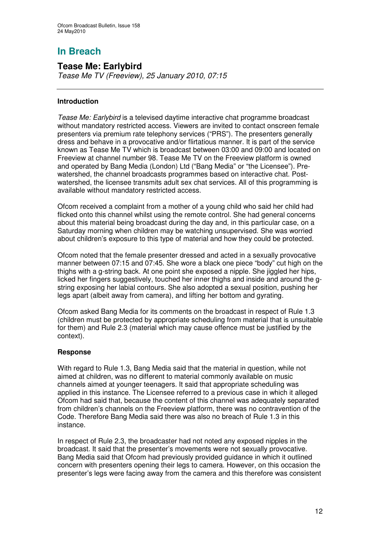# **In Breach**

## **Tease Me: Earlybird**

*Tease Me TV (Freeview), 25 January 2010, 07:15*

## **Introduction**

*Tease Me: Earlybird* is a televised daytime interactive chat programme broadcast without mandatory restricted access. Viewers are invited to contact onscreen female presenters via premium rate telephony services ("PRS"). The presenters generally dress and behave in a provocative and/or flirtatious manner. It is part of the service known as Tease Me TV which is broadcast between 03:00 and 09:00 and located on Freeview at channel number 98. Tease Me TV on the Freeview platform is owned and operated by Bang Media (London) Ltd ("Bang Media" or "the Licensee"). Prewatershed, the channel broadcasts programmes based on interactive chat. Postwatershed, the licensee transmits adult sex chat services. All of this programming is available without mandatory restricted access.

Ofcom received a complaint from a mother of a young child who said her child had flicked onto this channel whilst using the remote control. She had general concerns about this material being broadcast during the day and, in this particular case, on a Saturday morning when children may be watching unsupervised. She was worried about children's exposure to this type of material and how they could be protected.

Ofcom noted that the female presenter dressed and acted in a sexually provocative manner between 07:15 and 07:45. She wore a black one piece "body" cut high on the thighs with a g-string back. At one point she exposed a nipple. She jiggled her hips, licked her fingers suggestively, touched her inner thighs and inside and around the gstring exposing her labial contours. She also adopted a sexual position, pushing her legs apart (albeit away from camera), and lifting her bottom and gyrating.

Ofcom asked Bang Media for its comments on the broadcast in respect of Rule 1.3 (children must be protected by appropriate scheduling from material that is unsuitable for them) and Rule 2.3 (material which may cause offence must be justified by the context).

#### **Response**

With regard to Rule 1.3, Bang Media said that the material in question, while not aimed at children, was no different to material commonly available on music channels aimed at younger teenagers. It said that appropriate scheduling was applied in this instance. The Licensee referred to a previous case in which it alleged Ofcom had said that, because the content of this channel was adequately separated from children's channels on the Freeview platform, there was no contravention of the Code. Therefore Bang Media said there was also no breach of Rule 1.3 in this instance.

In respect of Rule 2.3, the broadcaster had not noted any exposed nipples in the broadcast. It said that the presenter's movements were not sexually provocative. Bang Media said that Ofcom had previously provided guidance in which it outlined concern with presenters opening their legs to camera. However, on this occasion the presenter's legs were facing away from the camera and this therefore was consistent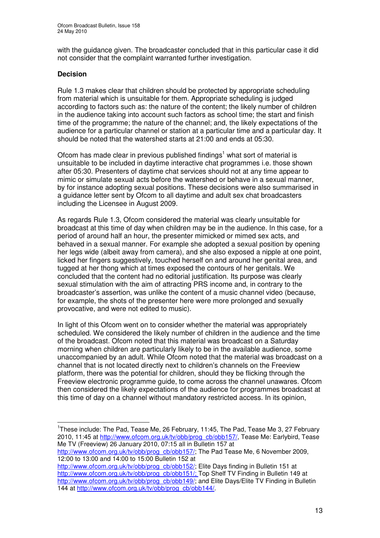with the guidance given. The broadcaster concluded that in this particular case it did not consider that the complaint warranted further investigation.

#### **Decision**

Rule 1.3 makes clear that children should be protected by appropriate scheduling from material which is unsuitable for them. Appropriate scheduling is judged according to factors such as: the nature of the content; the likely number of children in the audience taking into account such factors as school time; the start and finish time of the programme; the nature of the channel; and, the likely expectations of the audience for a particular channel or station at a particular time and a particular day. It should be noted that the watershed starts at 21:00 and ends at 05:30.

Ofcom has made clear in previous published findings<sup>1</sup> what sort of material is unsuitable to be included in daytime interactive chat programmes i.e. those shown after 05:30. Presenters of daytime chat services should not at any time appear to mimic or simulate sexual acts before the watershed or behave in a sexual manner, by for instance adopting sexual positions. These decisions were also summarised in a guidance letter sent by Ofcom to all daytime and adult sex chat broadcasters including the Licensee in August 2009.

As regards Rule 1.3, Ofcom considered the material was clearly unsuitable for broadcast at this time of day when children may be in the audience. In this case, for a period of around half an hour, the presenter mimicked or mimed sex acts, and behaved in a sexual manner. For example she adopted a sexual position by opening her legs wide (albeit away from camera), and she also exposed a nipple at one point, licked her fingers suggestively, touched herself on and around her genital area, and tugged at her thong which at times exposed the contours of her genitals. We concluded that the content had no editorial justification. Its purpose was clearly sexual stimulation with the aim of attracting PRS income and, in contrary to the broadcaster's assertion, was unlike the content of a music channel video (because, for example, the shots of the presenter here were more prolonged and sexually provocative, and were not edited to music).

In light of this Ofcom went on to consider whether the material was appropriately scheduled. We considered the likely number of children in the audience and the time of the broadcast. Ofcom noted that this material was broadcast on a Saturday morning when children are particularly likely to be in the available audience, some unaccompanied by an adult. While Ofcom noted that the material was broadcast on a channel that is not located directly next to children's channels on the Freeview platform, there was the potential for children, should they be flicking through the Freeview electronic programme guide, to come across the channel unawares. Ofcom then considered the likely expectations of the audience for programmes broadcast at this time of day on a channel without mandatory restricted access. In its opinion,

http://www.ofcom.org.uk/tv/obb/prog\_cb/obb157/; The Pad Tease Me, 6 November 2009, 12:00 to 13:00 and 14:00 to 15:00 Bulletin 152 at

http://www.ofcom.org.uk/tv/obb/prog\_cb/obb152/; Elite Days finding in Bulletin 151 at <u>http://www.ofcom.org.uk/tv/obb/prog\_cb/obb151/;</u> Top Shelf TV Finding in Bulletin 149 at http://www.ofcom.org.uk/tv/obb/prog\_cb/obb149/; and Elite Days/Elite TV Finding in Bulletin 144 at http://www.ofcom.org.uk/tv/obb/prog\_cb/obb144/.

<sup>&</sup>lt;sup>1</sup>These include: The Pad, Tease Me, 26 February, 11:45, The Pad, Tease Me 3, 27 February 2010, 11:45 at http://www.ofcom.org.uk/tv/obb/prog\_cb/obb157/, Tease Me: Earlybird, Tease Me TV (Freeview) 26 January 2010, 07:15 all in Bulletin 157 at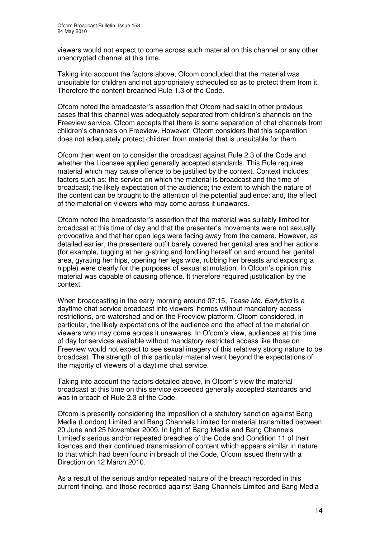viewers would not expect to come across such material on this channel or any other unencrypted channel at this time.

Taking into account the factors above, Ofcom concluded that the material was unsuitable for children and not appropriately scheduled so as to protect them from it. Therefore the content breached Rule 1.3 of the Code.

Ofcom noted the broadcaster's assertion that Ofcom had said in other previous cases that this channel was adequately separated from children's channels on the Freeview service. Ofcom accepts that there is some separation of chat channels from children's channels on Freeview. However, Ofcom considers that this separation does not adequately protect children from material that is unsuitable for them.

Ofcom then went on to consider the broadcast against Rule 2.3 of the Code and whether the Licensee applied generally accepted standards. This Rule requires material which may cause offence to be justified by the context. Context includes factors such as: the service on which the material is broadcast and the time of broadcast; the likely expectation of the audience; the extent to which the nature of the content can be brought to the attention of the potential audience; and, the effect of the material on viewers who may come across it unawares.

Ofcom noted the broadcaster's assertion that the material was suitably limited for broadcast at this time of day and that the presenter's movements were not sexually provocative and that her open legs were facing away from the camera. However, as detailed earlier, the presenters outfit barely covered her genital area and her actions (for example, tugging at her g-string and fondling herself on and around her genital area, gyrating her hips, opening her legs wide, rubbing her breasts and exposing a nipple) were clearly for the purposes of sexual stimulation. In Ofcom's opinion this material was capable of causing offence. It therefore required justification by the context.

When broadcasting in the early morning around 07:15, *Tease Me: Earlybird* is a daytime chat service broadcast into viewers' homes without mandatory access restrictions, pre-watershed and on the Freeview platform. Ofcom considered, in particular, the likely expectations of the audience and the effect of the material on viewers who may come across it unawares. In Ofcom's view, audiences at this time of day for services available without mandatory restricted access like those on Freeview would not expect to see sexual imagery of this relatively strong nature to be broadcast. The strength of this particular material went beyond the expectations of the majority of viewers of a daytime chat service.

Taking into account the factors detailed above, in Ofcom's view the material broadcast at this time on this service exceeded generally accepted standards and was in breach of Rule 2.3 of the Code.

Ofcom is presently considering the imposition of a statutory sanction against Bang Media (London) Limited and Bang Channels Limited for material transmitted between 20 June and 25 November 2009. In light of Bang Media and Bang Channels Limited's serious and/or repeated breaches of the Code and Condition 11 of their licences and their continued transmission of content which appears similar in nature to that which had been found in breach of the Code, Ofcom issued them with a Direction on 12 March 2010.

As a result of the serious and/or repeated nature of the breach recorded in this current finding, and those recorded against Bang Channels Limited and Bang Media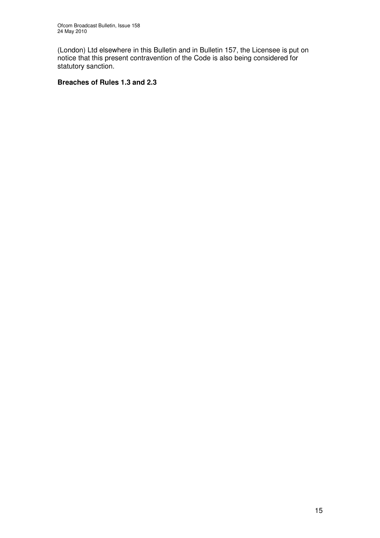(London) Ltd elsewhere in this Bulletin and in Bulletin 157, the Licensee is put on notice that this present contravention of the Code is also being considered for statutory sanction.

## **Breaches of Rules 1.3 and 2.3**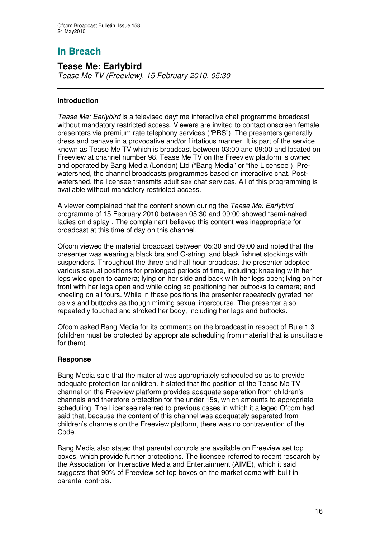# **In Breach**

# **Tease Me: Earlybird**

*Tease Me TV (Freeview), 15 February 2010, 05:30*

## **Introduction**

*Tease Me: Earlybird* is a televised daytime interactive chat programme broadcast without mandatory restricted access. Viewers are invited to contact onscreen female presenters via premium rate telephony services ("PRS"). The presenters generally dress and behave in a provocative and/or flirtatious manner. It is part of the service known as Tease Me TV which is broadcast between 03:00 and 09:00 and located on Freeview at channel number 98. Tease Me TV on the Freeview platform is owned and operated by Bang Media (London) Ltd ("Bang Media" or "the Licensee"). Prewatershed, the channel broadcasts programmes based on interactive chat. Postwatershed, the licensee transmits adult sex chat services. All of this programming is available without mandatory restricted access.

A viewer complained that the content shown during the *Tease Me: Earlybird* programme of 15 February 2010 between 05:30 and 09:00 showed "semi-naked ladies on display". The complainant believed this content was inappropriate for broadcast at this time of day on this channel.

Ofcom viewed the material broadcast between 05:30 and 09:00 and noted that the presenter was wearing a black bra and G-string, and black fishnet stockings with suspenders. Throughout the three and half hour broadcast the presenter adopted various sexual positions for prolonged periods of time, including: kneeling with her legs wide open to camera; lying on her side and back with her legs open; lying on her front with her legs open and while doing so positioning her buttocks to camera; and kneeling on all fours. While in these positions the presenter repeatedly gyrated her pelvis and buttocks as though miming sexual intercourse. The presenter also repeatedly touched and stroked her body, including her legs and buttocks.

Ofcom asked Bang Media for its comments on the broadcast in respect of Rule 1.3 (children must be protected by appropriate scheduling from material that is unsuitable for them).

#### **Response**

Bang Media said that the material was appropriately scheduled so as to provide adequate protection for children. It stated that the position of the Tease Me TV channel on the Freeview platform provides adequate separation from children's channels and therefore protection for the under 15s, which amounts to appropriate scheduling. The Licensee referred to previous cases in which it alleged Ofcom had said that, because the content of this channel was adequately separated from children's channels on the Freeview platform, there was no contravention of the Code.

Bang Media also stated that parental controls are available on Freeview set top boxes, which provide further protections. The licensee referred to recent research by the Association for Interactive Media and Entertainment (AIME), which it said suggests that 90% of Freeview set top boxes on the market come with built in parental controls.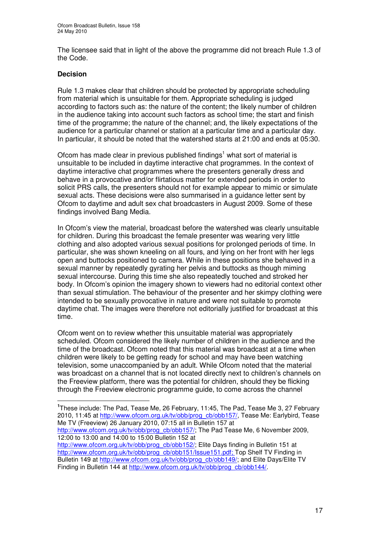The licensee said that in light of the above the programme did not breach Rule 1.3 of the Code.

#### **Decision**

Rule 1.3 makes clear that children should be protected by appropriate scheduling from material which is unsuitable for them. Appropriate scheduling is judged according to factors such as: the nature of the content; the likely number of children in the audience taking into account such factors as school time; the start and finish time of the programme; the nature of the channel; and, the likely expectations of the audience for a particular channel or station at a particular time and a particular day. In particular, it should be noted that the watershed starts at 21:00 and ends at 05:30.

Ofcom has made clear in previous published findings<sup>1</sup> what sort of material is unsuitable to be included in daytime interactive chat programmes. In the context of daytime interactive chat programmes where the presenters generally dress and behave in a provocative and/or flirtatious matter for extended periods in order to solicit PRS calls, the presenters should not for example appear to mimic or simulate sexual acts. These decisions were also summarised in a guidance letter sent by Ofcom to daytime and adult sex chat broadcasters in August 2009. Some of these findings involved Bang Media.

In Ofcom's view the material, broadcast before the watershed was clearly unsuitable for children. During this broadcast the female presenter was wearing very little clothing and also adopted various sexual positions for prolonged periods of time. In particular, she was shown kneeling on all fours, and lying on her front with her legs open and buttocks positioned to camera. While in these positions she behaved in a sexual manner by repeatedly gyrating her pelvis and buttocks as though miming sexual intercourse. During this time she also repeatedly touched and stroked her body. In Ofcom's opinion the imagery shown to viewers had no editorial context other than sexual stimulation. The behaviour of the presenter and her skimpy clothing were intended to be sexually provocative in nature and were not suitable to promote daytime chat. The images were therefore not editorially justified for broadcast at this time.

Ofcom went on to review whether this unsuitable material was appropriately scheduled. Ofcom considered the likely number of children in the audience and the time of the broadcast. Ofcom noted that this material was broadcast at a time when children were likely to be getting ready for school and may have been watching television, some unaccompanied by an adult. While Ofcom noted that the material was broadcast on a channel that is not located directly next to children's channels on the Freeview platform, there was the potential for children, should they be flicking through the Freeview electronic programme guide, to come across the channel

**<sup>1</sup>** These include: The Pad, Tease Me, 26 February, 11:45, The Pad, Tease Me 3, 27 February 2010, 11:45 at http://www.ofcom.org.uk/tv/obb/prog\_cb/obb157/, Tease Me: Earlybird, Tease Me TV (Freeview) 26 January 2010, 07:15 all in Bulletin 157 at

http://www.ofcom.org.uk/tv/obb/prog\_cb/obb157/; The Pad Tease Me, 6 November 2009, 12:00 to 13:00 and 14:00 to 15:00 Bulletin 152 at

http://www.ofcom.org.uk/tv/obb/prog\_cb/obb152/; Elite Days finding in Bulletin 151 at <u>http://www.ofcom.org.uk/tv/obb/prog\_cb/obb151/Issue151.pdf;</u> Top Shelf TV Finding in Bulletin 149 at http://www.ofcom.org.uk/tv/obb/prog\_cb/obb149/; and Elite Days/Elite TV Finding in Bulletin 144 at http://www.ofcom.org.uk/tv/obb/prog\_cb/obb144/.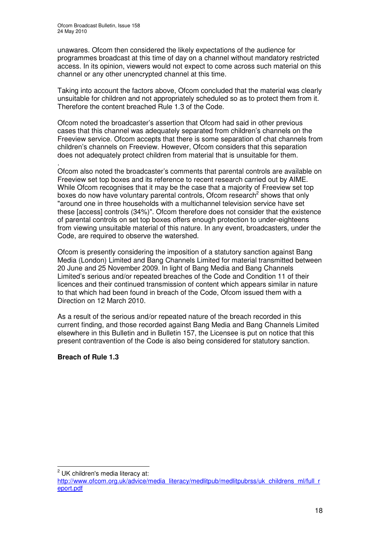unawares. Ofcom then considered the likely expectations of the audience for programmes broadcast at this time of day on a channel without mandatory restricted access. In its opinion, viewers would not expect to come across such material on this channel or any other unencrypted channel at this time.

Taking into account the factors above, Ofcom concluded that the material was clearly unsuitable for children and not appropriately scheduled so as to protect them from it. Therefore the content breached Rule 1.3 of the Code.

Ofcom noted the broadcaster's assertion that Ofcom had said in other previous cases that this channel was adequately separated from children's channels on the Freeview service. Ofcom accepts that there is some separation of chat channels from children's channels on Freeview. However, Ofcom considers that this separation does not adequately protect children from material that is unsuitable for them.

. Ofcom also noted the broadcaster's comments that parental controls are available on Freeview set top boxes and its reference to recent research carried out by AIME. While Ofcom recognises that it may be the case that a majority of Freeview set top boxes do now have voluntary parental controls, Ofcom research<sup>2</sup> shows that only "around one in three households with a multichannel television service have set these [access] controls (34%)". Ofcom therefore does not consider that the existence of parental controls on set top boxes offers enough protection to under-eighteens from viewing unsuitable material of this nature. In any event, broadcasters, under the Code, are required to observe the watershed.

Ofcom is presently considering the imposition of a statutory sanction against Bang Media (London) Limited and Bang Channels Limited for material transmitted between 20 June and 25 November 2009. In light of Bang Media and Bang Channels Limited's serious and/or repeated breaches of the Code and Condition 11 of their licences and their continued transmission of content which appears similar in nature to that which had been found in breach of the Code, Ofcom issued them with a Direction on 12 March 2010.

As a result of the serious and/or repeated nature of the breach recorded in this current finding, and those recorded against Bang Media and Bang Channels Limited elsewhere in this Bulletin and in Bulletin 157, the Licensee is put on notice that this present contravention of the Code is also being considered for statutory sanction.

## **Breach of Rule 1.3**

 $2$  UK children's media literacy at:

http://www.ofcom.org.uk/advice/media\_literacy/medlitpub/medlitpubrss/uk\_childrens\_ml/full\_r eport.pdf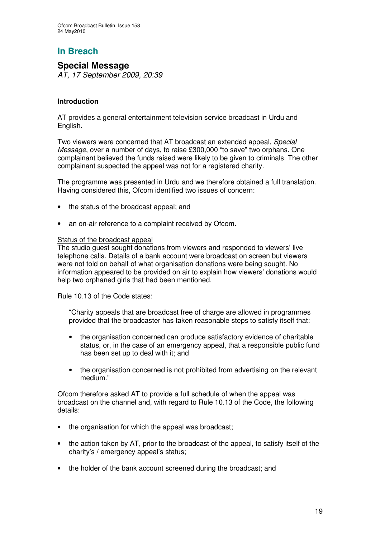# **In Breach**

# **Special Message**

*AT, 17 September 2009, 20:39*

## **Introduction**

AT provides a general entertainment television service broadcast in Urdu and English.

Two viewers were concerned that AT broadcast an extended appeal, *Special Message*, over a number of days, to raise £300,000 "to save" two orphans. One complainant believed the funds raised were likely to be given to criminals. The other complainant suspected the appeal was not for a registered charity.

The programme was presented in Urdu and we therefore obtained a full translation. Having considered this, Ofcom identified two issues of concern:

- the status of the broadcast appeal; and
- an on-air reference to a complaint received by Ofcom.

#### Status of the broadcast appeal

The studio guest sought donations from viewers and responded to viewers' live telephone calls. Details of a bank account were broadcast on screen but viewers were not told on behalf of what organisation donations were being sought. No information appeared to be provided on air to explain how viewers' donations would help two orphaned girls that had been mentioned.

Rule 10.13 of the Code states:

"Charity appeals that are broadcast free of charge are allowed in programmes provided that the broadcaster has taken reasonable steps to satisfy itself that:

- the organisation concerned can produce satisfactory evidence of charitable status, or, in the case of an emergency appeal, that a responsible public fund has been set up to deal with it; and
- the organisation concerned is not prohibited from advertising on the relevant medium."

Ofcom therefore asked AT to provide a full schedule of when the appeal was broadcast on the channel and, with regard to Rule 10.13 of the Code, the following details:

- the organisation for which the appeal was broadcast;
- the action taken by AT, prior to the broadcast of the appeal, to satisfy itself of the charity's / emergency appeal's status;
- the holder of the bank account screened during the broadcast; and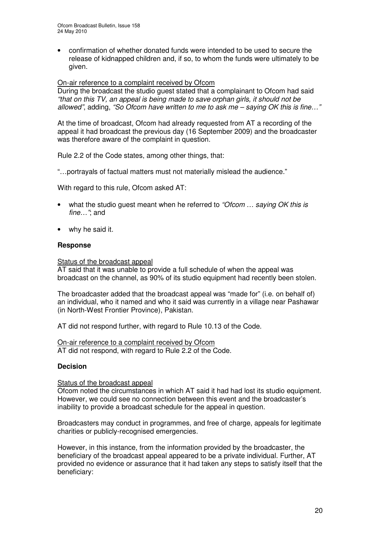• confirmation of whether donated funds were intended to be used to secure the release of kidnapped children and, if so, to whom the funds were ultimately to be given.

#### On-air reference to a complaint received by Ofcom

During the broadcast the studio guest stated that a complainant to Ofcom had said *"that on this TV, an appeal is being made to save orphan girls, it should not be allowed"*, adding, *"So Ofcom have written to me to ask me – saying OK this is fine…"*

At the time of broadcast, Ofcom had already requested from AT a recording of the appeal it had broadcast the previous day (16 September 2009) and the broadcaster was therefore aware of the complaint in question.

Rule 2.2 of the Code states, among other things, that:

"…portrayals of factual matters must not materially mislead the audience."

With regard to this rule, Ofcom asked AT:

- what the studio guest meant when he referred to *"Ofcom … saying OK this is fine…"*; and
- why he said it.

#### **Response**

#### Status of the broadcast appeal

AT said that it was unable to provide a full schedule of when the appeal was broadcast on the channel, as 90% of its studio equipment had recently been stolen.

The broadcaster added that the broadcast appeal was "made for" (i.e. on behalf of) an individual, who it named and who it said was currently in a village near Pashawar (in North-West Frontier Province), Pakistan.

AT did not respond further, with regard to Rule 10.13 of the Code.

On-air reference to a complaint received by Ofcom AT did not respond, with regard to Rule 2.2 of the Code.

#### **Decision**

#### Status of the broadcast appeal

Ofcom noted the circumstances in which AT said it had had lost its studio equipment. However, we could see no connection between this event and the broadcaster's inability to provide a broadcast schedule for the appeal in question.

Broadcasters may conduct in programmes, and free of charge, appeals for legitimate charities or publicly-recognised emergencies.

However, in this instance, from the information provided by the broadcaster, the beneficiary of the broadcast appeal appeared to be a private individual. Further, AT provided no evidence or assurance that it had taken any steps to satisfy itself that the beneficiary: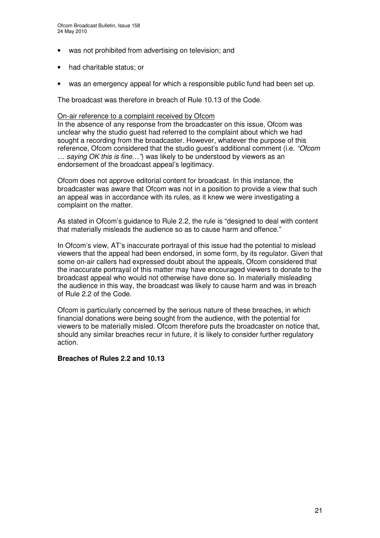- was not prohibited from advertising on television; and
- had charitable status; or
- was an emergency appeal for which a responsible public fund had been set up.

The broadcast was therefore in breach of Rule 10.13 of the Code.

#### On-air reference to a complaint received by Ofcom

In the absence of any response from the broadcaster on this issue, Ofcom was unclear why the studio guest had referred to the complaint about which we had sought a recording from the broadcaster. However, whatever the purpose of this reference, Ofcom considered that the studio guest's additional comment (i.e. *"Ofcom … saying OK this is fine…"*) was likely to be understood by viewers as an endorsement of the broadcast appeal's legitimacy.

Ofcom does not approve editorial content for broadcast. In this instance, the broadcaster was aware that Ofcom was not in a position to provide a view that such an appeal was in accordance with its rules, as it knew we were investigating a complaint on the matter.

As stated in Ofcom's guidance to Rule 2.2, the rule is "designed to deal with content that materially misleads the audience so as to cause harm and offence."

In Ofcom's view, AT's inaccurate portrayal of this issue had the potential to mislead viewers that the appeal had been endorsed, in some form, by its regulator. Given that some on-air callers had expressed doubt about the appeals, Ofcom considered that the inaccurate portrayal of this matter may have encouraged viewers to donate to the broadcast appeal who would not otherwise have done so. In materially misleading the audience in this way, the broadcast was likely to cause harm and was in breach of Rule 2.2 of the Code.

Ofcom is particularly concerned by the serious nature of these breaches, in which financial donations were being sought from the audience, with the potential for viewers to be materially misled. Ofcom therefore puts the broadcaster on notice that, should any similar breaches recur in future, it is likely to consider further regulatory action.

#### **Breaches of Rules 2.2 and 10.13**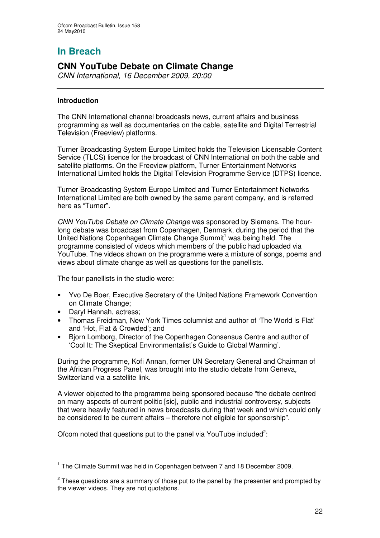# **In Breach**

# **CNN YouTube Debate on Climate Change**

*CNN International, 16 December 2009, 20:00*

## **Introduction**

The CNN International channel broadcasts news, current affairs and business programming as well as documentaries on the cable, satellite and Digital Terrestrial Television (Freeview) platforms.

Turner Broadcasting System Europe Limited holds the Television Licensable Content Service (TLCS) licence for the broadcast of CNN International on both the cable and satellite platforms. On the Freeview platform, Turner Entertainment Networks International Limited holds the Digital Television Programme Service (DTPS) licence.

Turner Broadcasting System Europe Limited and Turner Entertainment Networks International Limited are both owned by the same parent company, and is referred here as "Turner".

*CNN YouTube Debate on Climate Change* was sponsored by Siemens. The hourlong debate was broadcast from Copenhagen, Denmark, during the period that the United Nations Copenhagen Climate Change Summit <sup>1</sup> was being held. The programme consisted of videos which members of the public had uploaded via YouTube. The videos shown on the programme were a mixture of songs, poems and views about climate change as well as questions for the panellists.

The four panellists in the studio were:

- Yvo De Boer, Executive Secretary of the United Nations Framework Convention on Climate Change;
- Daryl Hannah, actress:
- Thomas Freidman, New York Times columnist and author of 'The World is Flat' and 'Hot, Flat & Crowded'; and
- Bjorn Lomborg, Director of the Copenhagen Consensus Centre and author of 'Cool It: The Skeptical Environmentalist's Guide to Global Warming'.

During the programme, Kofi Annan, former UN Secretary General and Chairman of the African Progress Panel, was brought into the studio debate from Geneva, Switzerland via a satellite link.

A viewer objected to the programme being sponsored because "the debate centred on many aspects of current politic [sic], public and industrial controversy, subjects that were heavily featured in news broadcasts during that week and which could only be considered to be current affairs – therefore not eligible for sponsorship".

Ofcom noted that questions put to the panel via YouTube included<sup>2</sup>:

<sup>&</sup>lt;sup>1</sup> The Climate Summit was held in Copenhagen between 7 and 18 December 2009.

 $^{2}$  These questions are a summary of those put to the panel by the presenter and prompted by the viewer videos. They are not quotations.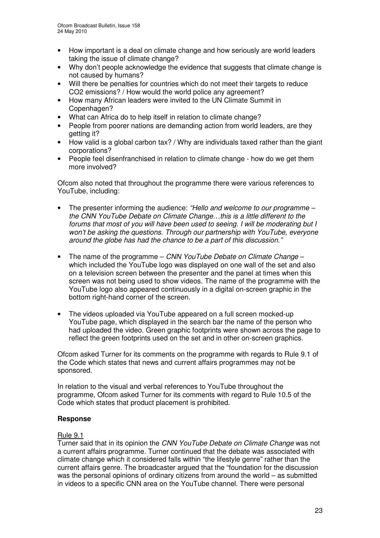- How important is a deal on climate change and how seriously are world leaders taking the issue of climate change?
- Why don't people acknowledge the evidence that suggests that climate change is not caused by humans?
- Will there be penalties for countries which do not meet their targets to reduce CO2 emissions? / How would the world police any agreement?
- How many African leaders were invited to the UN Climate Summit in Copenhagen?
- What can Africa do to help itself in relation to climate change?
- People from poorer nations are demanding action from world leaders, are they getting it?
- How valid is a global carbon tax? / Why are individuals taxed rather than the giant corporations?
- People feel disenfranchised in relation to climate change how do we get them more involved?

Ofcom also noted that throughout the programme there were various references to YouTube, including:

- The presenter informing the audience: *"Hello and welcome to our programme – the CNN YouTube Debate on Climate Change…this is a little different to the forums that most of you will have been used to seeing. I will be moderating but I won't be asking the questions. Through our partnership with YouTube, everyone around the globe has had the chance to be a part of this discussion."*
- The name of the programme *CNN YouTube Debate on Climate Change* which included the YouTube logo was displayed on one wall of the set and also on a television screen between the presenter and the panel at times when this screen was not being used to show videos. The name of the programme with the YouTube logo also appeared continuously in a digital on-screen graphic in the bottom right-hand corner of the screen.
- The videos uploaded via YouTube appeared on a full screen mocked-up YouTube page, which displayed in the search bar the name of the person who had uploaded the video. Green graphic footprints were shown across the page to reflect the green footprints used on the set and in other on-screen graphics.

Ofcom asked Turner for its comments on the programme with regards to Rule 9.1 of the Code which states that news and current affairs programmes may not be sponsored.

In relation to the visual and verbal references to YouTube throughout the programme, Ofcom asked Turner for its comments with regard to Rule 10.5 of the Code which states that product placement is prohibited.

#### **Response**

#### Rule 9.1

Turner said that in its opinion the *CNN YouTube Debate on Climate Change* was not a current affairs programme. Turner continued that the debate was associated with climate change which it considered falls within "the lifestyle genre" rather than the current affairs genre. The broadcaster argued that the "foundation for the discussion was the personal opinions of ordinary citizens from around the world – as submitted in videos to a specific CNN area on the YouTube channel. There were personal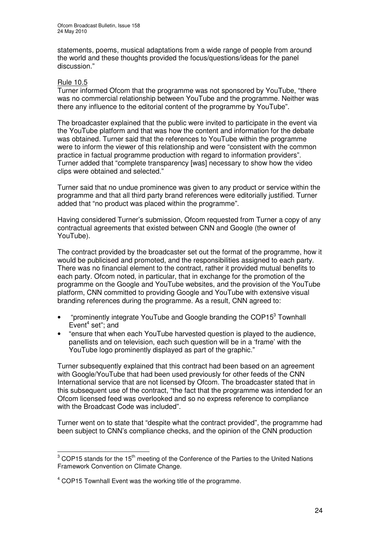statements, poems, musical adaptations from a wide range of people from around the world and these thoughts provided the focus/questions/ideas for the panel discussion."

#### Rule 10.5

Turner informed Ofcom that the programme was not sponsored by YouTube, "there was no commercial relationship between YouTube and the programme. Neither was there any influence to the editorial content of the programme by YouTube".

The broadcaster explained that the public were invited to participate in the event via the YouTube platform and that was how the content and information for the debate was obtained. Turner said that the references to YouTube within the programme were to inform the viewer of this relationship and were "consistent with the common practice in factual programme production with regard to information providers". Turner added that "complete transparency [was] necessary to show how the video clips were obtained and selected."

Turner said that no undue prominence was given to any product or service within the programme and that all third party brand references were editorially justified. Turner added that "no product was placed within the programme".

Having considered Turner's submission, Ofcom requested from Turner a copy of any contractual agreements that existed between CNN and Google (the owner of YouTube).

The contract provided by the broadcaster set out the format of the programme, how it would be publicised and promoted, and the responsibilities assigned to each party. There was no financial element to the contract, rather it provided mutual benefits to each party. Ofcom noted, in particular, that in exchange for the promotion of the programme on the Google and YouTube websites, and the provision of the YouTube platform, CNN committed to providing Google and YouTube with extensive visual branding references during the programme. As a result, CNN agreed to:

- "prominently integrate YouTube and Google branding the COP15<sup>3</sup> Townhall Event 4 set"; and
- "ensure that when each YouTube harvested question is played to the audience, panellists and on television, each such question will be in a 'frame' with the YouTube logo prominently displayed as part of the graphic."

Turner subsequently explained that this contract had been based on an agreement with Google/YouTube that had been used previously for other feeds of the CNN International service that are not licensed by Ofcom. The broadcaster stated that in this subsequent use of the contract, "the fact that the programme was intended for an Ofcom licensed feed was overlooked and so no express reference to compliance with the Broadcast Code was included".

Turner went on to state that "despite what the contract provided", the programme had been subject to CNN's compliance checks, and the opinion of the CNN production

 $3$  COP15 stands for the 15<sup>th</sup> meeting of the Conference of the Parties to the United Nations Framework Convention on Climate Change.

<sup>&</sup>lt;sup>4</sup> COP15 Townhall Event was the working title of the programme.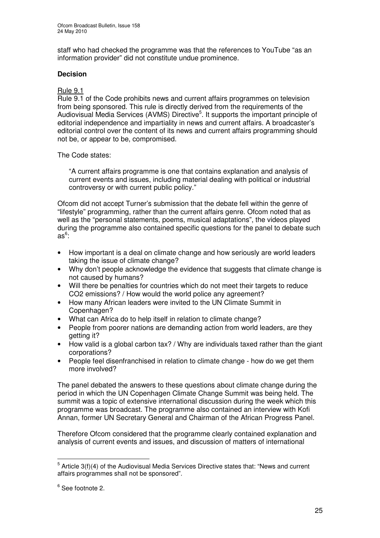staff who had checked the programme was that the references to YouTube "as an information provider" did not constitute undue prominence.

## **Decision**

## Rule 9.1

Rule 9.1 of the Code prohibits news and current affairs programmes on television from being sponsored. This rule is directly derived from the requirements of the Audiovisual Media Services (AVMS) Directive<sup>5</sup>. It supports the important principle of editorial independence and impartiality in news and current affairs. A broadcaster's editorial control over the content of its news and current affairs programming should not be, or appear to be, compromised.

The Code states:

"A current affairs programme is one that contains explanation and analysis of current events and issues, including material dealing with political or industrial controversy or with current public policy."

Ofcom did not accept Turner's submission that the debate fell within the genre of "lifestyle" programming, rather than the current affairs genre. Ofcom noted that as well as the "personal statements, poems, musical adaptations", the videos played during the programme also contained specific questions for the panel to debate such as 6 :

- How important is a deal on climate change and how seriously are world leaders taking the issue of climate change?
- Why don't people acknowledge the evidence that suggests that climate change is not caused by humans?
- Will there be penalties for countries which do not meet their targets to reduce CO2 emissions? / How would the world police any agreement?
- How many African leaders were invited to the UN Climate Summit in Copenhagen?
- What can Africa do to help itself in relation to climate change?
- People from poorer nations are demanding action from world leaders, are they getting it?
- How valid is a global carbon tax? / Why are individuals taxed rather than the giant corporations?
- People feel disenfranchised in relation to climate change how do we get them more involved?

The panel debated the answers to these questions about climate change during the period in which the UN Copenhagen Climate Change Summit was being held. The summit was a topic of extensive international discussion during the week which this programme was broadcast. The programme also contained an interview with Kofi Annan, former UN Secretary General and Chairman of the African Progress Panel.

Therefore Ofcom considered that the programme clearly contained explanation and analysis of current events and issues, and discussion of matters of international

 $^5$  Article 3(f)(4) of the Audiovisual Media Services Directive states that: "News and current affairs programmes shall not be sponsored".

<sup>&</sup>lt;sup>6</sup> See footnote 2.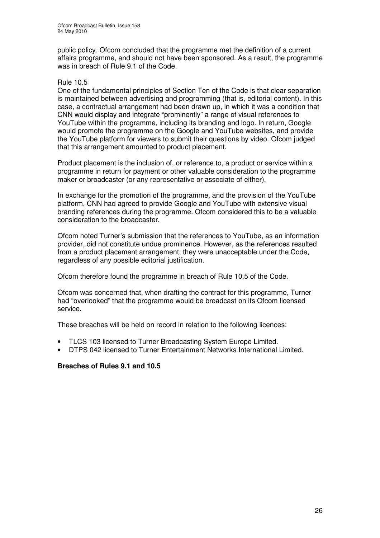public policy. Ofcom concluded that the programme met the definition of a current affairs programme, and should not have been sponsored. As a result, the programme was in breach of Rule 9.1 of the Code.

#### Rule 10.5

One of the fundamental principles of Section Ten of the Code is that clear separation is maintained between advertising and programming (that is, editorial content). In this case, a contractual arrangement had been drawn up, in which it was a condition that CNN would display and integrate "prominently" a range of visual references to YouTube within the programme, including its branding and logo. In return, Google would promote the programme on the Google and YouTube websites, and provide the YouTube platform for viewers to submit their questions by video. Ofcom judged that this arrangement amounted to product placement.

Product placement is the inclusion of, or reference to, a product or service within a programme in return for payment or other valuable consideration to the programme maker or broadcaster (or any representative or associate of either).

In exchange for the promotion of the programme, and the provision of the YouTube platform, CNN had agreed to provide Google and YouTube with extensive visual branding references during the programme. Ofcom considered this to be a valuable consideration to the broadcaster.

Ofcom noted Turner's submission that the references to YouTube, as an information provider, did not constitute undue prominence. However, as the references resulted from a product placement arrangement, they were unacceptable under the Code, regardless of any possible editorial justification.

Ofcom therefore found the programme in breach of Rule 10.5 of the Code.

Ofcom was concerned that, when drafting the contract for this programme*,* Turner had "overlooked" that the programme would be broadcast on its Ofcom licensed service.

These breaches will be held on record in relation to the following licences:

- TLCS 103 licensed to Turner Broadcasting System Europe Limited.
- DTPS 042 licensed to Turner Entertainment Networks International Limited.

#### **Breaches of Rules 9.1 and 10.5**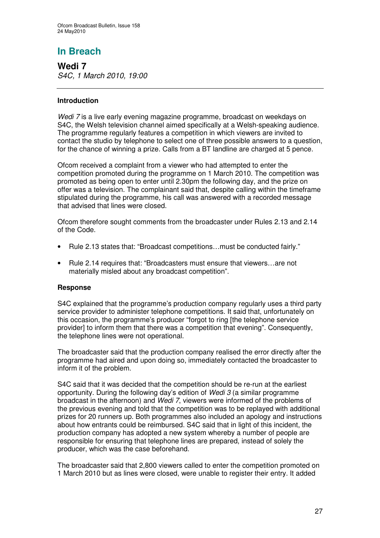# **In Breach**

**Wedi 7** *S4C, 1 March 2010, 19:00*

## **Introduction**

*Wedi 7* is a live early evening magazine programme, broadcast on weekdays on S4C, the Welsh television channel aimed specifically at a Welsh-speaking audience. The programme regularly features a competition in which viewers are invited to contact the studio by telephone to select one of three possible answers to a question, for the chance of winning a prize. Calls from a BT landline are charged at 5 pence.

Ofcom received a complaint from a viewer who had attempted to enter the competition promoted during the programme on 1 March 2010. The competition was promoted as being open to enter until 2.30pm the following day, and the prize on offer was a television. The complainant said that, despite calling within the timeframe stipulated during the programme, his call was answered with a recorded message that advised that lines were closed.

Ofcom therefore sought comments from the broadcaster under Rules 2.13 and 2.14 of the Code.

- Rule 2.13 states that: "Broadcast competitions…must be conducted fairly."
- Rule 2.14 requires that: "Broadcasters must ensure that viewers…are not materially misled about any broadcast competition".

#### **Response**

S4C explained that the programme's production company regularly uses a third party service provider to administer telephone competitions. It said that, unfortunately on this occasion, the programme's producer "forgot to ring [the telephone service provider] to inform them that there was a competition that evening". Consequently, the telephone lines were not operational.

The broadcaster said that the production company realised the error directly after the programme had aired and upon doing so, immediately contacted the broadcaster to inform it of the problem.

S4C said that it was decided that the competition should be re-run at the earliest opportunity. During the following day's edition of *Wedi 3* (a similar programme broadcast in the afternoon) and *Wedi 7*, viewers were informed of the problems of the previous evening and told that the competition was to be replayed with additional prizes for 20 runners up. Both programmes also included an apology and instructions about how entrants could be reimbursed. S4C said that in light of this incident, the production company has adopted a new system whereby a number of people are responsible for ensuring that telephone lines are prepared, instead of solely the producer, which was the case beforehand.

The broadcaster said that 2,800 viewers called to enter the competition promoted on 1 March 2010 but as lines were closed, were unable to register their entry. It added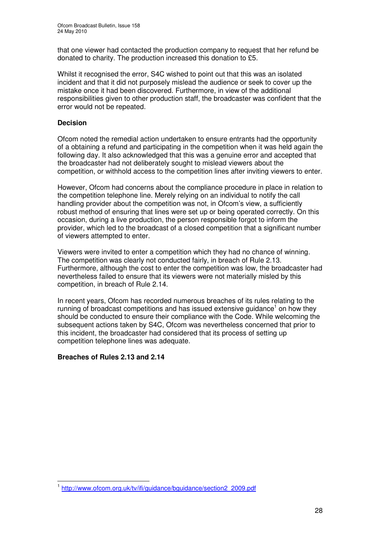that one viewer had contacted the production company to request that her refund be donated to charity. The production increased this donation to £5.

Whilst it recognised the error, S4C wished to point out that this was an isolated incident and that it did not purposely mislead the audience or seek to cover up the mistake once it had been discovered. Furthermore, in view of the additional responsibilities given to other production staff, the broadcaster was confident that the error would not be repeated.

## **Decision**

Ofcom noted the remedial action undertaken to ensure entrants had the opportunity of a obtaining a refund and participating in the competition when it was held again the following day. It also acknowledged that this was a genuine error and accepted that the broadcaster had not deliberately sought to mislead viewers about the competition, or withhold access to the competition lines after inviting viewers to enter.

However, Ofcom had concerns about the compliance procedure in place in relation to the competition telephone line. Merely relying on an individual to notify the call handling provider about the competition was not, in Ofcom's view, a sufficiently robust method of ensuring that lines were set up or being operated correctly. On this occasion, during a live production, the person responsible forgot to inform the provider, which led to the broadcast of a closed competition that a significant number of viewers attempted to enter.

Viewers were invited to enter a competition which they had no chance of winning. The competition was clearly not conducted fairly, in breach of Rule 2.13. Furthermore, although the cost to enter the competition was low, the broadcaster had nevertheless failed to ensure that its viewers were not materially misled by this competition, in breach of Rule 2.14.

In recent years, Ofcom has recorded numerous breaches of its rules relating to the running of broadcast competitions and has issued extensive guidance<sup>1</sup> on how they should be conducted to ensure their compliance with the Code. While welcoming the subsequent actions taken by S4C, Ofcom was nevertheless concerned that prior to this incident, the broadcaster had considered that its process of setting up competition telephone lines was adequate.

#### **Breaches of Rules 2.13 and 2.14**

<sup>1</sup> http://www.ofcom.org.uk/tv/ifi/guidance/bguidance/section2\_2009.pdf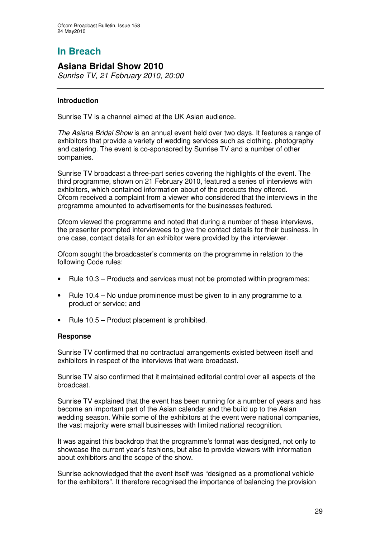# **In Breach**

# **Asiana Bridal Show 2010**

*Sunrise TV, 21 February 2010, 20:00*

## **Introduction**

Sunrise TV is a channel aimed at the UK Asian audience.

*The Asiana Bridal Show* is an annual event held over two days. It features a range of exhibitors that provide a variety of wedding services such as clothing, photography and catering. The event is co-sponsored by Sunrise TV and a number of other companies.

Sunrise TV broadcast a three-part series covering the highlights of the event. The third programme, shown on 21 February 2010, featured a series of interviews with exhibitors, which contained information about of the products they offered. Ofcom received a complaint from a viewer who considered that the interviews in the programme amounted to advertisements for the businesses featured.

Ofcom viewed the programme and noted that during a number of these interviews, the presenter prompted interviewees to give the contact details for their business. In one case, contact details for an exhibitor were provided by the interviewer.

Ofcom sought the broadcaster's comments on the programme in relation to the following Code rules:

- Rule 10.3 Products and services must not be promoted within programmes;
- Rule 10.4 No undue prominence must be given to in any programme to a product or service; and
- Rule 10.5 Product placement is prohibited.

#### **Response**

Sunrise TV confirmed that no contractual arrangements existed between itself and exhibitors in respect of the interviews that were broadcast.

Sunrise TV also confirmed that it maintained editorial control over all aspects of the broadcast.

Sunrise TV explained that the event has been running for a number of years and has become an important part of the Asian calendar and the build up to the Asian wedding season. While some of the exhibitors at the event were national companies, the vast majority were small businesses with limited national recognition.

It was against this backdrop that the programme's format was designed, not only to showcase the current year's fashions, but also to provide viewers with information about exhibitors and the scope of the show.

Sunrise acknowledged that the event itself was "designed as a promotional vehicle for the exhibitors". It therefore recognised the importance of balancing the provision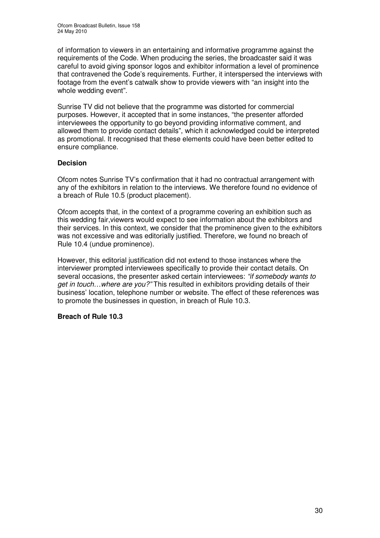of information to viewers in an entertaining and informative programme against the requirements of the Code. When producing the series, the broadcaster said it was careful to avoid giving sponsor logos and exhibitor information a level of prominence that contravened the Code's requirements. Further, it interspersed the interviews with footage from the event's catwalk show to provide viewers with "an insight into the whole wedding event".

Sunrise TV did not believe that the programme was distorted for commercial purposes. However, it accepted that in some instances, "the presenter afforded interviewees the opportunity to go beyond providing informative comment, and allowed them to provide contact details", which it acknowledged could be interpreted as promotional. It recognised that these elements could have been better edited to ensure compliance.

## **Decision**

Ofcom notes Sunrise TV's confirmation that it had no contractual arrangement with any of the exhibitors in relation to the interviews. We therefore found no evidence of a breach of Rule 10.5 (product placement).

Ofcom accepts that, in the context of a programme covering an exhibition such as this wedding fair,viewers would expect to see information about the exhibitors and their services. In this context, we consider that the prominence given to the exhibitors was not excessive and was editorially justified. Therefore, we found no breach of Rule 10.4 (undue prominence).

However, this editorial justification did not extend to those instances where the interviewer prompted interviewees specifically to provide their contact details. On several occasions, the presenter asked certain interviewees: *"if somebody wants to get in touch…where are you?"* This resulted in exhibitors providing details of their business' location, telephone number or website. The effect of these references was to promote the businesses in question, in breach of Rule 10.3.

#### **Breach of Rule 10.3**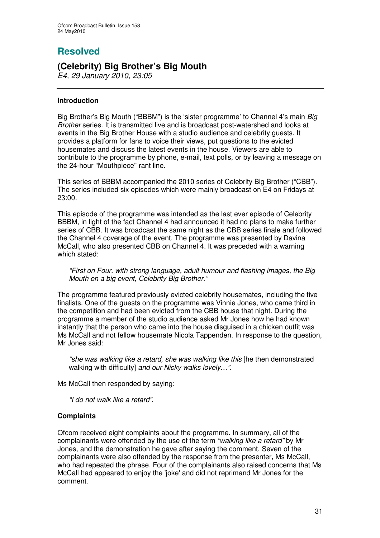# **Resolved**

# **(Celebrity) Big Brother's Big Mouth**

*E4, 29 January 2010, 23:05*

## **Introduction**

Big Brother's Big Mouth ("BBBM") is the 'sister programme' to Channel 4's main *Big Brother* series*.* It is transmitted live and is broadcast post-watershed and looks at events in the Big Brother House with a studio audience and celebrity guests. It provides a platform for fans to voice their views, put questions to the evicted housemates and discuss the latest events in the house. Viewers are able to contribute to the programme by phone, e-mail, text polls, or by leaving a message on the 24-hour "Mouthpiece" rant line.

This series of BBBM accompanied the 2010 series of Celebrity Big Brother ("CBB"). The series included six episodes which were mainly broadcast on E4 on Fridays at 23:00.

This episode of the programme was intended as the last ever episode of Celebrity BBBM, in light of the fact Channel 4 had announced it had no plans to make further series of CBB. It was broadcast the same night as the CBB series finale and followed the Channel 4 coverage of the event. The programme was presented by Davina McCall, who also presented CBB on Channel 4. It was preceded with a warning which stated:

*"First on Four, with strong language, adult humour and flashing images, the Big Mouth on a big event, Celebrity Big Brother."*

The programme featured previously evicted celebrity housemates, including the five finalists. One of the guests on the programme was Vinnie Jones, who came third in the competition and had been evicted from the CBB house that night. During the programme a member of the studio audience asked Mr Jones how he had known instantly that the person who came into the house disguised in a chicken outfit was Ms McCall and not fellow housemate Nicola Tappenden. In response to the question, Mr Jones said:

*"she was walking like a retard, she was walking like this* [he then demonstrated walking with difficulty] *and our Nicky walks lovely…".*

Ms McCall then responded by saying:

*"I do not walk like a retard".*

#### **Complaints**

Ofcom received eight complaints about the programme. In summary, all of the complainants were offended by the use of the term *"walking like a retard"* by Mr Jones, and the demonstration he gave after saying the comment. Seven of the complainants were also offended by the response from the presenter, Ms McCall, who had repeated the phrase. Four of the complainants also raised concerns that Ms McCall had appeared to enjoy the 'joke'and did not reprimand Mr Jones for the comment.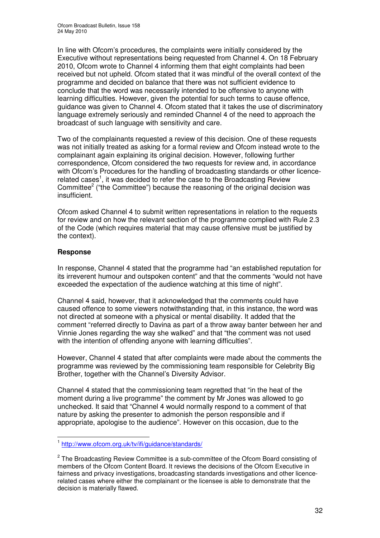In line with Ofcom's procedures, the complaints were initially considered by the Executive without representations being requested from Channel 4. On 18 February 2010, Ofcom wrote to Channel 4 informing them that eight complaints had been received but not upheld. Ofcom stated that it was mindful of the overall context of the programme and decided on balance that there was not sufficient evidence to conclude that the word was necessarily intended to be offensive to anyone with learning difficulties. However, given the potential for such terms to cause offence, guidance was given to Channel 4. Ofcom stated that it takes the use of discriminatory language extremely seriously and reminded Channel 4 of the need to approach the broadcast of such language with sensitivity and care.

Two of the complainants requested a review of this decision. One of these requests was not initially treated as asking for a formal review and Ofcom instead wrote to the complainant again explaining its original decision. However, following further correspondence, Ofcom considered the two requests for review and, in accordance with Ofcom's Procedures for the handling of broadcasting standards or other licencerelated cases<sup>1</sup>, it was decided to refer the case to the Broadcasting Review Committee<sup>2</sup> ("the Committee") because the reasoning of the original decision was insufficient.

Ofcom asked Channel 4 to submit written representations in relation to the requests for review and on how the relevant section of the programme complied with Rule 2.3 of the Code (which requires material that may cause offensive must be justified by the context).

## **Response**

In response, Channel 4 stated that the programme had "an established reputation for its irreverent humour and outspoken content" and that the comments "would not have exceeded the expectation of the audience watching at this time of night".

Channel 4 said, however, that it acknowledged that the comments could have caused offence to some viewers notwithstanding that, in this instance, the word was not directed at someone with a physical or mental disability. It added that the comment "referred directly to Davina as part of a throw away banter between her and Vinnie Jones regarding the way she walked" and that "the comment was not used with the intention of offending anyone with learning difficulties".

However, Channel 4 stated that after complaints were made about the comments the programme was reviewed by the commissioning team responsible for Celebrity Big Brother, together with the Channel's Diversity Advisor.

Channel 4 stated that the commissioning team regretted that "in the heat of the moment during a live programme" the comment by Mr Jones was allowed to go unchecked. It said that "Channel 4 would normally respond to a comment of that nature by asking the presenter to admonish the person responsible and if appropriate, apologise to the audience". However on this occasion, due to the

<sup>&</sup>lt;sup>1</sup> http://www.ofcom.org.uk/tv/ifi/guidance/standards/

<sup>&</sup>lt;sup>2</sup> The Broadcasting Review Committee is a sub-committee of the Ofcom Board consisting of members of the Ofcom Content Board. It reviews the decisions of the Ofcom Executive in fairness and privacy investigations, broadcasting standards investigations and other licencerelated cases where either the complainant or the licensee is able to demonstrate that the decision is materially flawed.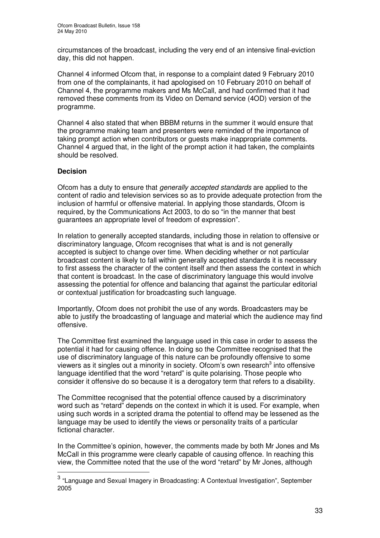circumstances of the broadcast, including the very end of an intensive final-eviction day, this did not happen.

Channel 4 informed Ofcom that, in response to a complaint dated 9 February 2010 from one of the complainants, it had apologised on 10 February 2010 on behalf of Channel 4, the programme makers and Ms McCall, and had confirmed that it had removed these comments from its Video on Demand service (4OD) version of the programme.

Channel 4 also stated that when BBBM returns in the summer it would ensure that the programme making team and presenters were reminded of the importance of taking prompt action when contributors or guests make inappropriate comments. Channel 4 argued that, in the light of the prompt action it had taken, the complaints should be resolved.

#### **Decision**

Ofcom has a duty to ensure that *generally accepted standards* are applied to the content of radio and television services so as to provide adequate protection from the inclusion of harmful or offensive material. In applying those standards, Ofcom is required, by the Communications Act 2003, to do so "in the manner that best guarantees an appropriate level of freedom of expression".

In relation to generally accepted standards, including those in relation to offensive or discriminatory language, Ofcom recognises that what is and is not generally accepted is subject to change over time. When deciding whether or not particular broadcast content is likely to fall within generally accepted standards it is necessary to first assess the character of the content itself and then assess the context in which that content is broadcast. In the case of discriminatory language this would involve assessing the potential for offence and balancing that against the particular editorial or contextual justification for broadcasting such language.

Importantly, Ofcom does not prohibit the use of any words. Broadcasters may be able to justify the broadcasting of language and material which the audience may find offensive.

The Committee first examined the language used in this case in order to assess the potential it had for causing offence. In doing so the Committee recognised that the use of discriminatory language of this nature can be profoundly offensive to some viewers as it singles out a minority in society. Ofcom's own research<sup>3</sup> into offensive language identified that the word "retard" is quite polarising. Those people who consider it offensive do so because it is a derogatory term that refers to a disability.

The Committee recognised that the potential offence caused by a discriminatory word such as "retard" depends on the context in which it is used. For example, when using such words in a scripted drama the potential to offend may be lessened as the language may be used to identify the views or personality traits of a particular fictional character.

In the Committee's opinion, however, the comments made by both Mr Jones and Ms McCall in this programme were clearly capable of causing offence. In reaching this view, the Committee noted that the use of the word "retard" by Mr Jones, although

<sup>&</sup>lt;sup>3</sup> "Language and Sexual Imagery in Broadcasting: A Contextual Investigation", September 2005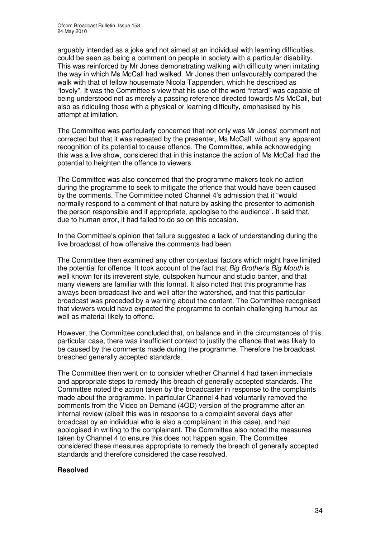arguably intended as a joke and not aimed at an individual with learning difficulties, could be seen as being a comment on people in society with a particular disability. This was reinforced by Mr Jones demonstrating walking with difficulty when imitating the way in which Ms McCall had walked. Mr Jones then unfavourably compared the walk with that of fellow housemate Nicola Tappenden, which he described as "lovely". It was the Committee's view that his use of the word "retard" was capable of being understood not as merely a passing reference directed towards Ms McCall, but also as ridiculing those with a physical or learning difficulty, emphasised by his attempt at imitation.

The Committee was particularly concerned that not only was Mr Jones' comment not corrected but that it was repeated by the presenter, Ms McCall, without any apparent recognition of its potential to cause offence. The Committee, while acknowledging this was a live show, considered that in this instance the action of Ms McCall had the potential to heighten the offence to viewers.

The Committee was also concerned that the programme makers took no action during the programme to seek to mitigate the offence that would have been caused by the comments. The Committee noted Channel 4's admission that it "would normally respond to a comment of that nature by asking the presenter to admonish the person responsible and if appropriate, apologise to the audience". It said that, due to human error, it had failed to do so on this occasion.

In the Committee's opinion that failure suggested a lack of understanding during the live broadcast of how offensive the comments had been.

The Committee then examined any other contextual factors which might have limited the potential for offence. It took account of the fact that *Big Brother's Big Mouth* is well known for its irreverent style, outspoken humour and studio banter, and that many viewers are familiar with this format. It also noted that this programme has always been broadcast live and well after the watershed, and that this particular broadcast was preceded by a warning about the content. The Committee recognised that viewers would have expected the programme to contain challenging humour as well as material likely to offend.

However, the Committee concluded that, on balance and in the circumstances of this particular case, there was insufficient context to justify the offence that was likely to be caused by the comments made during the programme. Therefore the broadcast breached generally accepted standards.

The Committee then went on to consider whether Channel 4 had taken immediate and appropriate steps to remedy this breach of generally accepted standards. The Committee noted the action taken by the broadcaster in response to the complaints made about the programme. In particular Channel 4 had voluntarily removed the comments from the Video on Demand (4OD) version of the programme after an internal review (albeit this was in response to a complaint several days after broadcast by an individual who is also a complainant in this case), and had apologised in writing to the complainant. The Committee also noted the measures taken by Channel 4 to ensure this does not happen again. The Committee considered these measures appropriate to remedy the breach of generally accepted standards and therefore considered the case resolved.

#### **Resolved**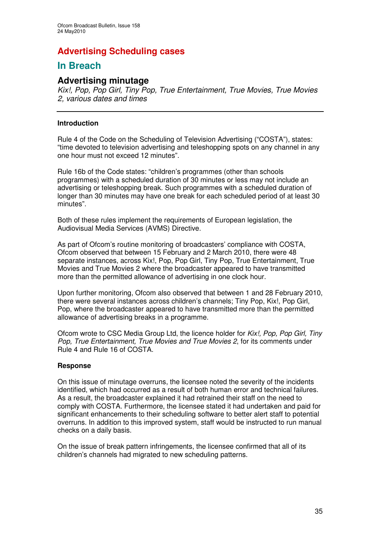# **Advertising Scheduling cases**

# **In Breach**

# **Advertising minutage**

*Kix!, Pop, Pop Girl, Tiny Pop, True Entertainment, True Movies, True Movies 2, various dates and times*

#### **Introduction**

Rule 4 of the Code on the Scheduling of Television Advertising ("COSTA"), states: "time devoted to television advertising and teleshopping spots on any channel in any one hour must not exceed 12 minutes".

Rule 16b of the Code states: "children's programmes (other than schools programmes) with a scheduled duration of 30 minutes or less may not include an advertising or teleshopping break. Such programmes with a scheduled duration of longer than 30 minutes may have one break for each scheduled period of at least 30 minutes".

Both of these rules implement the requirements of European legislation, the Audiovisual Media Services (AVMS) Directive.

As part of Ofcom's routine monitoring of broadcasters' compliance with COSTA, Ofcom observed that between 15 February and 2 March 2010, there were 48 separate instances, across Kix!, Pop, Pop Girl, Tiny Pop, True Entertainment, True Movies and True Movies 2 where the broadcaster appeared to have transmitted more than the permitted allowance of advertising in one clock hour.

Upon further monitoring, Ofcom also observed that between 1 and 28 February 2010, there were several instances across children's channels; Tiny Pop, Kix!, Pop Girl, Pop, where the broadcaster appeared to have transmitted more than the permitted allowance of advertising breaks in a programme.

Ofcom wrote to CSC Media Group Ltd, the licence holder for *Kix!, Pop, Pop Girl, Tiny Pop, True Entertainment, True Movies and True Movies 2*, for its comments under Rule 4 and Rule 16 of COSTA.

#### **Response**

On this issue of minutage overruns, the licensee noted the severity of the incidents identified, which had occurred as a result of both human error and technical failures. As a result, the broadcaster explained it had retrained their staff on the need to comply with COSTA. Furthermore, the licensee stated it had undertaken and paid for significant enhancements to their scheduling software to better alert staff to potential overruns. In addition to this improved system, staff would be instructed to run manual checks on a daily basis.

On the issue of break pattern infringements, the licensee confirmed that all of its children's channels had migrated to new scheduling patterns.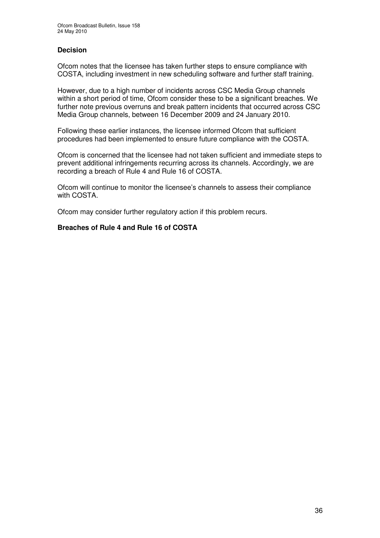## **Decision**

Ofcom notes that the licensee has taken further steps to ensure compliance with COSTA, including investment in new scheduling software and further staff training.

However, due to a high number of incidents across CSC Media Group channels within a short period of time, Ofcom consider these to be a significant breaches. We further note previous overruns and break pattern incidents that occurred across CSC Media Group channels, between 16 December 2009 and 24 January 2010.

Following these earlier instances, the licensee informed Ofcom that sufficient procedures had been implemented to ensure future compliance with the COSTA.

Ofcom is concerned that the licensee had not taken sufficient and immediate steps to prevent additional infringements recurring across its channels. Accordingly, we are recording a breach of Rule 4 and Rule 16 of COSTA.

Ofcom will continue to monitor the licensee's channels to assess their compliance with COSTA.

Ofcom may consider further regulatory action if this problem recurs.

#### **Breaches of Rule 4 and Rule 16 of COSTA**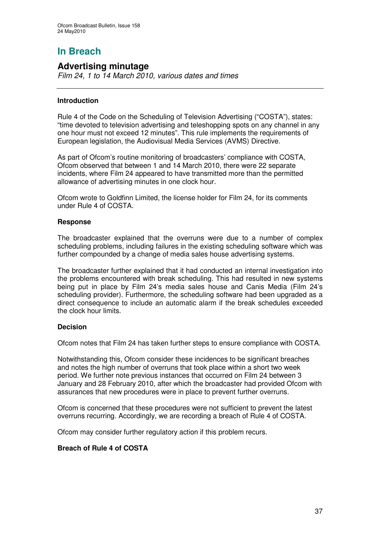# **In Breach**

## **Advertising minutage**

*Film 24, 1 to 14 March 2010, various dates and times*

### **Introduction**

Rule 4 of the Code on the Scheduling of Television Advertising ("COSTA"), states: "time devoted to television advertising and teleshopping spots on any channel in any one hour must not exceed 12 minutes". This rule implements the requirements of European legislation, the Audiovisual Media Services (AVMS) Directive.

As part of Ofcom's routine monitoring of broadcasters' compliance with COSTA, Ofcom observed that between 1 and 14 March 2010, there were 22 separate incidents, where Film 24 appeared to have transmitted more than the permitted allowance of advertising minutes in one clock hour.

Ofcom wrote to Goldfinn Limited, the license holder for Film 24, for its comments under Rule 4 of COSTA.

### **Response**

The broadcaster explained that the overruns were due to a number of complex scheduling problems, including failures in the existing scheduling software which was further compounded by a change of media sales house advertising systems.

The broadcaster further explained that it had conducted an internal investigation into the problems encountered with break scheduling. This had resulted in new systems being put in place by Film 24's media sales house and Canis Media (Film 24's scheduling provider). Furthermore, the scheduling software had been upgraded as a direct consequence to include an automatic alarm if the break schedules exceeded the clock hour limits.

### **Decision**

Ofcom notes that Film 24 has taken further steps to ensure compliance with COSTA.

Notwithstanding this, Ofcom consider these incidences to be significant breaches and notes the high number of overruns that took place within a short two week period. We further note previous instances that occurred on Film 24 between 3 January and 28 February 2010, after which the broadcaster had provided Ofcom with assurances that new procedures were in place to prevent further overruns.

Ofcom is concerned that these procedures were not sufficient to prevent the latest overruns recurring. Accordingly, we are recording a breach of Rule 4 of COSTA.

Ofcom may consider further regulatory action if this problem recurs.

### **Breach of Rule 4 of COSTA**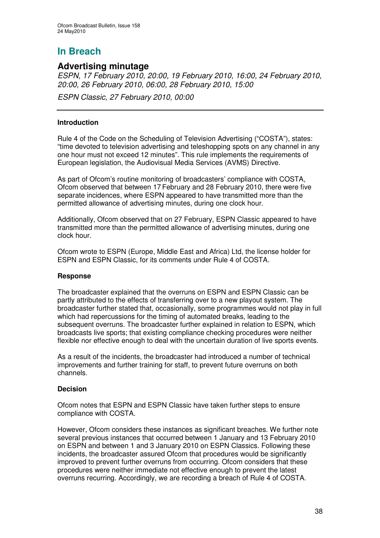# **In Breach**

## **Advertising minutage**

*ESPN, 17 February 2010, 20:00, 19 February 2010, 16:00, 24 February 2010, 20:00, 26 February 2010, 06:00, 28 February 2010, 15:00*

*ESPN Classic, 27 February 2010, 00:00*

### **Introduction**

Rule 4 of the Code on the Scheduling of Television Advertising ("COSTA"), states: "time devoted to television advertising and teleshopping spots on any channel in any one hour must not exceed 12 minutes". This rule implements the requirements of European legislation, the Audiovisual Media Services (AVMS) Directive.

As part of Ofcom's routine monitoring of broadcasters' compliance with COSTA, Ofcom observed that between 17 February and 28 February 2010, there were five separate incidences, where ESPN appeared to have transmitted more than the permitted allowance of advertising minutes, during one clock hour.

Additionally, Ofcom observed that on 27 February, ESPN Classic appeared to have transmitted more than the permitted allowance of advertising minutes, during one clock hour.

Ofcom wrote to ESPN (Europe, Middle East and Africa) Ltd, the license holder for ESPN and ESPN Classic, for its comments under Rule 4 of COSTA.

### **Response**

The broadcaster explained that the overruns on ESPN and ESPN Classic can be partly attributed to the effects of transferring over to a new playout system. The broadcaster further stated that, occasionally, some programmes would not play in full which had repercussions for the timing of automated breaks, leading to the subsequent overruns. The broadcaster further explained in relation to ESPN, which broadcasts live sports; that existing compliance checking procedures were neither flexible nor effective enough to deal with the uncertain duration of live sports events.

As a result of the incidents, the broadcaster had introduced a number of technical improvements and further training for staff, to prevent future overruns on both channels.

### **Decision**

Ofcom notes that ESPN and ESPN Classic have taken further steps to ensure compliance with COSTA.

However, Ofcom considers these instances as significant breaches. We further note several previous instances that occurred between 1 January and 13 February 2010 on ESPN and between 1 and 3 January 2010 on ESPN Classics. Following these incidents, the broadcaster assured Ofcom that procedures would be significantly improved to prevent further overruns from occurring. Ofcom considers that these procedures were neither immediate not effective enough to prevent the latest overruns recurring. Accordingly, we are recording a breach of Rule 4 of COSTA.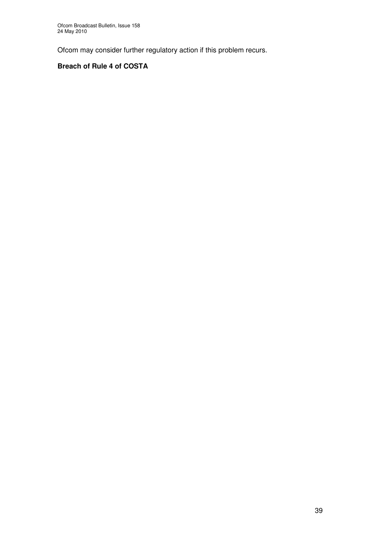Ofcom may consider further regulatory action if this problem recurs.

### **Breach of Rule 4 of COSTA**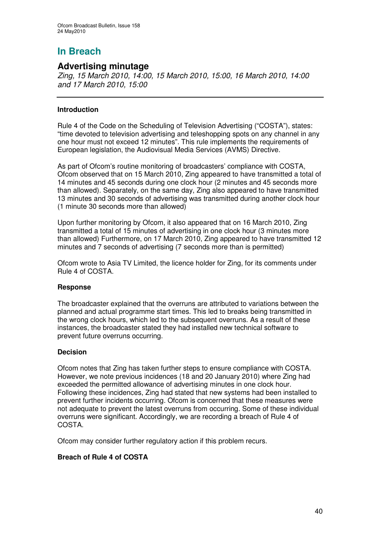# **In Breach**

### **Advertising minutage**

*Zing, 15 March 2010, 14:00, 15 March 2010, 15:00, 16 March 2010, 14:00 and 17 March 2010, 15:00*

### **Introduction**

Rule 4 of the Code on the Scheduling of Television Advertising ("COSTA"), states: "time devoted to television advertising and teleshopping spots on any channel in any one hour must not exceed 12 minutes". This rule implements the requirements of European legislation, the Audiovisual Media Services (AVMS) Directive.

As part of Ofcom's routine monitoring of broadcasters' compliance with COSTA, Ofcom observed that on 15 March 2010, Zing appeared to have transmitted a total of 14 minutes and 45 seconds during one clock hour (2 minutes and 45 seconds more than allowed). Separately, on the same day, Zing also appeared to have transmitted 13 minutes and 30 seconds of advertising was transmitted during another clock hour (1 minute 30 seconds more than allowed)

Upon further monitoring by Ofcom, it also appeared that on 16 March 2010, Zing transmitted a total of 15 minutes of advertising in one clock hour (3 minutes more than allowed) Furthermore, on 17 March 2010, Zing appeared to have transmitted 12 minutes and 7 seconds of advertising (7 seconds more than is permitted)

Ofcom wrote to Asia TV Limited, the licence holder for Zing, for its comments under Rule 4 of COSTA.

### **Response**

The broadcaster explained that the overruns are attributed to variations between the planned and actual programme start times. This led to breaks being transmitted in the wrong clock hours, which led to the subsequent overruns. As a result of these instances, the broadcaster stated they had installed new technical software to prevent future overruns occurring.

### **Decision**

Ofcom notes that Zing has taken further steps to ensure compliance with COSTA. However, we note previous incidences (18 and 20 January 2010) where Zing had exceeded the permitted allowance of advertising minutes in one clock hour. Following these incidences, Zing had stated that new systems had been installed to prevent further incidents occurring. Ofcom is concerned that these measures were not adequate to prevent the latest overruns from occurring. Some of these individual overruns were significant. Accordingly, we are recording a breach of Rule 4 of COSTA.

Ofcom may consider further regulatory action if this problem recurs.

### **Breach of Rule 4 of COSTA**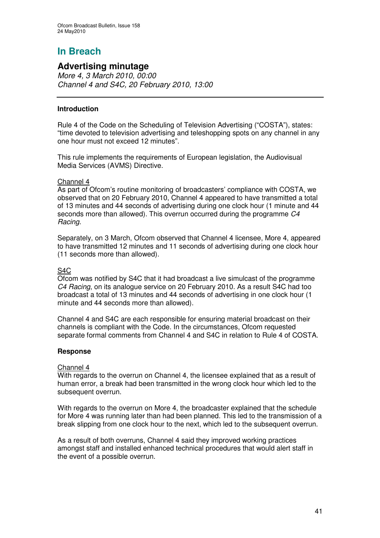# **In Breach**

## **Advertising minutage**

*More 4, 3 March 2010, 00:00 Channel 4 and S4C, 20 February 2010, 13:00*

### **Introduction**

Rule 4 of the Code on the Scheduling of Television Advertising ("COSTA"), states: "time devoted to television advertising and teleshopping spots on any channel in any one hour must not exceed 12 minutes".

This rule implements the requirements of European legislation, the Audiovisual Media Services (AVMS) Directive.

### Channel 4

As part of Ofcom's routine monitoring of broadcasters' compliance with COSTA, we observed that on 20 February 2010, Channel 4 appeared to have transmitted a total of 13 minutes and 44 seconds of advertising during one clock hour (1 minute and 44 seconds more than allowed). This overrun occurred during the programme *C4 Racing*.

Separately, on 3 March, Ofcom observed that Channel 4 licensee, More 4, appeared to have transmitted 12 minutes and 11 seconds of advertising during one clock hour (11 seconds more than allowed).

### S4C

Ofcom was notified by S4C that it had broadcast a live simulcast of the programme *C4 Racing*, on its analogue service on 20 February 2010. As a result S4C had too broadcast a total of 13 minutes and 44 seconds of advertising in one clock hour (1 minute and 44 seconds more than allowed).

Channel 4 and S4C are each responsible for ensuring material broadcast on their channels is compliant with the Code. In the circumstances, Ofcom requested separate formal comments from Channel 4 and S4C in relation to Rule 4 of COSTA.

### **Response**

### Channel 4

With regards to the overrun on Channel 4, the licensee explained that as a result of human error, a break had been transmitted in the wrong clock hour which led to the subsequent overrun.

With regards to the overrun on More 4, the broadcaster explained that the schedule for More 4 was running later than had been planned. This led to the transmission of a break slipping from one clock hour to the next, which led to the subsequent overrun.

As a result of both overruns, Channel 4 said they improved working practices amongst staff and installed enhanced technical procedures that would alert staff in the event of a possible overrun.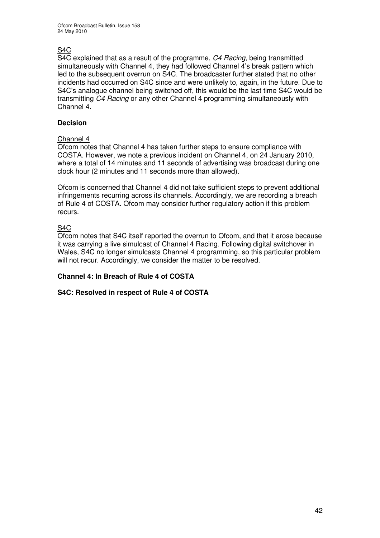Ofcom Broadcast Bulletin, Issue 158 24 May 2010

### S4C

S4C explained that as a result of the programme, *C4 Racing*, being transmitted simultaneously with Channel 4, they had followed Channel 4's break pattern which led to the subsequent overrun on S4C. The broadcaster further stated that no other incidents had occurred on S4C since and were unlikely to, again, in the future. Due to S4C's analogue channel being switched off, this would be the last time S4C would be transmitting *C4 Racing* or any other Channel 4 programming simultaneously with Channel 4.

### **Decision**

### Channel 4

Ofcom notes that Channel 4 has taken further steps to ensure compliance with COSTA. However, we note a previous incident on Channel 4, on 24 January 2010, where a total of 14 minutes and 11 seconds of advertising was broadcast during one clock hour (2 minutes and 11 seconds more than allowed).

Ofcom is concerned that Channel 4 did not take sufficient steps to prevent additional infringements recurring across its channels. Accordingly, we are recording a breach of Rule 4 of COSTA. Ofcom may consider further regulatory action if this problem recurs.

### S4C

Ofcom notes that S4C itself reported the overrun to Ofcom, and that it arose because it was carrying a live simulcast of Channel 4 Racing. Following digital switchover in Wales, S4C no longer simulcasts Channel 4 programming, so this particular problem will not recur. Accordingly, we consider the matter to be resolved.

### **Channel 4: In Breach of Rule 4 of COSTA**

### **S4C: Resolved in respect of Rule 4 of COSTA**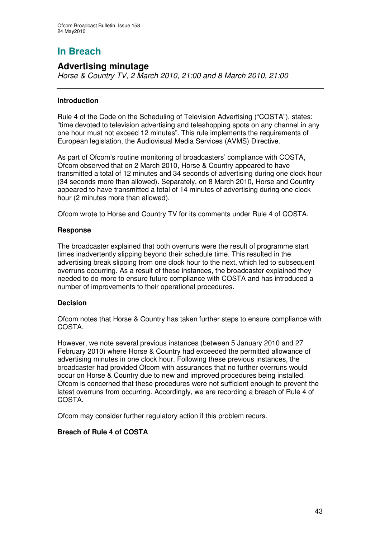# **In Breach**

## **Advertising minutage**

*Horse & Country TV, 2 March 2010, 21:00 and 8 March 2010, 21:00*

### **Introduction**

Rule 4 of the Code on the Scheduling of Television Advertising ("COSTA"), states: "time devoted to television advertising and teleshopping spots on any channel in any one hour must not exceed 12 minutes". This rule implements the requirements of European legislation, the Audiovisual Media Services (AVMS) Directive.

As part of Ofcom's routine monitoring of broadcasters' compliance with COSTA, Ofcom observed that on 2 March 2010, Horse & Country appeared to have transmitted a total of 12 minutes and 34 seconds of advertising during one clock hour (34 seconds more than allowed). Separately, on 8 March 2010, Horse and Country appeared to have transmitted a total of 14 minutes of advertising during one clock hour (2 minutes more than allowed).

Ofcom wrote to Horse and Country TV for its comments under Rule 4 of COSTA.

### **Response**

The broadcaster explained that both overruns were the result of programme start times inadvertently slipping beyond their schedule time. This resulted in the advertising break slipping from one clock hour to the next, which led to subsequent overruns occurring. As a result of these instances, the broadcaster explained they needed to do more to ensure future compliance with COSTA and has introduced a number of improvements to their operational procedures.

### **Decision**

Ofcom notes that Horse & Country has taken further steps to ensure compliance with **COSTA** 

However, we note several previous instances (between 5 January 2010 and 27 February 2010) where Horse & Country had exceeded the permitted allowance of advertising minutes in one clock hour. Following these previous instances, the broadcaster had provided Ofcom with assurances that no further overruns would occur on Horse & Country due to new and improved procedures being installed. Ofcom is concerned that these procedures were not sufficient enough to prevent the latest overruns from occurring. Accordingly, we are recording a breach of Rule 4 of COSTA.

Ofcom may consider further regulatory action if this problem recurs.

### **Breach of Rule 4 of COSTA**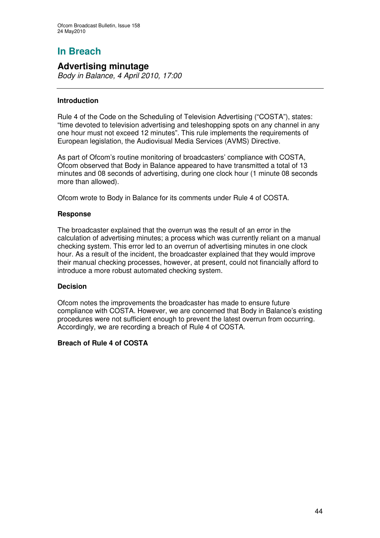# **In Breach**

## **Advertising minutage**

*Body in Balance, 4 April 2010, 17:00*

### **Introduction**

Rule 4 of the Code on the Scheduling of Television Advertising ("COSTA"), states: "time devoted to television advertising and teleshopping spots on any channel in any one hour must not exceed 12 minutes". This rule implements the requirements of European legislation, the Audiovisual Media Services (AVMS) Directive.

As part of Ofcom's routine monitoring of broadcasters' compliance with COSTA, Ofcom observed that Body in Balance appeared to have transmitted a total of 13 minutes and 08 seconds of advertising, during one clock hour (1 minute 08 seconds more than allowed).

Ofcom wrote to Body in Balance for its comments under Rule 4 of COSTA.

### **Response**

The broadcaster explained that the overrun was the result of an error in the calculation of advertising minutes; a process which was currently reliant on a manual checking system. This error led to an overrun of advertising minutes in one clock hour. As a result of the incident, the broadcaster explained that they would improve their manual checking processes, however, at present, could not financially afford to introduce a more robust automated checking system.

### **Decision**

Ofcom notes the improvements the broadcaster has made to ensure future compliance with COSTA. However, we are concerned that Body in Balance's existing procedures were not sufficient enough to prevent the latest overrun from occurring. Accordingly, we are recording a breach of Rule 4 of COSTA.

### **Breach of Rule 4 of COSTA**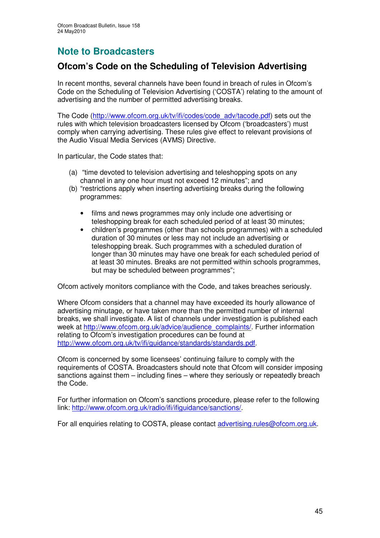# **Note to Broadcasters**

## **Ofcom's Code on the Scheduling of Television Advertising**

In recent months, several channels have been found in breach of rules in Ofcom's Code on the Scheduling of Television Advertising ('COSTA') relating to the amount of advertising and the number of permitted advertising breaks.

The Code (http://www.ofcom.org.uk/tv/ifi/codes/code\_adv/tacode.pdf) sets out the rules with which television broadcasters licensed by Ofcom ('broadcasters') must comply when carrying advertising. These rules give effect to relevant provisions of the Audio Visual Media Services (AVMS) Directive.

In particular, the Code states that:

- (a) "time devoted to television advertising and teleshopping spots on any channel in any one hour must not exceed 12 minutes"; and
- (b) "restrictions apply when inserting advertising breaks during the following programmes:
	- films and news programmes may only include one advertising or teleshopping break for each scheduled period of at least 30 minutes;
	- children's programmes (other than schools programmes) with a scheduled duration of 30 minutes or less may not include an advertising or teleshopping break. Such programmes with a scheduled duration of longer than 30 minutes may have one break for each scheduled period of at least 30 minutes. Breaks are not permitted within schools programmes, but may be scheduled between programmes";

Ofcom actively monitors compliance with the Code, and takes breaches seriously.

Where Ofcom considers that a channel may have exceeded its hourly allowance of advertising minutage, or have taken more than the permitted number of internal breaks, we shall investigate. A list of channels under investigation is published each week at http://www.ofcom.org.uk/advice/audience\_complaints/. Further information relating to Ofcom's investigation procedures can be found at http://www.ofcom.org.uk/tv/ifi/guidance/standards/standards.pdf.

Ofcom is concerned by some licensees' continuing failure to comply with the requirements of COSTA. Broadcasters should note that Ofcom will consider imposing sanctions against them – including fines – where they seriously or repeatedly breach the Code.

For further information on Ofcom's sanctions procedure, please refer to the following link: http://www.ofcom.org.uk/radio/ifi/ifiguidance/sanctions/.

For all enquiries relating to COSTA, please contact advertising.rules@ofcom.org.uk.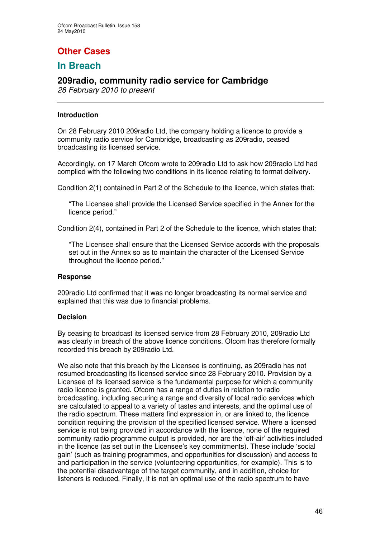# **Other Cases**

## **In Breach**

## **209radio, community radio service for Cambridge**

*28 February 2010 to present*

### **Introduction**

On 28 February 2010 209radio Ltd, the company holding a licence to provide a community radio service for Cambridge, broadcasting as 209radio, ceased broadcasting its licensed service.

Accordingly, on 17 March Ofcom wrote to 209radio Ltd to ask how 209radio Ltd had complied with the following two conditions in its licence relating to format delivery.

Condition 2(1) contained in Part 2 of the Schedule to the licence, which states that:

"The Licensee shall provide the Licensed Service specified in the Annex for the licence period."

Condition 2(4), contained in Part 2 of the Schedule to the licence, which states that:

"The Licensee shall ensure that the Licensed Service accords with the proposals set out in the Annex so as to maintain the character of the Licensed Service throughout the licence period."

### **Response**

209radio Ltd confirmed that it was no longer broadcasting its normal service and explained that this was due to financial problems.

### **Decision**

By ceasing to broadcast its licensed service from 28 February 2010, 209radio Ltd was clearly in breach of the above licence conditions. Ofcom has therefore formally recorded this breach by 209radio Ltd.

We also note that this breach by the Licensee is continuing, as 209radio has not resumed broadcasting its licensed service since 28 February 2010. Provision by a Licensee of its licensed service is the fundamental purpose for which a community radio licence is granted. Ofcom has a range of duties in relation to radio broadcasting, including securing a range and diversity of local radio services which are calculated to appeal to a variety of tastes and interests, and the optimal use of the radio spectrum. These matters find expression in, or are linked to, the licence condition requiring the provision of the specified licensed service. Where a licensed service is not being provided in accordance with the licence, none of the required community radio programme output is provided, nor are the 'off-air' activities included in the licence (as set out in the Licensee's key commitments). These include 'social gain' (such as training programmes, and opportunities for discussion) and access to and participation in the service (volunteering opportunities, for example). This is to the potential disadvantage of the target community, and in addition, choice for listeners is reduced. Finally, it is not an optimal use of the radio spectrum to have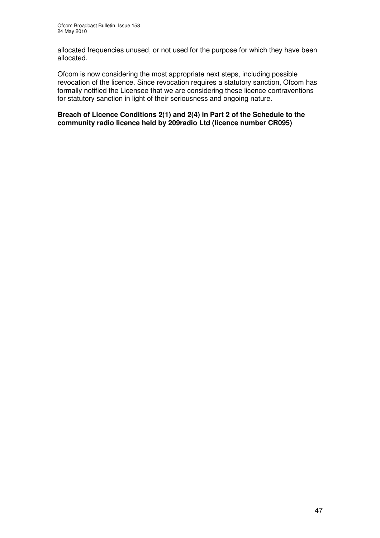allocated frequencies unused, or not used for the purpose for which they have been allocated.

Ofcom is now considering the most appropriate next steps, including possible revocation of the licence. Since revocation requires a statutory sanction, Ofcom has formally notified the Licensee that we are considering these licence contraventions for statutory sanction in light of their seriousness and ongoing nature.

**Breach of Licence Conditions 2(1) and 2(4) in Part 2 of the Schedule to the community radio licence held by 209radio Ltd (licence number CR095)**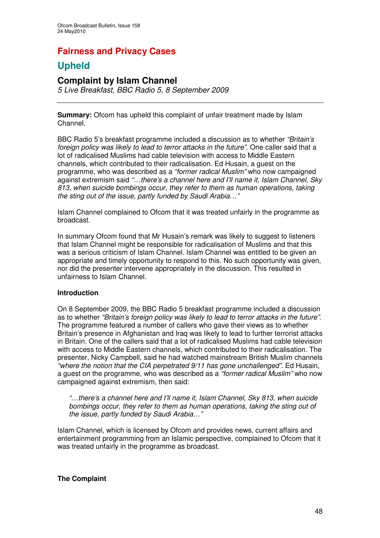## **Fairness and Privacy Cases**

## **Upheld**

## **Complaint by Islam Channel**

*5 Live Breakfast, BBC Radio 5, 8 September 2009*

**Summary:** Ofcom has upheld this complaint of unfair treatment made by Islam Channel.

BBC Radio 5's breakfast programme included a discussion as to whether *"Britain's foreign policy was likely to lead to terror attacks in the future"*. One caller said that a lot of radicalised Muslims had cable television with access to Middle Eastern channels, which contributed to their radicalisation. Ed Husain, a guest on the programme, who was described as a *"former radical Muslim"* who now campaigned against extremism said *"…there's a channel here and I'll name it, Islam Channel, Sky 813, when suicide bombings occur, they refer to them as human operations, taking the sting out of the issue, partly funded by Saudi Arabia…"*

Islam Channel complained to Ofcom that it was treated unfairly in the programme as broadcast.

In summary Ofcom found that Mr Husain's remark was likely to suggest to listeners that Islam Channel might be responsible for radicalisation of Muslims and that this was a serious criticism of Islam Channel. Islam Channel was entitled to be given an appropriate and timely opportunity to respond to this. No such opportunity was given, nor did the presenter intervene appropriately in the discussion. This resulted in unfairness to Islam Channel.

### **Introduction**

On 8 September 2009, the BBC Radio 5 breakfast programme included a discussion as to whether *"Britain's foreign policy was likely to lead to terror attacks in the future"*. The programme featured a number of callers who gave their views as to whether Britain's presence in Afghanistan and Iraq was likely to lead to further terrorist attacks in Britain. One of the callers said that a lot of radicalised Muslims had cable television with access to Middle Eastern channels, which contributed to their radicalisation. The presenter, Nicky Campbell, said he had watched mainstream British Muslim channels *"where the notion that the CIA perpetrated 9/11 has gone unchallenged"*. Ed Husain, a guest on the programme, who was described as a *"former radical Muslim"* who now campaigned against extremism, then said:

*"…there's a channel here and I'll name it, Islam Channel, Sky 813, when suicide bombings occur, they refer to them as human operations, taking the sting out of the issue, partly funded by Saudi Arabia…"*

Islam Channel, which is licensed by Ofcom and provides news, current affairs and entertainment programming from an Islamic perspective, complained to Ofcom that it was treated unfairly in the programme as broadcast.

### **The Complaint**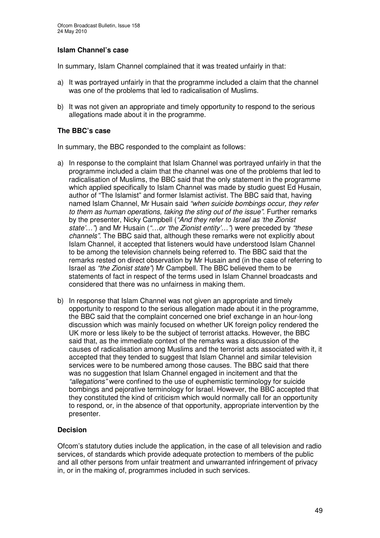### **Islam Channel's case**

In summary, Islam Channel complained that it was treated unfairly in that:

- a) It was portrayed unfairly in that the programme included a claim that the channel was one of the problems that led to radicalisation of Muslims.
- b) It was not given an appropriate and timely opportunity to respond to the serious allegations made about it in the programme.

### **The BBC's case**

In summary, the BBC responded to the complaint as follows:

- a) In response to the complaint that Islam Channel was portrayed unfairly in that the programme included a claim that the channel was one of the problems that led to radicalisation of Muslims, the BBC said that the only statement in the programme which applied specifically to Islam Channel was made by studio quest Ed Husain, author of "The Islamist" and former Islamist activist. The BBC said that, having named Islam Channel, Mr Husain said *"when suicide bombings occur, they refer to them as human operations, taking the sting out of the issue"*. Further remarks by the presenter, Nicky Campbell (*"And they refer to Israel as 'the Zionist state'…"*) and Mr Husain (*"…or 'the Zionist entity'…"*) were preceded by *"these channels"*. The BBC said that, although these remarks were not explicitly about Islam Channel, it accepted that listeners would have understood Islam Channel to be among the television channels being referred to. The BBC said that the remarks rested on direct observation by Mr Husain and (in the case of referring to Israel as *"the Zionist state"*) Mr Campbell. The BBC believed them to be statements of fact in respect of the terms used in Islam Channel broadcasts and considered that there was no unfairness in making them.
- b) In response that Islam Channel was not given an appropriate and timely opportunity to respond to the serious allegation made about it in the programme, the BBC said that the complaint concerned one brief exchange in an hour-long discussion which was mainly focused on whether UK foreign policy rendered the UK more or less likely to be the subject of terrorist attacks. However, the BBC said that, as the immediate context of the remarks was a discussion of the causes of radicalisation among Muslims and the terrorist acts associated with it, it accepted that they tended to suggest that Islam Channel and similar television services were to be numbered among those causes. The BBC said that there was no suggestion that Islam Channel engaged in incitement and that the *"allegations"* were confined to the use of euphemistic terminology for suicide bombings and pejorative terminology for Israel. However, the BBC accepted that they constituted the kind of criticism which would normally call for an opportunity to respond, or, in the absence of that opportunity, appropriate intervention by the presenter.

### **Decision**

Ofcom's statutory duties include the application, in the case of all television and radio services, of standards which provide adequate protection to members of the public and all other persons from unfair treatment and unwarranted infringement of privacy in, or in the making of, programmes included in such services.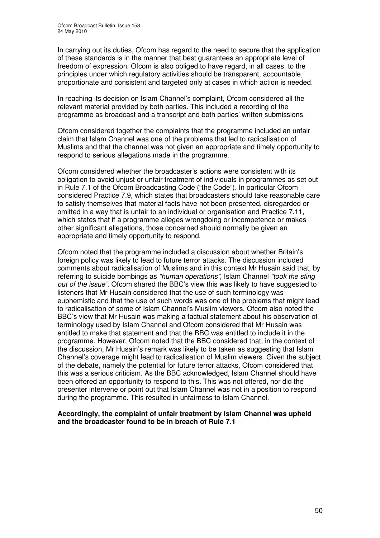In carrying out its duties, Ofcom has regard to the need to secure that the application of these standards is in the manner that best guarantees an appropriate level of freedom of expression. Ofcom is also obliged to have regard, in all cases, to the principles under which regulatory activities should be transparent, accountable, proportionate and consistent and targeted only at cases in which action is needed.

In reaching its decision on Islam Channel's complaint, Ofcom considered all the relevant material provided by both parties. This included a recording of the programme as broadcast and a transcript and both parties' written submissions.

Ofcom considered together the complaints that the programme included an unfair claim that Islam Channel was one of the problems that led to radicalisation of Muslims and that the channel was not given an appropriate and timely opportunity to respond to serious allegations made in the programme.

Ofcom considered whether the broadcaster's actions were consistent with its obligation to avoid unjust or unfair treatment of individuals in programmes as set out in Rule 7.1 of the Ofcom Broadcasting Code ("the Code"). In particular Ofcom considered Practice 7.9, which states that broadcasters should take reasonable care to satisfy themselves that material facts have not been presented, disregarded or omitted in a way that is unfair to an individual or organisation and Practice 7.11, which states that if a programme alleges wrongdoing or incompetence or makes other significant allegations, those concerned should normally be given an appropriate and timely opportunity to respond.

Ofcom noted that the programme included a discussion about whether Britain's foreign policy was likely to lead to future terror attacks. The discussion included comments about radicalisation of Muslims and in this context Mr Husain said that, by referring to suicide bombings as *"human operations"*, Islam Channel *"took the sting out of the issue"*. Ofcom shared the BBC's view this was likely to have suggested to listeners that Mr Husain considered that the use of such terminology was euphemistic and that the use of such words was one of the problems that might lead to radicalisation of some of Islam Channel's Muslim viewers. Ofcom also noted the BBC's view that Mr Husain was making a factual statement about his observation of terminology used by Islam Channel and Ofcom considered that Mr Husain was entitled to make that statement and that the BBC was entitled to include it in the programme. However, Ofcom noted that the BBC considered that, in the context of the discussion, Mr Husain's remark was likely to be taken as suggesting that Islam Channel's coverage might lead to radicalisation of Muslim viewers. Given the subject of the debate, namely the potential for future terror attacks, Ofcom considered that this was a serious criticism. As the BBC acknowledged, Islam Channel should have been offered an opportunity to respond to this. This was not offered, nor did the presenter intervene or point out that Islam Channel was not in a position to respond during the programme. This resulted in unfairness to Islam Channel.

### **Accordingly, the complaint of unfair treatment by Islam Channel was upheld and the broadcaster found to be in breach of Rule 7.1**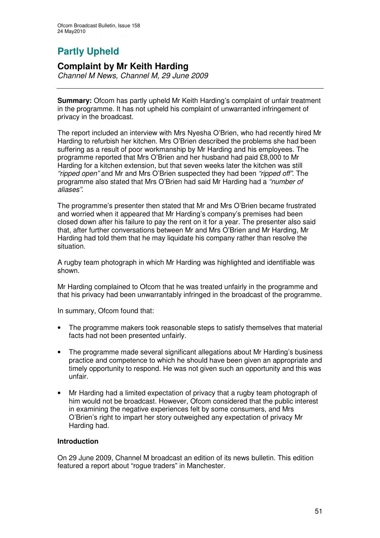# **Partly Upheld**

## **Complaint by Mr Keith Harding**

*Channel M News, Channel M, 29 June 2009*

**Summary:** Ofcom has partly upheld Mr Keith Harding's complaint of unfair treatment in the programme. It has not upheld his complaint of unwarranted infringement of privacy in the broadcast.

The report included an interview with Mrs Nyesha O'Brien, who had recently hired Mr Harding to refurbish her kitchen. Mrs O'Brien described the problems she had been suffering as a result of poor workmanship by Mr Harding and his employees. The programme reported that Mrs O'Brien and her husband had paid £8,000 to Mr Harding for a kitchen extension, but that seven weeks later the kitchen was still *"ripped open"* and Mr and Mrs O'Brien suspected they had been *"ripped off"*. The programme also stated that Mrs O'Brien had said Mr Harding had a *"number of aliases"*.

The programme's presenter then stated that Mr and Mrs O'Brien became frustrated and worried when it appeared that Mr Harding's company's premises had been closed down after his failure to pay the rent on it for a year. The presenter also said that, after further conversations between Mr and Mrs O'Brien and Mr Harding, Mr Harding had told them that he may liquidate his company rather than resolve the situation.

A rugby team photograph in which Mr Harding was highlighted and identifiable was shown.

Mr Harding complained to Ofcom that he was treated unfairly in the programme and that his privacy had been unwarrantably infringed in the broadcast of the programme.

In summary, Ofcom found that:

- The programme makers took reasonable steps to satisfy themselves that material facts had not been presented unfairly.
- The programme made several significant allegations about Mr Harding's business practice and competence to which he should have been given an appropriate and timely opportunity to respond. He was not given such an opportunity and this was unfair.
- Mr Harding had a limited expectation of privacy that a rugby team photograph of him would not be broadcast. However, Ofcom considered that the public interest in examining the negative experiences felt by some consumers, and Mrs O'Brien's right to impart her story outweighed any expectation of privacy Mr Harding had.

### **Introduction**

On 29 June 2009, Channel M broadcast an edition of its news bulletin. This edition featured a report about "rogue traders" in Manchester.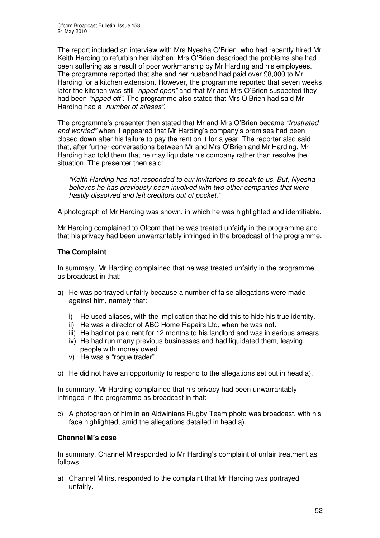The report included an interview with Mrs Nyesha O'Brien, who had recently hired Mr Keith Harding to refurbish her kitchen. Mrs O'Brien described the problems she had been suffering as a result of poor workmanship by Mr Harding and his employees. The programme reported that she and her husband had paid over £8,000 to Mr Harding for a kitchen extension. However, the programme reported that seven weeks later the kitchen was still *"ripped open"* and that Mr and Mrs O'Brien suspected they had been *"ripped off".* The programme also stated that Mrs O'Brien had said Mr Harding had a *"number of aliases".*

The programme's presenter then stated that Mr and Mrs O'Brien became *"frustrated and worried"* when it appeared that Mr Harding's company's premises had been closed down after his failure to pay the rent on it for a year. The reporter also said that, after further conversations between Mr and Mrs O'Brien and Mr Harding, Mr Harding had told them that he may liquidate his company rather than resolve the situation. The presenter then said:

*"Keith Harding has not responded to our invitations to speak to us. But, Nyesha believes he has previously been involved with two other companies that were hastily dissolved and left creditors out of pocket."*

A photograph of Mr Harding was shown, in which he was highlighted and identifiable.

Mr Harding complained to Ofcom that he was treated unfairly in the programme and that his privacy had been unwarrantably infringed in the broadcast of the programme.

### **The Complaint**

In summary, Mr Harding complained that he was treated unfairly in the programme as broadcast in that:

- a) He was portrayed unfairly because a number of false allegations were made against him, namely that:
	- i) He used aliases, with the implication that he did this to hide his true identity.
	- ii) He was a director of ABC Home Repairs Ltd, when he was not.
	- iii) He had not paid rent for 12 months to his landlord and was in serious arrears.
	- iv) He had run many previous businesses and had liquidated them, leaving people with money owed.
	- v) He was a "rogue trader".
- b) He did not have an opportunity to respond to the allegations set out in head a).

In summary, Mr Harding complained that his privacy had been unwarrantably infringed in the programme as broadcast in that:

c) A photograph of him in an Aldwinians Rugby Team photo was broadcast, with his face highlighted, amid the allegations detailed in head a).

### **Channel M's case**

In summary, Channel M responded to Mr Harding's complaint of unfair treatment as follows:

a) Channel M first responded to the complaint that Mr Harding was portrayed unfairly.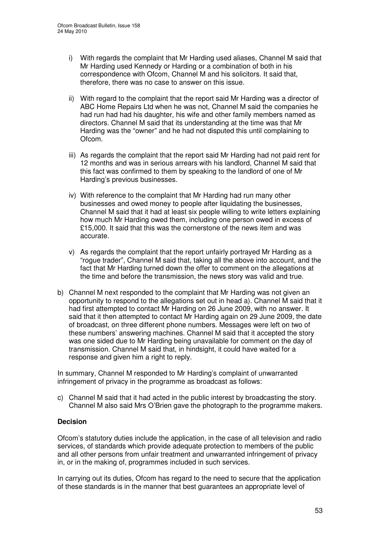- i) With regards the complaint that Mr Harding used aliases, Channel M said that Mr Harding used Kennedy or Harding or a combination of both in his correspondence with Ofcom, Channel M and his solicitors. It said that, therefore, there was no case to answer on this issue.
- ii) With regard to the complaint that the report said Mr Harding was a director of ABC Home Repairs Ltd when he was not, Channel M said the companies he had run had had his daughter, his wife and other family members named as directors. Channel M said that its understanding at the time was that Mr Harding was the "owner" and he had not disputed this until complaining to Ofcom.
- iii) As regards the complaint that the report said Mr Harding had not paid rent for 12 months and was in serious arrears with his landlord, Channel M said that this fact was confirmed to them by speaking to the landlord of one of Mr Harding's previous businesses.
- iv) With reference to the complaint that Mr Harding had run many other businesses and owed money to people after liquidating the businesses, Channel M said that it had at least six people willing to write letters explaining how much Mr Harding owed them, including one person owed in excess of £15,000. It said that this was the cornerstone of the news item and was accurate.
- v) As regards the complaint that the report unfairly portrayed Mr Harding as a "rogue trader", Channel M said that, taking all the above into account, and the fact that Mr Harding turned down the offer to comment on the allegations at the time and before the transmission, the news story was valid and true.
- b) Channel M next responded to the complaint that Mr Harding was not given an opportunity to respond to the allegations set out in head a). Channel M said that it had first attempted to contact Mr Harding on 26 June 2009, with no answer. It said that it then attempted to contact Mr Harding again on 29 June 2009, the date of broadcast, on three different phone numbers. Messages were left on two of these numbers' answering machines. Channel M said that it accepted the story was one sided due to Mr Harding being unavailable for comment on the day of transmission. Channel M said that, in hindsight, it could have waited for a response and given him a right to reply.

In summary, Channel M responded to Mr Harding's complaint of unwarranted infringement of privacy in the programme as broadcast as follows:

c) Channel M said that it had acted in the public interest by broadcasting the story. Channel M also said Mrs O'Brien gave the photograph to the programme makers.

### **Decision**

Ofcom's statutory duties include the application, in the case of all television and radio services, of standards which provide adequate protection to members of the public and all other persons from unfair treatment and unwarranted infringement of privacy in, or in the making of, programmes included in such services.

In carrying out its duties, Ofcom has regard to the need to secure that the application of these standards is in the manner that best guarantees an appropriate level of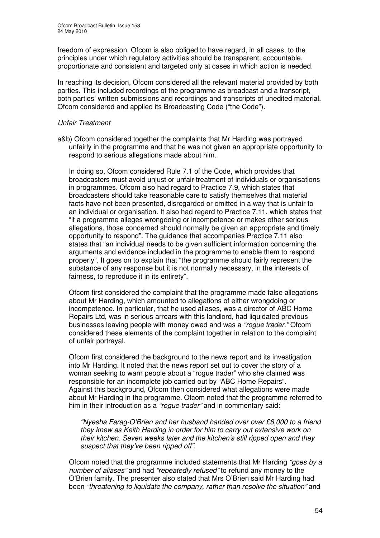freedom of expression. Ofcom is also obliged to have regard, in all cases, to the principles under which regulatory activities should be transparent, accountable, proportionate and consistent and targeted only at cases in which action is needed.

In reaching its decision, Ofcom considered all the relevant material provided by both parties. This included recordings of the programme as broadcast and a transcript, both parties' written submissions and recordings and transcripts of unedited material. Ofcom considered and applied its Broadcasting Code ("the Code").

### *Unfair Treatment*

a&b) Ofcom considered together the complaints that Mr Harding was portrayed unfairly in the programme and that he was not given an appropriate opportunity to respond to serious allegations made about him.

In doing so, Ofcom considered Rule 7.1 of the Code, which provides that broadcasters must avoid unjust or unfair treatment of individuals or organisations in programmes. Ofcom also had regard to Practice 7.9, which states that broadcasters should take reasonable care to satisfy themselves that material facts have not been presented, disregarded or omitted in a way that is unfair to an individual or organisation. It also had regard to Practice 7.11, which states that "if a programme alleges wrongdoing or incompetence or makes other serious allegations, those concerned should normally be given an appropriate and timely opportunity to respond". The guidance that accompanies Practice 7.11 also states that "an individual needs to be given sufficient information concerning the arguments and evidence included in the programme to enable them to respond properly". It goes on to explain that "the programme should fairly represent the substance of any response but it is not normally necessary, in the interests of fairness, to reproduce it in its entirety".

Ofcom first considered the complaint that the programme made false allegations about Mr Harding, which amounted to allegations of either wrongdoing or incompetence. In particular, that he used aliases, was a director of ABC Home Repairs Ltd, was in serious arrears with this landlord, had liquidated previous businesses leaving people with money owed and was a *"rogue trader."* Ofcom considered these elements of the complaint together in relation to the complaint of unfair portrayal.

Ofcom first considered the background to the news report and its investigation into Mr Harding. It noted that the news report set out to cover the story of a woman seeking to warn people about a "rogue trader" who she claimed was responsible for an incomplete job carried out by "ABC Home Repairs". Against this background, Ofcom then considered what allegations were made about Mr Harding in the programme. Ofcom noted that the programme referred to him in their introduction as a *"rogue trader"* and in commentary said:

*"Nyesha Farag-O'Brien and her husband handed over over £8,000 to a friend they knew as Keith Harding in order for him to carry out extensive work on their kitchen. Seven weeks later and the kitchen's still ripped open and they suspect that they've been ripped off".*

Ofcom noted that the programme included statements that Mr Harding *"goes by a number of aliases"* and had *"repeatedly refused"* to refund any money to the O'Brien family. The presenter also stated that Mrs O'Brien said Mr Harding had been *"threatening to liquidate the company, rather than resolve the situation"* and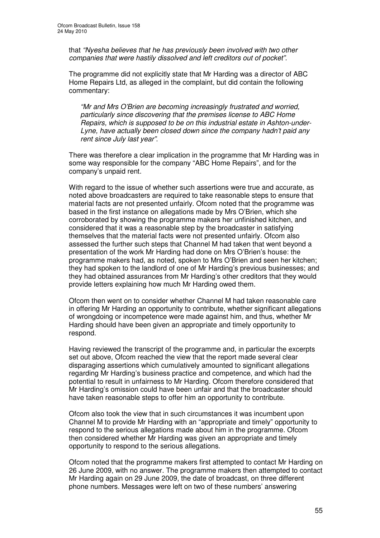that *"Nyesha believes that he has previously been involved with two other companies that were hastily dissolved and left creditors out of pocket".*

The programme did not explicitly state that Mr Harding was a director of ABC Home Repairs Ltd, as alleged in the complaint, but did contain the following commentary:

*"Mr and Mrs O'Brien are becoming increasingly frustrated and worried, particularly since discovering that the premises license to ABC Home Repairs, which is supposed to be on this industrial estate in Ashton-under-Lyne, have actually been closed down since the company hadn't paid any rent since July last year"*.

There was therefore a clear implication in the programme that Mr Harding was in some way responsible for the company "ABC Home Repairs", and for the company's unpaid rent.

With regard to the issue of whether such assertions were true and accurate, as noted above broadcasters are required to take reasonable steps to ensure that material facts are not presented unfairly. Ofcom noted that the programme was based in the first instance on allegations made by Mrs O'Brien, which she corroborated by showing the programme makers her unfinished kitchen, and considered that it was a reasonable step by the broadcaster in satisfying themselves that the material facts were not presented unfairly. Ofcom also assessed the further such steps that Channel M had taken that went beyond a presentation of the work Mr Harding had done on Mrs O'Brien's house: the programme makers had, as noted, spoken to Mrs O'Brien and seen her kitchen; they had spoken to the landlord of one of Mr Harding's previous businesses; and they had obtained assurances from Mr Harding's other creditors that they would provide letters explaining how much Mr Harding owed them.

Ofcom then went on to consider whether Channel M had taken reasonable care in offering Mr Harding an opportunity to contribute, whether significant allegations of wrongdoing or incompetence were made against him, and thus, whether Mr Harding should have been given an appropriate and timely opportunity to respond.

Having reviewed the transcript of the programme and, in particular the excerpts set out above, Ofcom reached the view that the report made several clear disparaging assertions which cumulatively amounted to significant allegations regarding Mr Harding's business practice and competence, and which had the potential to result in unfairness to Mr Harding. Ofcom therefore considered that Mr Harding's omission could have been unfair and that the broadcaster should have taken reasonable steps to offer him an opportunity to contribute.

Ofcom also took the view that in such circumstances it was incumbent upon Channel M to provide Mr Harding with an "appropriate and timely" opportunity to respond to the serious allegations made about him in the programme. Ofcom then considered whether Mr Harding was given an appropriate and timely opportunity to respond to the serious allegations.

Ofcom noted that the programme makers first attempted to contact Mr Harding on 26 June 2009, with no answer. The programme makers then attempted to contact Mr Harding again on 29 June 2009, the date of broadcast, on three different phone numbers. Messages were left on two of these numbers' answering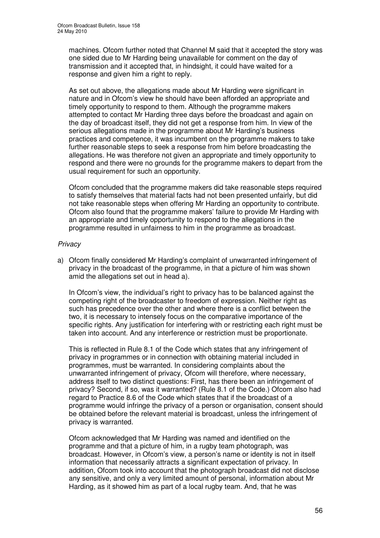machines. Ofcom further noted that Channel M said that it accepted the story was one sided due to Mr Harding being unavailable for comment on the day of transmission and it accepted that, in hindsight, it could have waited for a response and given him a right to reply.

As set out above, the allegations made about Mr Harding were significant in nature and in Ofcom's view he should have been afforded an appropriate and timely opportunity to respond to them. Although the programme makers attempted to contact Mr Harding three days before the broadcast and again on the day of broadcast itself, they did not get a response from him. In view of the serious allegations made in the programme about Mr Harding's business practices and competence, it was incumbent on the programme makers to take further reasonable steps to seek a response from him before broadcasting the allegations. He was therefore not given an appropriate and timely opportunity to respond and there were no grounds for the programme makers to depart from the usual requirement for such an opportunity.

Ofcom concluded that the programme makers did take reasonable steps required to satisfy themselves that material facts had not been presented unfairly, but did not take reasonable steps when offering Mr Harding an opportunity to contribute. Ofcom also found that the programme makers' failure to provide Mr Harding with an appropriate and timely opportunity to respond to the allegations in the programme resulted in unfairness to him in the programme as broadcast.

### *Privacy*

a) Ofcom finally considered Mr Harding's complaint of unwarranted infringement of privacy in the broadcast of the programme, in that a picture of him was shown amid the allegations set out in head a).

In Ofcom's view, the individual's right to privacy has to be balanced against the competing right of the broadcaster to freedom of expression. Neither right as such has precedence over the other and where there is a conflict between the two, it is necessary to intensely focus on the comparative importance of the specific rights. Any justification for interfering with or restricting each right must be taken into account. And any interference or restriction must be proportionate.

This is reflected in Rule 8.1 of the Code which states that any infringement of privacy in programmes or in connection with obtaining material included in programmes, must be warranted. In considering complaints about the unwarranted infringement of privacy, Ofcom will therefore, where necessary, address itself to two distinct questions: First, has there been an infringement of privacy? Second, if so, was it warranted? (Rule 8.1 of the Code.) Ofcom also had regard to Practice 8.6 of the Code which states that if the broadcast of a programme would infringe the privacy of a person or organisation, consent should be obtained before the relevant material is broadcast, unless the infringement of privacy is warranted.

Ofcom acknowledged that Mr Harding was named and identified on the programme and that a picture of him, in a rugby team photograph, was broadcast. However, in Ofcom's view, a person's name or identity is not in itself information that necessarily attracts a significant expectation of privacy. In addition, Ofcom took into account that the photograph broadcast did not disclose any sensitive, and only a very limited amount of personal, information about Mr Harding, as it showed him as part of a local rugby team. And, that he was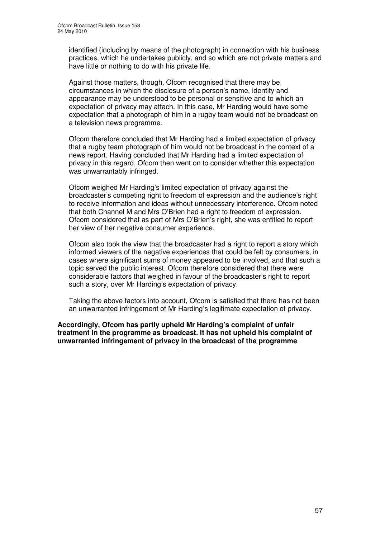identified (including by means of the photograph) in connection with his business practices, which he undertakes publicly, and so which are not private matters and have little or nothing to do with his private life.

Against those matters, though, Ofcom recognised that there may be circumstances in which the disclosure of a person's name, identity and appearance may be understood to be personal or sensitive and to which an expectation of privacy may attach. In this case, Mr Harding would have some expectation that a photograph of him in a rugby team would not be broadcast on a television news programme.

Ofcom therefore concluded that Mr Harding had a limited expectation of privacy that a rugby team photograph of him would not be broadcast in the context of a news report. Having concluded that Mr Harding had a limited expectation of privacy in this regard, Ofcom then went on to consider whether this expectation was unwarrantably infringed.

Ofcom weighed Mr Harding's limited expectation of privacy against the broadcaster's competing right to freedom of expression and the audience's right to receive information and ideas without unnecessary interference. Ofcom noted that both Channel M and Mrs O'Brien had a right to freedom of expression. Ofcom considered that as part of Mrs O'Brien's right, she was entitled to report her view of her negative consumer experience.

Ofcom also took the view that the broadcaster had a right to report a story which informed viewers of the negative experiences that could be felt by consumers, in cases where significant sums of money appeared to be involved, and that such a topic served the public interest. Ofcom therefore considered that there were considerable factors that weighed in favour of the broadcaster's right to report such a story, over Mr Harding's expectation of privacy.

Taking the above factors into account, Ofcom is satisfied that there has not been an unwarranted infringement of Mr Harding's legitimate expectation of privacy.

**Accordingly, Ofcom has partly upheld Mr Harding's complaint of unfair treatment in the programme as broadcast. It has not upheld his complaint of unwarranted infringement of privacy in the broadcast of the programme**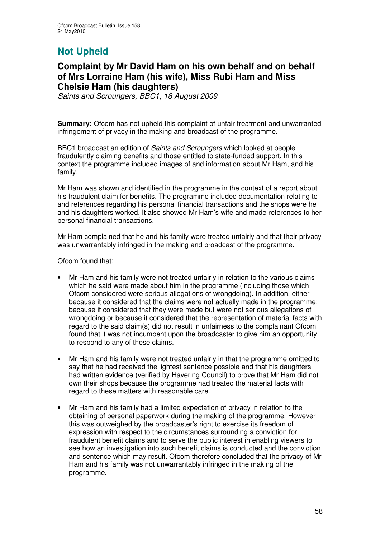# **Not Upheld**

## **Complaint by Mr David Ham on his own behalf and on behalf of Mrs Lorraine Ham (his wife), Miss Rubi Ham and Miss Chelsie Ham (his daughters)**

*Saints and Scroungers, BBC1, 18 August 2009*

**Summary:** Ofcom has not upheld this complaint of unfair treatment and unwarranted infringement of privacy in the making and broadcast of the programme.

BBC1 broadcast an edition of *Saints and Scroungers* which looked at people fraudulently claiming benefits and those entitled to state-funded support. In this context the programme included images of and information about Mr Ham, and his family.

Mr Ham was shown and identified in the programme in the context of a report about his fraudulent claim for benefits. The programme included documentation relating to and references regarding his personal financial transactions and the shops were he and his daughters worked. It also showed Mr Ham's wife and made references to her personal financial transactions.

Mr Ham complained that he and his family were treated unfairly and that their privacy was unwarrantably infringed in the making and broadcast of the programme.

Ofcom found that:

- Mr Ham and his family were not treated unfairly in relation to the various claims which he said were made about him in the programme (including those which Ofcom considered were serious allegations of wrongdoing). In addition, either because it considered that the claims were not actually made in the programme; because it considered that they were made but were not serious allegations of wrongdoing or because it considered that the representation of material facts with regard to the said claim(s) did not result in unfairness to the complainant Ofcom found that it was not incumbent upon the broadcaster to give him an opportunity to respond to any of these claims.
- Mr Ham and his family were not treated unfairly in that the programme omitted to say that he had received the lightest sentence possible and that his daughters had written evidence (verified by Havering Council) to prove that Mr Ham did not own their shops because the programme had treated the material facts with regard to these matters with reasonable care.
- Mr Ham and his family had a limited expectation of privacy in relation to the obtaining of personal paperwork during the making of the programme. However this was outweighed by the broadcaster's right to exercise its freedom of expression with respect to the circumstances surrounding a conviction for fraudulent benefit claims and to serve the public interest in enabling viewers to see how an investigation into such benefit claims is conducted and the conviction and sentence which may result. Ofcom therefore concluded that the privacy of Mr Ham and his family was not unwarrantably infringed in the making of the programme.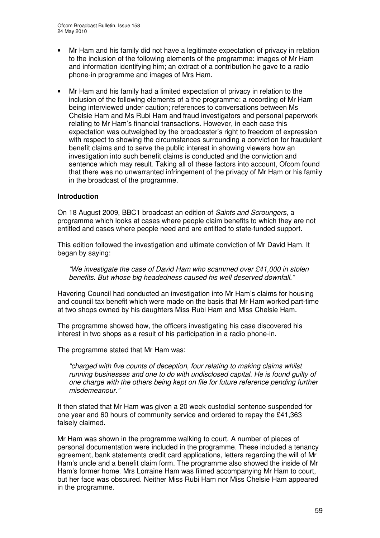- Mr Ham and his family did not have a legitimate expectation of privacy in relation to the inclusion of the following elements of the programme: images of Mr Ham and information identifying him; an extract of a contribution he gave to a radio phone-in programme and images of Mrs Ham.
- Mr Ham and his family had a limited expectation of privacy in relation to the inclusion of the following elements of a the programme: a recording of Mr Ham being interviewed under caution; references to conversations between Ms Chelsie Ham and Ms Rubi Ham and fraud investigators and personal paperwork relating to Mr Ham's financial transactions. However, in each case this expectation was outweighed by the broadcaster's right to freedom of expression with respect to showing the circumstances surrounding a conviction for fraudulent benefit claims and to serve the public interest in showing viewers how an investigation into such benefit claims is conducted and the conviction and sentence which may result. Taking all of these factors into account, Ofcom found that there was no unwarranted infringement of the privacy of Mr Ham or his family in the broadcast of the programme.

### **Introduction**

On 18 August 2009, BBC1 broadcast an edition of *Saints and Scroungers*, a programme which looks at cases where people claim benefits to which they are not entitled and cases where people need and are entitled to state-funded support.

This edition followed the investigation and ultimate conviction of Mr David Ham. It began by saying:

*"We investigate the case of David Ham who scammed over £41,000 in stolen benefits. But whose big headedness caused his well deserved downfall."*

Havering Council had conducted an investigation into Mr Ham's claims for housing and council tax benefit which were made on the basis that Mr Ham worked part-time at two shops owned by his daughters Miss Rubi Ham and Miss Chelsie Ham.

The programme showed how, the officers investigating his case discovered his interest in two shops as a result of his participation in a radio phone-in.

The programme stated that Mr Ham was:

*"charged with five counts of deception, four relating to making claims whilst running businesses and one to do with undisclosed capital. He is found guilty of one charge with the others being kept on file for future reference pending further misdemeanour."*

It then stated that Mr Ham was given a 20 week custodial sentence suspended for one year and 60 hours of community service and ordered to repay the £41,363 falsely claimed.

Mr Ham was shown in the programme walking to court. A number of pieces of personal documentation were included in the programme. These included a tenancy agreement, bank statements credit card applications, letters regarding the will of Mr Ham's uncle and a benefit claim form. The programme also showed the inside of Mr Ham's former home. Mrs Lorraine Ham was filmed accompanying Mr Ham to court, but her face was obscured. Neither Miss Rubi Ham nor Miss Chelsie Ham appeared in the programme.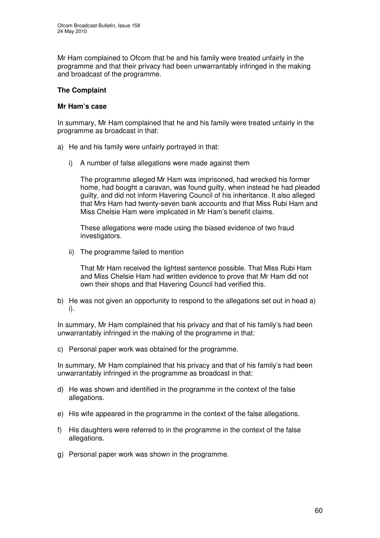Mr Ham complained to Ofcom that he and his family were treated unfairly in the programme and that their privacy had been unwarrantably infringed in the making and broadcast of the programme.

### **The Complaint**

### **Mr Ham's case**

In summary, Mr Ham complained that he and his family were treated unfairly in the programme as broadcast in that:

- a) He and his family were unfairly portrayed in that:
	- i) A number of false allegations were made against them

The programme alleged Mr Ham was imprisoned, had wrecked his former home, had bought a caravan, was found guilty, when instead he had pleaded guilty, and did not inform Havering Council of his inheritance. It also alleged that Mrs Ham had twenty-seven bank accounts and that Miss Rubi Ham and Miss Chelsie Ham were implicated in Mr Ham's benefit claims.

These allegations were made using the biased evidence of two fraud investigators.

ii) The programme failed to mention

That Mr Ham received the lightest sentence possible. That Miss Rubi Ham and Miss Chelsie Ham had written evidence to prove that Mr Ham did not own their shops and that Havering Council had verified this.

b) He was not given an opportunity to respond to the allegations set out in head a) i).

In summary, Mr Ham complained that his privacy and that of his family's had been unwarrantably infringed in the making of the programme in that:

c) Personal paper work was obtained for the programme.

In summary, Mr Ham complained that his privacy and that of his family's had been unwarrantably infringed in the programme as broadcast in that:

- d) He was shown and identified in the programme in the context of the false allegations.
- e) His wife appeared in the programme in the context of the false allegations.
- f) His daughters were referred to in the programme in the context of the false allegations.
- g) Personal paper work was shown in the programme.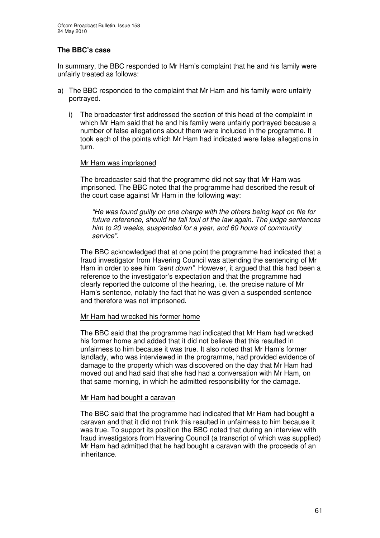### **The BBC's case**

In summary, the BBC responded to Mr Ham's complaint that he and his family were unfairly treated as follows:

- a) The BBC responded to the complaint that Mr Ham and his family were unfairly portrayed.
	- i) The broadcaster first addressed the section of this head of the complaint in which Mr Ham said that he and his family were unfairly portrayed because a number of false allegations about them were included in the programme. It took each of the points which Mr Ham had indicated were false allegations in turn.

### Mr Ham was imprisoned

The broadcaster said that the programme did not say that Mr Ham was imprisoned. The BBC noted that the programme had described the result of the court case against Mr Ham in the following way:

*"He was found guilty on one charge with the others being kept on file for future reference, should he fall foul of the law again. The judge sentences him to 20 weeks, suspended for a year, and 60 hours of community service".*

The BBC acknowledged that at one point the programme had indicated that a fraud investigator from Havering Council was attending the sentencing of Mr Ham in order to see him *"sent down"*. However, it argued that this had been a reference to the investigator's expectation and that the programme had clearly reported the outcome of the hearing, i.e. the precise nature of Mr Ham's sentence, notably the fact that he was given a suspended sentence and therefore was not imprisoned.

### Mr Ham had wrecked his former home

The BBC said that the programme had indicated that Mr Ham had wrecked his former home and added that it did not believe that this resulted in unfairness to him because it was true. It also noted that Mr Ham's former landlady, who was interviewed in the programme, had provided evidence of damage to the property which was discovered on the day that Mr Ham had moved out and had said that she had had a conversation with Mr Ham, on that same morning, in which he admitted responsibility for the damage.

### Mr Ham had bought a caravan

The BBC said that the programme had indicated that Mr Ham had bought a caravan and that it did not think this resulted in unfairness to him because it was true. To support its position the BBC noted that during an interview with fraud investigators from Havering Council (a transcript of which was supplied) Mr Ham had admitted that he had bought a caravan with the proceeds of an inheritance.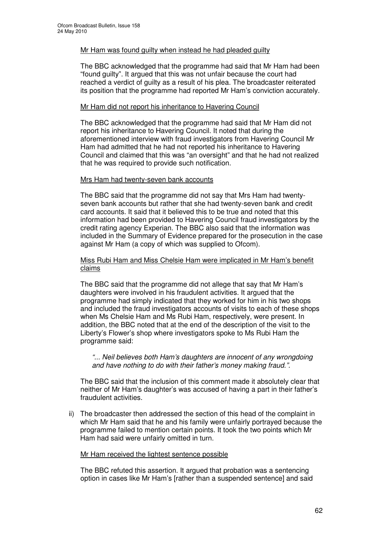### Mr Ham was found guilty when instead he had pleaded guilty

The BBC acknowledged that the programme had said that Mr Ham had been "found guilty". It argued that this was not unfair because the court had reached a verdict of guilty as a result of his plea. The broadcaster reiterated its position that the programme had reported Mr Ham's conviction accurately.

### Mr Ham did not report his inheritance to Havering Council

The BBC acknowledged that the programme had said that Mr Ham did not report his inheritance to Havering Council. It noted that during the aforementioned interview with fraud investigators from Havering Council Mr Ham had admitted that he had not reported his inheritance to Havering Council and claimed that this was "an oversight" and that he had not realized that he was required to provide such notification.

### Mrs Ham had twenty-seven bank accounts

The BBC said that the programme did not say that Mrs Ham had twentyseven bank accounts but rather that she had twenty-seven bank and credit card accounts. It said that it believed this to be true and noted that this information had been provided to Havering Council fraud investigators by the credit rating agency Experian. The BBC also said that the information was included in the Summary of Evidence prepared for the prosecution in the case against Mr Ham (a copy of which was supplied to Ofcom).

### Miss Rubi Ham and Miss Chelsie Ham were implicated in Mr Ham's benefit claims

The BBC said that the programme did not allege that say that Mr Ham's daughters were involved in his fraudulent activities. It argued that the programme had simply indicated that they worked for him in his two shops and included the fraud investigators accounts of visits to each of these shops when Ms Chelsie Ham and Ms Rubi Ham, respectively, were present. In addition, the BBC noted that at the end of the description of the visit to the Liberty's Flower's shop where investigators spoke to Ms Rubi Ham the programme said:

*"... Neil believes both Ham's daughters are innocent of any wrongdoing and have nothing to do with their father's money making fraud.".*

The BBC said that the inclusion of this comment made it absolutely clear that neither of Mr Ham's daughter's was accused of having a part in their father's fraudulent activities.

ii) The broadcaster then addressed the section of this head of the complaint in which Mr Ham said that he and his family were unfairly portrayed because the programme failed to mention certain points. It took the two points which Mr Ham had said were unfairly omitted in turn.

### Mr Ham received the lightest sentence possible

The BBC refuted this assertion. It argued that probation was a sentencing option in cases like Mr Ham's [rather than a suspended sentence] and said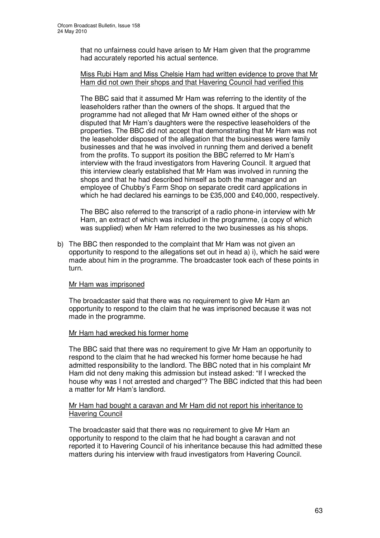that no unfairness could have arisen to Mr Ham given that the programme had accurately reported his actual sentence.

### Miss Rubi Ham and Miss Chelsie Ham had written evidence to prove that Mr Ham did not own their shops and that Havering Council had verified this

The BBC said that it assumed Mr Ham was referring to the identity of the leaseholders rather than the owners of the shops. It argued that the programme had not alleged that Mr Ham owned either of the shops or disputed that Mr Ham's daughters were the respective leaseholders of the properties. The BBC did not accept that demonstrating that Mr Ham was not the leaseholder disposed of the allegation that the businesses were family businesses and that he was involved in running them and derived a benefit from the profits. To support its position the BBC referred to Mr Ham's interview with the fraud investigators from Havering Council. It argued that this interview clearly established that Mr Ham was involved in running the shops and that he had described himself as both the manager and an employee of Chubby's Farm Shop on separate credit card applications in which he had declared his earnings to be £35,000 and £40,000, respectively.

The BBC also referred to the transcript of a radio phone-in interview with Mr Ham, an extract of which was included in the programme, (a copy of which was supplied) when Mr Ham referred to the two businesses as his shops.

b) The BBC then responded to the complaint that Mr Ham was not given an opportunity to respond to the allegations set out in head a) i), which he said were made about him in the programme. The broadcaster took each of these points in turn.

### Mr Ham was imprisoned

The broadcaster said that there was no requirement to give Mr Ham an opportunity to respond to the claim that he was imprisoned because it was not made in the programme.

### Mr Ham had wrecked his former home

The BBC said that there was no requirement to give Mr Ham an opportunity to respond to the claim that he had wrecked his former home because he had admitted responsibility to the landlord. The BBC noted that in his complaint Mr Ham did not deny making this admission but instead asked: "If I wrecked the house why was I not arrested and charged"? The BBC indicted that this had been a matter for Mr Ham's landlord.

### Mr Ham had bought a caravan and Mr Ham did not report his inheritance to Havering Council

The broadcaster said that there was no requirement to give Mr Ham an opportunity to respond to the claim that he had bought a caravan and not reported it to Havering Council of his inheritance because this had admitted these matters during his interview with fraud investigators from Havering Council.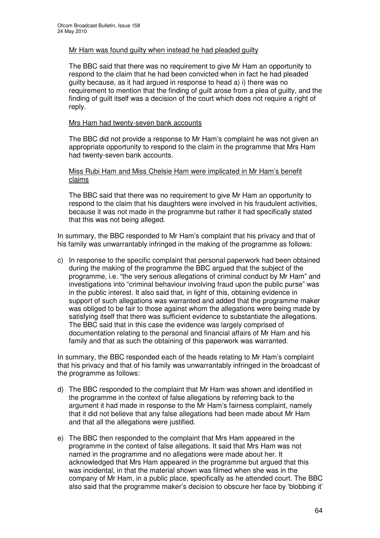### Mr Ham was found guilty when instead he had pleaded guilty

The BBC said that there was no requirement to give Mr Ham an opportunity to respond to the claim that he had been convicted when in fact he had pleaded guilty because, as it had argued in response to head a) i) there was no requirement to mention that the finding of guilt arose from a plea of guilty, and the finding of guilt itself was a decision of the court which does not require a right of reply.

### Mrs Ham had twenty-seven bank accounts

The BBC did not provide a response to Mr Ham's complaint he was not given an appropriate opportunity to respond to the claim in the programme that Mrs Ham had twenty-seven bank accounts.

### Miss Rubi Ham and Miss Chelsie Ham were implicated in Mr Ham's benefit claims

The BBC said that there was no requirement to give Mr Ham an opportunity to respond to the claim that his daughters were involved in his fraudulent activities, because it was not made in the programme but rather it had specifically stated that this was not being alleged.

In summary, the BBC responded to Mr Ham's complaint that his privacy and that of his family was unwarrantably infringed in the making of the programme as follows:

c) In response to the specific complaint that personal paperwork had been obtained during the making of the programme the BBC argued that the subject of the programme, i.e. "the very serious allegations of criminal conduct by Mr Ham" and investigations into "criminal behaviour involving fraud upon the public purse" was in the public interest. It also said that, in light of this, obtaining evidence in support of such allegations was warranted and added that the programme maker was obliged to be fair to those against whom the allegations were being made by satisfying itself that there was sufficient evidence to substantiate the allegations. The BBC said that in this case the evidence was largely comprised of documentation relating to the personal and financial affairs of Mr Ham and his family and that as such the obtaining of this paperwork was warranted.

In summary, the BBC responded each of the heads relating to Mr Ham's complaint that his privacy and that of his family was unwarrantably infringed in the broadcast of the programme as follows:

- d) The BBC responded to the complaint that Mr Ham was shown and identified in the programme in the context of false allegations by referring back to the argument it had made in response to the Mr Ham's fairness complaint, namely that it did not believe that any false allegations had been made about Mr Ham and that all the allegations were justified.
- e) The BBC then responded to the complaint that Mrs Ham appeared in the programme in the context of false allegations. It said that Mrs Ham was not named in the programme and no allegations were made about her. It acknowledged that Mrs Ham appeared in the programme but argued that this was incidental, in that the material shown was filmed when she was in the company of Mr Ham, in a public place, specifically as he attended court. The BBC also said that the programme maker's decision to obscure her face by 'blobbing it'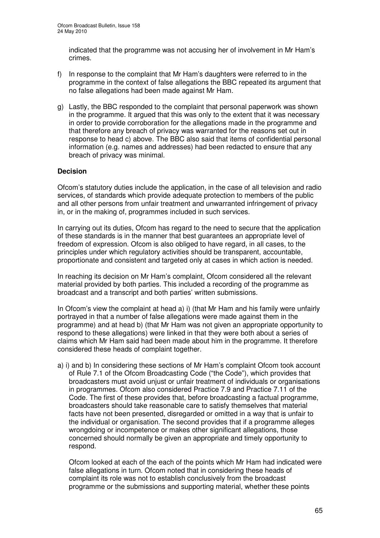indicated that the programme was not accusing her of involvement in Mr Ham's crimes.

- f) In response to the complaint that Mr Ham's daughters were referred to in the programme in the context of false allegations the BBC repeated its argument that no false allegations had been made against Mr Ham.
- g) Lastly, the BBC responded to the complaint that personal paperwork was shown in the programme. It argued that this was only to the extent that it was necessary in order to provide corroboration for the allegations made in the programme and that therefore any breach of privacy was warranted for the reasons set out in response to head c) above. The BBC also said that items of confidential personal information (e.g. names and addresses) had been redacted to ensure that any breach of privacy was minimal.

### **Decision**

Ofcom's statutory duties include the application, in the case of all television and radio services, of standards which provide adequate protection to members of the public and all other persons from unfair treatment and unwarranted infringement of privacy in, or in the making of, programmes included in such services.

In carrying out its duties, Ofcom has regard to the need to secure that the application of these standards is in the manner that best guarantees an appropriate level of freedom of expression. Ofcom is also obliged to have regard, in all cases, to the principles under which regulatory activities should be transparent, accountable, proportionate and consistent and targeted only at cases in which action is needed.

In reaching its decision on Mr Ham's complaint, Ofcom considered all the relevant material provided by both parties. This included a recording of the programme as broadcast and a transcript and both parties' written submissions.

In Ofcom's view the complaint at head a) i) (that Mr Ham and his family were unfairly portrayed in that a number of false allegations were made against them in the programme) and at head b) (that Mr Ham was not given an appropriate opportunity to respond to these allegations) were linked in that they were both about a series of claims which Mr Ham said had been made about him in the programme. It therefore considered these heads of complaint together.

a) i) and b) In considering these sections of Mr Ham's complaint Ofcom took account of Rule 7.1 of the Ofcom Broadcasting Code ("the Code"), which provides that broadcasters must avoid unjust or unfair treatment of individuals or organisations in programmes. Ofcom also considered Practice 7.9 and Practice 7.11 of the Code. The first of these provides that, before broadcasting a factual programme, broadcasters should take reasonable care to satisfy themselves that material facts have not been presented, disregarded or omitted in a way that is unfair to the individual or organisation. The second provides that if a programme alleges wrongdoing or incompetence or makes other significant allegations, those concerned should normally be given an appropriate and timely opportunity to respond.

Ofcom looked at each of the each of the points which Mr Ham had indicated were false allegations in turn. Ofcom noted that in considering these heads of complaint its role was not to establish conclusively from the broadcast programme or the submissions and supporting material, whether these points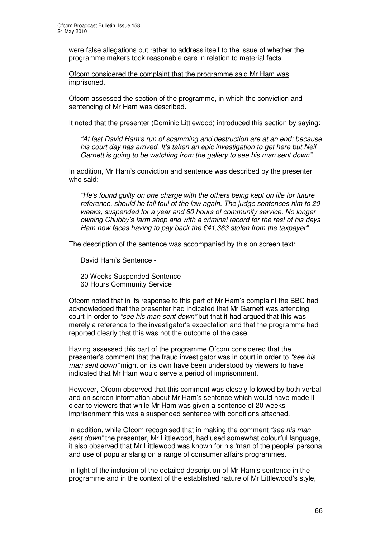were false allegations but rather to address itself to the issue of whether the programme makers took reasonable care in relation to material facts.

Ofcom considered the complaint that the programme said Mr Ham was imprisoned.

Ofcom assessed the section of the programme, in which the conviction and sentencing of Mr Ham was described.

It noted that the presenter (Dominic Littlewood) introduced this section by saying:

*"At last David Ham's run of scamming and destruction are at an end; because his court day has arrived. It's taken an epic investigation to get here but Neil Garnett is going to be watching from the gallery to see his man sent down".*

In addition, Mr Ham's conviction and sentence was described by the presenter who said:

*"He's found guilty on one charge with the others being kept on file for future reference, should he fall foul of the law again. The judge sentences him to 20 weeks, suspended for a year and 60 hours of community service. No longer owning Chubby's farm shop and with a criminal record for the rest of his days Ham now faces having to pay back the £41,363 stolen from the taxpayer".*

The description of the sentence was accompanied by this on screen text:

David Ham's Sentence -

20 Weeks Suspended Sentence 60 Hours Community Service

Ofcom noted that in its response to this part of Mr Ham's complaint the BBC had acknowledged that the presenter had indicated that Mr Garnett was attending court in order to *"see his man sent down"* but that it had argued that this was merely a reference to the investigator's expectation and that the programme had reported clearly that this was not the outcome of the case.

Having assessed this part of the programme Ofcom considered that the presenter's comment that the fraud investigator was in court in order to *"see his man sent down"* might on its own have been understood by viewers to have indicated that Mr Ham would serve a period of imprisonment.

However, Ofcom observed that this comment was closely followed by both verbal and on screen information about Mr Ham's sentence which would have made it clear to viewers that while Mr Ham was given a sentence of 20 weeks imprisonment this was a suspended sentence with conditions attached.

In addition, while Ofcom recognised that in making the comment *"see his man sent down"* the presenter, Mr Littlewood, had used somewhat colourful language, it also observed that Mr Littlewood was known for his 'man of the people' persona and use of popular slang on a range of consumer affairs programmes.

In light of the inclusion of the detailed description of Mr Ham's sentence in the programme and in the context of the established nature of Mr Littlewood's style,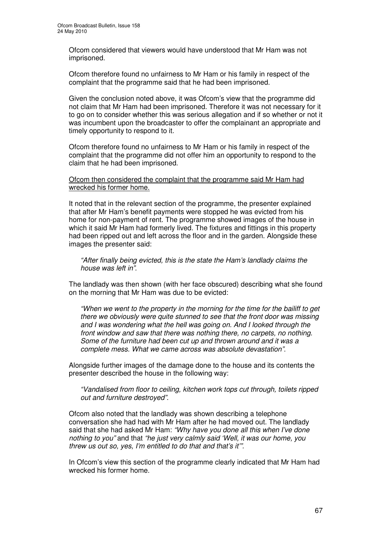Ofcom considered that viewers would have understood that Mr Ham was not imprisoned.

Ofcom therefore found no unfairness to Mr Ham or his family in respect of the complaint that the programme said that he had been imprisoned.

Given the conclusion noted above, it was Ofcom's view that the programme did not claim that Mr Ham had been imprisoned. Therefore it was not necessary for it to go on to consider whether this was serious allegation and if so whether or not it was incumbent upon the broadcaster to offer the complainant an appropriate and timely opportunity to respond to it.

Ofcom therefore found no unfairness to Mr Ham or his family in respect of the complaint that the programme did not offer him an opportunity to respond to the claim that he had been imprisoned.

### Ofcom then considered the complaint that the programme said Mr Ham had wrecked his former home.

It noted that in the relevant section of the programme, the presenter explained that after Mr Ham's benefit payments were stopped he was evicted from his home for non-payment of rent. The programme showed images of the house in which it said Mr Ham had formerly lived. The fixtures and fittings in this property had been ripped out and left across the floor and in the garden. Alongside these images the presenter said:

*"After finally being evicted, this is the state the Ham's landlady claims the house was left in"*.

The landlady was then shown (with her face obscured) describing what she found on the morning that Mr Ham was due to be evicted:

*"When we went to the property in the morning for the time for the bailiff to get there we obviously were quite stunned to see that the front door was missing and I was wondering what the hell was going on. And I looked through the front window and saw that there was nothing there, no carpets, no nothing. Some of the furniture had been cut up and thrown around and it was a complete mess. What we came across was absolute devastation"*.

Alongside further images of the damage done to the house and its contents the presenter described the house in the following way:

*"Vandalised from floor to ceiling, kitchen work tops cut through, toilets ripped out and furniture destroyed".*

Ofcom also noted that the landlady was shown describing a telephone conversation she had had with Mr Ham after he had moved out. The landlady said that she had asked Mr Ham: *"Why have you done all this when I've done nothing to you"* and that *"he just very calmly said 'Well, it was our home, you threw us out so, yes, I'm entitled to do that and that's it'".*

In Ofcom's view this section of the programme clearly indicated that Mr Ham had wrecked his former home.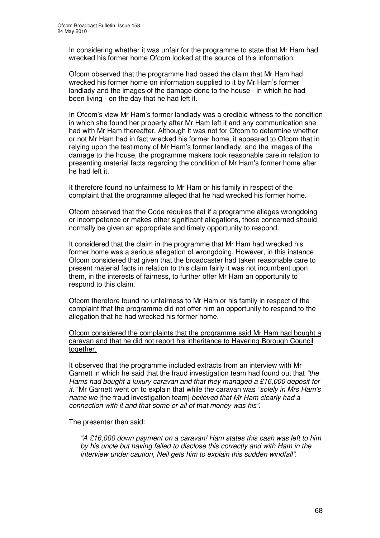In considering whether it was unfair for the programme to state that Mr Ham had wrecked his former home Ofcom looked at the source of this information.

Ofcom observed that the programme had based the claim that Mr Ham had wrecked his former home on information supplied to it by Mr Ham's former landlady and the images of the damage done to the house - in which he had been living - on the day that he had left it.

In Ofcom's view Mr Ham's former landlady was a credible witness to the condition in which she found her property after Mr Ham left it and any communication she had with Mr Ham thereafter. Although it was not for Ofcom to determine whether or not Mr Ham had in fact wrecked his former home, it appeared to Ofcom that in relying upon the testimony of Mr Ham's former landlady, and the images of the damage to the house, the programme makers took reasonable care in relation to presenting material facts regarding the condition of Mr Ham's former home after he had left it.

It therefore found no unfairness to Mr Ham or his family in respect of the complaint that the programme alleged that he had wrecked his former home.

Ofcom observed that the Code requires that if a programme alleges wrongdoing or incompetence or makes other significant allegations, those concerned should normally be given an appropriate and timely opportunity to respond.

It considered that the claim in the programme that Mr Ham had wrecked his former home was a serious allegation of wrongdoing. However, in this instance Ofcom considered that given that the broadcaster had taken reasonable care to present material facts in relation to this claim fairly it was not incumbent upon them, in the interests of fairness, to further offer Mr Ham an opportunity to respond to this claim.

Ofcom therefore found no unfairness to Mr Ham or his family in respect of the complaint that the programme did not offer him an opportunity to respond to the allegation that he had wrecked his former home.

Ofcom considered the complaints that the programme said Mr Ham had bought a caravan and that he did not report his inheritance to Havering Borough Council together.

It observed that the programme included extracts from an interview with Mr Garnett in which he said that the fraud investigation team had found out that *"the Hams had bought a luxury caravan and that they managed a £16,000 deposit for it."* Mr Garnett went on to explain that while the caravan was *"solely in Mrs Ham's name we* [the fraud investigation team] *believed that Mr Ham clearly had a connection with it and that some or all of that money was his"*.

The presenter then said:

*"A £16,000 down payment on a caravan! Ham states this cash was left to him by his uncle but having failed to disclose this correctly and with Ham in the interview under caution, Neil gets him to explain this sudden windfall".*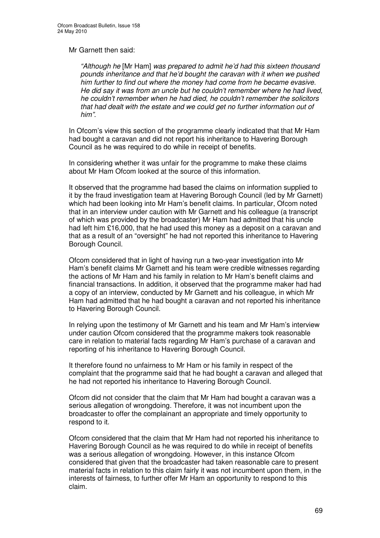### Mr Garnett then said:

*"Although he* [Mr Ham] *was prepared to admit he'd had this sixteen thousand pounds inheritance and that he'd bought the caravan with it when we pushed him further to find out where the money had come from he became evasive. He did say it was from an uncle but he couldn't remember where he had lived, he couldn't remember when he had died, he couldn't remember the solicitors that had dealt with the estate and we could get no further information out of him".*

In Ofcom's view this section of the programme clearly indicated that that Mr Ham had bought a caravan and did not report his inheritance to Havering Borough Council as he was required to do while in receipt of benefits.

In considering whether it was unfair for the programme to make these claims about Mr Ham Ofcom looked at the source of this information.

It observed that the programme had based the claims on information supplied to it by the fraud investigation team at Havering Borough Council (led by Mr Garnett) which had been looking into Mr Ham's benefit claims. In particular, Ofcom noted that in an interview under caution with Mr Garnett and his colleague (a transcript of which was provided by the broadcaster) Mr Ham had admitted that his uncle had left him £16,000, that he had used this money as a deposit on a caravan and that as a result of an "oversight" he had not reported this inheritance to Havering Borough Council.

Ofcom considered that in light of having run a two-year investigation into Mr Ham's benefit claims Mr Garnett and his team were credible witnesses regarding the actions of Mr Ham and his family in relation to Mr Ham's benefit claims and financial transactions. In addition, it observed that the programme maker had had a copy of an interview, conducted by Mr Garnett and his colleague, in which Mr Ham had admitted that he had bought a caravan and not reported his inheritance to Havering Borough Council.

In relying upon the testimony of Mr Garnett and his team and Mr Ham's interview under caution Ofcom considered that the programme makers took reasonable care in relation to material facts regarding Mr Ham's purchase of a caravan and reporting of his inheritance to Havering Borough Council.

It therefore found no unfairness to Mr Ham or his family in respect of the complaint that the programme said that he had bought a caravan and alleged that he had not reported his inheritance to Havering Borough Council.

Ofcom did not consider that the claim that Mr Ham had bought a caravan was a serious allegation of wrongdoing. Therefore, it was not incumbent upon the broadcaster to offer the complainant an appropriate and timely opportunity to respond to it.

Ofcom considered that the claim that Mr Ham had not reported his inheritance to Havering Borough Council as he was required to do while in receipt of benefits was a serious allegation of wrongdoing. However, in this instance Ofcom considered that given that the broadcaster had taken reasonable care to present material facts in relation to this claim fairly it was not incumbent upon them, in the interests of fairness, to further offer Mr Ham an opportunity to respond to this claim.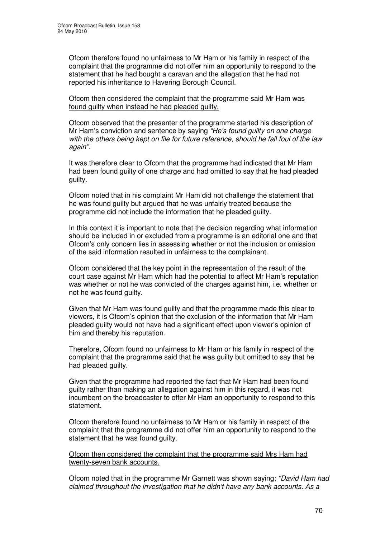Ofcom therefore found no unfairness to Mr Ham or his family in respect of the complaint that the programme did not offer him an opportunity to respond to the statement that he had bought a caravan and the allegation that he had not reported his inheritance to Havering Borough Council.

Ofcom then considered the complaint that the programme said Mr Ham was found guilty when instead he had pleaded guilty.

Ofcom observed that the presenter of the programme started his description of Mr Ham's conviction and sentence by saying *"He's found guilty on one charge with the others being kept on file for future reference, should he fall foul of the law again".*

It was therefore clear to Ofcom that the programme had indicated that Mr Ham had been found guilty of one charge and had omitted to say that he had pleaded guilty.

Ofcom noted that in his complaint Mr Ham did not challenge the statement that he was found guilty but argued that he was unfairly treated because the programme did not include the information that he pleaded guilty.

In this context it is important to note that the decision regarding what information should be included in or excluded from a programme is an editorial one and that Ofcom's only concern lies in assessing whether or not the inclusion or omission of the said information resulted in unfairness to the complainant.

Ofcom considered that the key point in the representation of the result of the court case against Mr Ham which had the potential to affect Mr Ham's reputation was whether or not he was convicted of the charges against him, i.e. whether or not he was found guilty.

Given that Mr Ham was found guilty and that the programme made this clear to viewers, it is Ofcom's opinion that the exclusion of the information that Mr Ham pleaded guilty would not have had a significant effect upon viewer's opinion of him and thereby his reputation.

Therefore, Ofcom found no unfairness to Mr Ham or his family in respect of the complaint that the programme said that he was guilty but omitted to say that he had pleaded guilty.

Given that the programme had reported the fact that Mr Ham had been found guilty rather than making an allegation against him in this regard, it was not incumbent on the broadcaster to offer Mr Ham an opportunity to respond to this statement.

Ofcom therefore found no unfairness to Mr Ham or his family in respect of the complaint that the programme did not offer him an opportunity to respond to the statement that he was found guilty.

### Ofcom then considered the complaint that the programme said Mrs Ham had twenty-seven bank accounts.

Ofcom noted that in the programme Mr Garnett was shown saying: *"David Ham had claimed throughout the investigation that he didn't have any bank accounts. As a*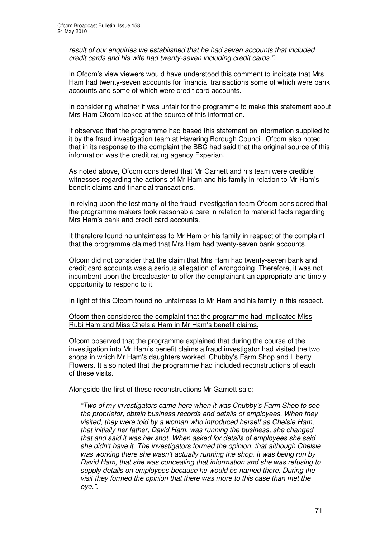*result of our enquiries we established that he had seven accounts that included credit cards and his wife had twenty-seven including credit cards."*.

In Ofcom's view viewers would have understood this comment to indicate that Mrs Ham had twenty-seven accounts for financial transactions some of which were bank accounts and some of which were credit card accounts.

In considering whether it was unfair for the programme to make this statement about Mrs Ham Ofcom looked at the source of this information.

It observed that the programme had based this statement on information supplied to it by the fraud investigation team at Havering Borough Council. Ofcom also noted that in its response to the complaint the BBC had said that the original source of this information was the credit rating agency Experian.

As noted above, Ofcom considered that Mr Garnett and his team were credible witnesses regarding the actions of Mr Ham and his family in relation to Mr Ham's benefit claims and financial transactions.

In relying upon the testimony of the fraud investigation team Ofcom considered that the programme makers took reasonable care in relation to material facts regarding Mrs Ham's bank and credit card accounts.

It therefore found no unfairness to Mr Ham or his family in respect of the complaint that the programme claimed that Mrs Ham had twenty-seven bank accounts.

Ofcom did not consider that the claim that Mrs Ham had twenty-seven bank and credit card accounts was a serious allegation of wrongdoing. Therefore, it was not incumbent upon the broadcaster to offer the complainant an appropriate and timely opportunity to respond to it.

In light of this Ofcom found no unfairness to Mr Ham and his family in this respect.

Ofcom then considered the complaint that the programme had implicated Miss Rubi Ham and Miss Chelsie Ham in Mr Ham's benefit claims.

Ofcom observed that the programme explained that during the course of the investigation into Mr Ham's benefit claims a fraud investigator had visited the two shops in which Mr Ham's daughters worked, Chubby's Farm Shop and Liberty Flowers. It also noted that the programme had included reconstructions of each of these visits.

Alongside the first of these reconstructions Mr Garnett said:

*"Two of my investigators came here when it was Chubby's Farm Shop to see the proprietor, obtain business records and details of employees. When they visited, they were told by a woman who introduced herself as Chelsie Ham, that initially her father, David Ham, was running the business, she changed that and said it was her shot. When asked for details of employees she said she didn't have it. The investigators formed the opinion, that although Chelsie was working there she wasn't actually running the shop. It was being run by David Ham, that she was concealing that information and she was refusing to supply details on employees because he would be named there. During the visit they formed the opinion that there was more to this case than met the eye.".*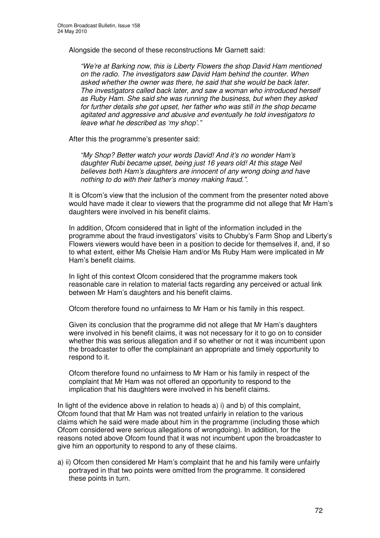Alongside the second of these reconstructions Mr Garnett said:

*"We're at Barking now, this is Liberty Flowers the shop David Ham mentioned on the radio. The investigators saw David Ham behind the counter. When asked whether the owner was there, he said that she would be back later. The investigators called back later, and saw a woman who introduced herself as Ruby Ham. She said she was running the business, but when they asked for further details she got upset, her father who was still in the shop became agitated and aggressive and abusive and eventually he told investigators to leave what he described as 'my shop'*.*"*

After this the programme's presenter said:

*"My Shop? Better watch your words David! And it's no wonder Ham's daughter Rubi became upset, being just 16 years old! At this stage Neil believes both Ham's daughters are innocent of any wrong doing and have nothing to do with their father's money making fraud.".*

It is Ofcom's view that the inclusion of the comment from the presenter noted above would have made it clear to viewers that the programme did not allege that Mr Ham's daughters were involved in his benefit claims.

In addition, Ofcom considered that in light of the information included in the programme about the fraud investigators' visits to Chubby's Farm Shop and Liberty's Flowers viewers would have been in a position to decide for themselves if, and, if so to what extent, either Ms Chelsie Ham and/or Ms Ruby Ham were implicated in Mr Ham's benefit claims.

In light of this context Ofcom considered that the programme makers took reasonable care in relation to material facts regarding any perceived or actual link between Mr Ham's daughters and his benefit claims.

Ofcom therefore found no unfairness to Mr Ham or his family in this respect.

Given its conclusion that the programme did not allege that Mr Ham's daughters were involved in his benefit claims, it was not necessary for it to go on to consider whether this was serious allegation and if so whether or not it was incumbent upon the broadcaster to offer the complainant an appropriate and timely opportunity to respond to it.

Ofcom therefore found no unfairness to Mr Ham or his family in respect of the complaint that Mr Ham was not offered an opportunity to respond to the implication that his daughters were involved in his benefit claims.

In light of the evidence above in relation to heads a) i) and b) of this complaint, Ofcom found that that Mr Ham was not treated unfairly in relation to the various claims which he said were made about him in the programme (including those which Ofcom considered were serious allegations of wrongdoing). In addition, for the reasons noted above Ofcom found that it was not incumbent upon the broadcaster to give him an opportunity to respond to any of these claims.

a) ii) Ofcom then considered Mr Ham's complaint that he and his family were unfairly portrayed in that two points were omitted from the programme. It considered these points in turn.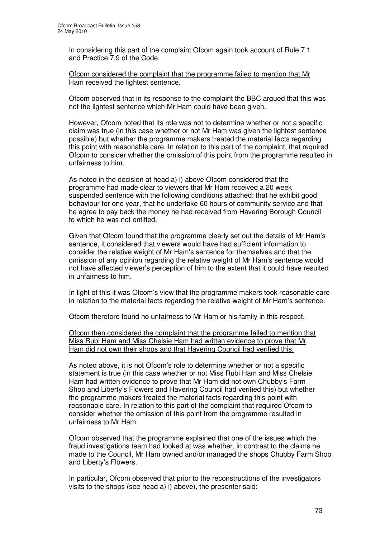In considering this part of the complaint Ofcom again took account of Rule 7.1 and Practice 7.9 of the Code.

Ofcom considered the complaint that the programme failed to mention that Mr Ham received the lightest sentence.

Ofcom observed that in its response to the complaint the BBC argued that this was not the lightest sentence which Mr Ham could have been given.

However, Ofcom noted that its role was not to determine whether or not a specific claim was true (in this case whether or not Mr Ham was given the lightest sentence possible) but whether the programme makers treated the material facts regarding this point with reasonable care. In relation to this part of the complaint, that required Ofcom to consider whether the omission of this point from the programme resulted in unfairness to him.

As noted in the decision at head a) i) above Ofcom considered that the programme had made clear to viewers that Mr Ham received a 20 week suspended sentence with the following conditions attached: that he exhibit good behaviour for one year, that he undertake 60 hours of community service and that he agree to pay back the money he had received from Havering Borough Council to which he was not entitled.

Given that Ofcom found that the programme clearly set out the details of Mr Ham's sentence, it considered that viewers would have had sufficient information to consider the relative weight of Mr Ham's sentence for themselves and that the omission of any opinion regarding the relative weight of Mr Ham's sentence would not have affected viewer's perception of him to the extent that it could have resulted in unfairness to him.

In light of this it was Ofcom's view that the programme makers took reasonable care in relation to the material facts regarding the relative weight of Mr Ham's sentence.

Ofcom therefore found no unfairness to Mr Ham or his family in this respect.

Ofcom then considered the complaint that the programme failed to mention that Miss Rubi Ham and Miss Chelsie Ham had written evidence to prove that Mr Ham did not own their shops and that Havering Council had verified this.

As noted above, it is not Ofcom's role to determine whether or not a specific statement is true (in this case whether or not Miss Rubi Ham and Miss Chelsie Ham had written evidence to prove that Mr Ham did not own Chubby's Farm Shop and Liberty's Flowers and Havering Council had verified this) but whether the programme makers treated the material facts regarding this point with reasonable care. In relation to this part of the complaint that required Ofcom to consider whether the omission of this point from the programme resulted in unfairness to Mr Ham.

Ofcom observed that the programme explained that one of the issues which the fraud investigations team had looked at was whether, in contrast to the claims he made to the Council, Mr Ham owned and/or managed the shops Chubby Farm Shop and Liberty's Flowers.

In particular, Ofcom observed that prior to the reconstructions of the investigators visits to the shops (see head a) i) above), the presenter said: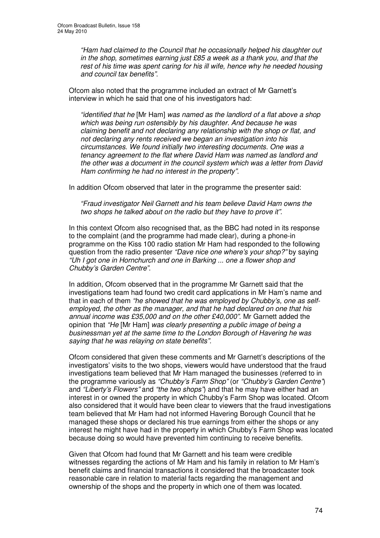*"Ham had claimed to the Council that he occasionally helped his daughter out in the shop, sometimes earning just £85 a week as a thank you, and that the rest of his time was spent caring for his ill wife, hence why he needed housing and council tax benefits"*.

Ofcom also noted that the programme included an extract of Mr Garnett's interview in which he said that one of his investigators had:

*"identified that he* [Mr Ham] *was named as the landlord of a flat above a shop which was being run ostensibly by his daughter. And because he was claiming benefit and not declaring any relationship with the shop or flat, and not declaring any rents received we began an investigation into his circumstances. We found initially two interesting documents. One was a tenancy agreement to the flat where David Ham was named as landlord and the other was a document in the council system which was a letter from David Ham confirming he had no interest in the property".*

In addition Ofcom observed that later in the programme the presenter said:

*"Fraud investigator Neil Garnett and his team believe David Ham owns the two shops he talked about on the radio but they have to prove it".*

In this context Ofcom also recognised that, as the BBC had noted in its response to the complaint (and the programme had made clear), during a phone-in programme on the Kiss 100 radio station Mr Ham had responded to the following question from the radio presenter *"Dave nice one where's your shop?"* by saying *"Uh I got one in Hornchurch and one in Barking ... one a flower shop and Chubby's Garden Centre"*.

In addition, Ofcom observed that in the programme Mr Garnett said that the investigations team had found two credit card applications in Mr Ham's name and that in each of them *"he showed that he was employed by Chubby's, one as selfemployed, the other as the manager, and that he had declared on one that his annual income was £35,000 and on the other £40,000"*. Mr Garnett added the opinion that *"He* [Mr Ham] *was clearly presenting a public image of being a businessman yet at the same time to the London Borough of Havering he was saying that he was relaying on state benefits".*

Ofcom considered that given these comments and Mr Garnett's descriptions of the investigators' visits to the two shops, viewers would have understood that the fraud investigations team believed that Mr Ham managed the businesses (referred to in the programme variously as *"Chubby's Farm Shop"* (or *"Chubby's Garden Centre"*) and *"Liberty's Flowers"* and *"the two shops"*) and that he may have either had an interest in or owned the property in which Chubby's Farm Shop was located. Ofcom also considered that it would have been clear to viewers that the fraud investigations team believed that Mr Ham had not informed Havering Borough Council that he managed these shops or declared his true earnings from either the shops or any interest he might have had in the property in which Chubby's Farm Shop was located because doing so would have prevented him continuing to receive benefits.

Given that Ofcom had found that Mr Garnett and his team were credible witnesses regarding the actions of Mr Ham and his family in relation to Mr Ham's benefit claims and financial transactions it considered that the broadcaster took reasonable care in relation to material facts regarding the management and ownership of the shops and the property in which one of them was located.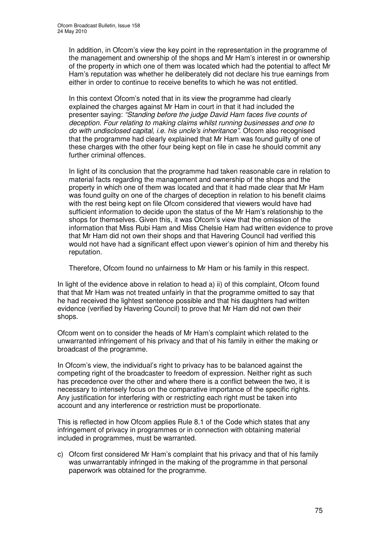In addition, in Ofcom's view the key point in the representation in the programme of the management and ownership of the shops and Mr Ham's interest in or ownership of the property in which one of them was located which had the potential to affect Mr Ham's reputation was whether he deliberately did not declare his true earnings from either in order to continue to receive benefits to which he was not entitled.

In this context Ofcom's noted that in its view the programme had clearly explained the charges against Mr Ham in court in that it had included the presenter saying: *"Standing before the judge David Ham faces five counts of deception. Four relating to making claims whilst running businesses and one to do with undisclosed capital, i.e. his uncle's inheritance"*. Ofcom also recognised that the programme had clearly explained that Mr Ham was found guilty of one of these charges with the other four being kept on file in case he should commit any further criminal offences.

In light of its conclusion that the programme had taken reasonable care in relation to material facts regarding the management and ownership of the shops and the property in which one of them was located and that it had made clear that Mr Ham was found guilty on one of the charges of deception in relation to his benefit claims with the rest being kept on file Ofcom considered that viewers would have had sufficient information to decide upon the status of the Mr Ham's relationship to the shops for themselves. Given this, it was Ofcom's view that the omission of the information that Miss Rubi Ham and Miss Chelsie Ham had written evidence to prove that Mr Ham did not own their shops and that Havering Council had verified this would not have had a significant effect upon viewer's opinion of him and thereby his reputation.

Therefore, Ofcom found no unfairness to Mr Ham or his family in this respect.

In light of the evidence above in relation to head a) ii) of this complaint, Ofcom found that that Mr Ham was not treated unfairly in that the programme omitted to say that he had received the lightest sentence possible and that his daughters had written evidence (verified by Havering Council) to prove that Mr Ham did not own their shops.

Ofcom went on to consider the heads of Mr Ham's complaint which related to the unwarranted infringement of his privacy and that of his family in either the making or broadcast of the programme.

In Ofcom's view, the individual's right to privacy has to be balanced against the competing right of the broadcaster to freedom of expression. Neither right as such has precedence over the other and where there is a conflict between the two, it is necessary to intensely focus on the comparative importance of the specific rights. Any justification for interfering with or restricting each right must be taken into account and any interference or restriction must be proportionate.

This is reflected in how Ofcom applies Rule 8.1 of the Code which states that any infringement of privacy in programmes or in connection with obtaining material included in programmes, must be warranted.

c) Ofcom first considered Mr Ham's complaint that his privacy and that of his family was unwarrantably infringed in the making of the programme in that personal paperwork was obtained for the programme.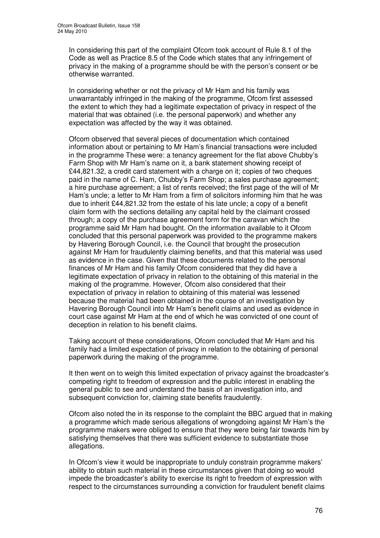In considering this part of the complaint Ofcom took account of Rule 8.1 of the Code as well as Practice 8.5 of the Code which states that any infringement of privacy in the making of a programme should be with the person's consent or be otherwise warranted.

In considering whether or not the privacy of Mr Ham and his family was unwarrantably infringed in the making of the programme, Ofcom first assessed the extent to which they had a legitimate expectation of privacy in respect of the material that was obtained (i.e. the personal paperwork) and whether any expectation was affected by the way it was obtained.

Ofcom observed that several pieces of documentation which contained information about or pertaining to Mr Ham's financial transactions were included in the programme These were: a tenancy agreement for the flat above Chubby's Farm Shop with Mr Ham's name on it, a bank statement showing receipt of £44,821.32, a credit card statement with a charge on it; copies of two cheques paid in the name of C. Ham, Chubby's Farm Shop; a sales purchase agreement; a hire purchase agreement; a list of rents received; the first page of the will of Mr Ham's uncle; a letter to Mr Ham from a firm of solicitors informing him that he was due to inherit £44,821.32 from the estate of his late uncle; a copy of a benefit claim form with the sections detailing any capital held by the claimant crossed through; a copy of the purchase agreement form for the caravan which the programme said Mr Ham had bought. On the information available to it Ofcom concluded that this personal paperwork was provided to the programme makers by Havering Borough Council, i.e. the Council that brought the prosecution against Mr Ham for fraudulently claiming benefits, and that this material was used as evidence in the case. Given that these documents related to the personal finances of Mr Ham and his family Ofcom considered that they did have a legitimate expectation of privacy in relation to the obtaining of this material in the making of the programme. However, Ofcom also considered that their expectation of privacy in relation to obtaining of this material was lessened because the material had been obtained in the course of an investigation by Havering Borough Council into Mr Ham's benefit claims and used as evidence in court case against Mr Ham at the end of which he was convicted of one count of deception in relation to his benefit claims.

Taking account of these considerations, Ofcom concluded that Mr Ham and his family had a limited expectation of privacy in relation to the obtaining of personal paperwork during the making of the programme.

It then went on to weigh this limited expectation of privacy against the broadcaster's competing right to freedom of expression and the public interest in enabling the general public to see and understand the basis of an investigation into, and subsequent conviction for, claiming state benefits fraudulently.

Ofcom also noted the in its response to the complaint the BBC argued that in making a programme which made serious allegations of wrongdoing against Mr Ham's the programme makers were obliged to ensure that they were being fair towards him by satisfying themselves that there was sufficient evidence to substantiate those allegations.

In Ofcom's view it would be inappropriate to unduly constrain programme makers' ability to obtain such material in these circumstances given that doing so would impede the broadcaster's ability to exercise its right to freedom of expression with respect to the circumstances surrounding a conviction for fraudulent benefit claims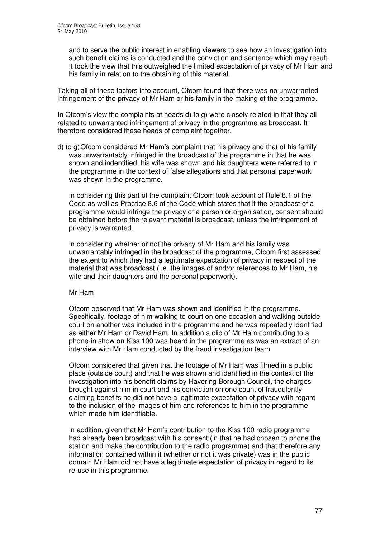and to serve the public interest in enabling viewers to see how an investigation into such benefit claims is conducted and the conviction and sentence which may result. It took the view that this outweighed the limited expectation of privacy of Mr Ham and his family in relation to the obtaining of this material.

Taking all of these factors into account, Ofcom found that there was no unwarranted infringement of the privacy of Mr Ham or his family in the making of the programme.

In Ofcom's view the complaints at heads d) to g) were closely related in that they all related to unwarranted infringement of privacy in the programme as broadcast. It therefore considered these heads of complaint together.

d) to g) Ofcom considered Mr Ham's complaint that his privacy and that of his family was unwarrantably infringed in the broadcast of the programme in that he was shown and indentified, his wife was shown and his daughters were referred to in the programme in the context of false allegations and that personal paperwork was shown in the programme.

In considering this part of the complaint Ofcom took account of Rule 8.1 of the Code as well as Practice 8.6 of the Code which states that if the broadcast of a programme would infringe the privacy of a person or organisation, consent should be obtained before the relevant material is broadcast, unless the infringement of privacy is warranted.

In considering whether or not the privacy of Mr Ham and his family was unwarrantably infringed in the broadcast of the programme, Ofcom first assessed the extent to which they had a legitimate expectation of privacy in respect of the material that was broadcast (i.e. the images of and/or references to Mr Ham, his wife and their daughters and the personal paperwork).

### Mr Ham

Ofcom observed that Mr Ham was shown and identified in the programme. Specifically, footage of him walking to court on one occasion and walking outside court on another was included in the programme and he was repeatedly identified as either Mr Ham or David Ham. In addition a clip of Mr Ham contributing to a phone-in show on Kiss 100 was heard in the programme as was an extract of an interview with Mr Ham conducted by the fraud investigation team

Ofcom considered that given that the footage of Mr Ham was filmed in a public place (outside court) and that he was shown and identified in the context of the investigation into his benefit claims by Havering Borough Council, the charges brought against him in court and his conviction on one count of fraudulently claiming benefits he did not have a legitimate expectation of privacy with regard to the inclusion of the images of him and references to him in the programme which made him identifiable.

In addition, given that Mr Ham's contribution to the Kiss 100 radio programme had already been broadcast with his consent (in that he had chosen to phone the station and make the contribution to the radio programme) and that therefore any information contained within it (whether or not it was private) was in the public domain Mr Ham did not have a legitimate expectation of privacy in regard to its re-use in this programme.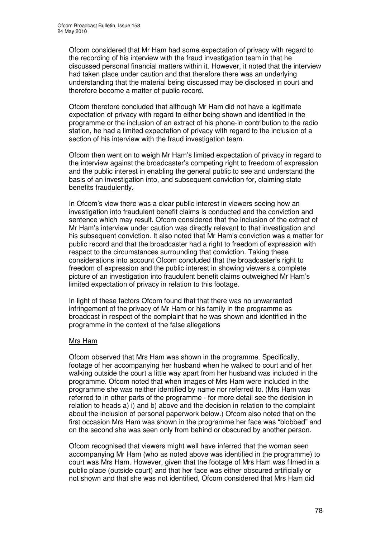Ofcom considered that Mr Ham had some expectation of privacy with regard to the recording of his interview with the fraud investigation team in that he discussed personal financial matters within it. However, it noted that the interview had taken place under caution and that therefore there was an underlying understanding that the material being discussed may be disclosed in court and therefore become a matter of public record.

Ofcom therefore concluded that although Mr Ham did not have a legitimate expectation of privacy with regard to either being shown and identified in the programme or the inclusion of an extract of his phone-in contribution to the radio station, he had a limited expectation of privacy with regard to the inclusion of a section of his interview with the fraud investigation team.

Ofcom then went on to weigh Mr Ham's limited expectation of privacy in regard to the interview against the broadcaster's competing right to freedom of expression and the public interest in enabling the general public to see and understand the basis of an investigation into, and subsequent conviction for, claiming state benefits fraudulently.

In Ofcom's view there was a clear public interest in viewers seeing how an investigation into fraudulent benefit claims is conducted and the conviction and sentence which may result. Ofcom considered that the inclusion of the extract of Mr Ham's interview under caution was directly relevant to that investigation and his subsequent conviction. It also noted that Mr Ham's conviction was a matter for public record and that the broadcaster had a right to freedom of expression with respect to the circumstances surrounding that conviction. Taking these considerations into account Ofcom concluded that the broadcaster's right to freedom of expression and the public interest in showing viewers a complete picture of an investigation into fraudulent benefit claims outweighed Mr Ham's limited expectation of privacy in relation to this footage.

In light of these factors Ofcom found that that there was no unwarranted infringement of the privacy of Mr Ham or his family in the programme as broadcast in respect of the complaint that he was shown and identified in the programme in the context of the false allegations

### Mrs Ham

Ofcom observed that Mrs Ham was shown in the programme. Specifically, footage of her accompanying her husband when he walked to court and of her walking outside the court a little way apart from her husband was included in the programme. Ofcom noted that when images of Mrs Ham were included in the programme she was neither identified by name nor referred to. (Mrs Ham was referred to in other parts of the programme - for more detail see the decision in relation to heads a) i) and b) above and the decision in relation to the complaint about the inclusion of personal paperwork below.) Ofcom also noted that on the first occasion Mrs Ham was shown in the programme her face was "blobbed" and on the second she was seen only from behind or obscured by another person.

Ofcom recognised that viewers might well have inferred that the woman seen accompanying Mr Ham (who as noted above was identified in the programme) to court was Mrs Ham. However, given that the footage of Mrs Ham was filmed in a public place (outside court) and that her face was either obscured artificially or not shown and that she was not identified, Ofcom considered that Mrs Ham did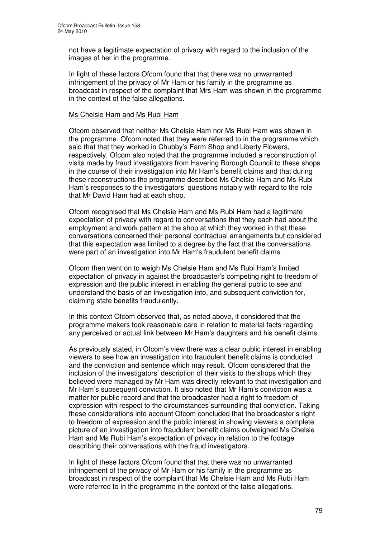not have a legitimate expectation of privacy with regard to the inclusion of the images of her in the programme.

In light of these factors Ofcom found that that there was no unwarranted infringement of the privacy of Mr Ham or his family in the programme as broadcast in respect of the complaint that Mrs Ham was shown in the programme in the context of the false allegations.

#### Ms Chelsie Ham and Ms Rubi Ham

Ofcom observed that neither Ms Chelsie Ham nor Ms Rubi Ham was shown in the programme. Ofcom noted that they were referred to in the programme which said that that they worked in Chubby's Farm Shop and Liberty Flowers, respectively. Ofcom also noted that the programme included a reconstruction of visits made by fraud investigators from Havering Borough Council to these shops in the course of their investigation into Mr Ham's benefit claims and that during these reconstructions the programme described Ms Chelsie Ham and Ms Rubi Ham's responses to the investigators' questions notably with regard to the role that Mr David Ham had at each shop.

Ofcom recognised that Ms Chelsie Ham and Ms Rubi Ham had a legitimate expectation of privacy with regard to conversations that they each had about the employment and work pattern at the shop at which they worked in that these conversations concerned their personal contractual arrangements but considered that this expectation was limited to a degree by the fact that the conversations were part of an investigation into Mr Ham's fraudulent benefit claims.

Ofcom then went on to weigh Ms Chelsie Ham and Ms Rubi Ham's limited expectation of privacy in against the broadcaster's competing right to freedom of expression and the public interest in enabling the general public to see and understand the basis of an investigation into, and subsequent conviction for, claiming state benefits fraudulently.

In this context Ofcom observed that, as noted above, it considered that the programme makers took reasonable care in relation to material facts regarding any perceived or actual link between Mr Ham's daughters and his benefit claims.

As previously stated, in Ofcom's view there was a clear public interest in enabling viewers to see how an investigation into fraudulent benefit claims is conducted and the conviction and sentence which may result. Ofcom considered that the inclusion of the investigators' description of their visits to the shops which they believed were managed by Mr Ham was directly relevant to that investigation and Mr Ham's subsequent conviction. It also noted that Mr Ham's conviction was a matter for public record and that the broadcaster had a right to freedom of expression with respect to the circumstances surrounding that conviction. Taking these considerations into account Ofcom concluded that the broadcaster's right to freedom of expression and the public interest in showing viewers a complete picture of an investigation into fraudulent benefit claims outweighed Ms Chelsie Ham and Ms Rubi Ham's expectation of privacy in relation to the footage describing their conversations with the fraud investigators.

In light of these factors Ofcom found that that there was no unwarranted infringement of the privacy of Mr Ham or his family in the programme as broadcast in respect of the complaint that Ms Chelsie Ham and Ms Rubi Ham were referred to in the programme in the context of the false allegations.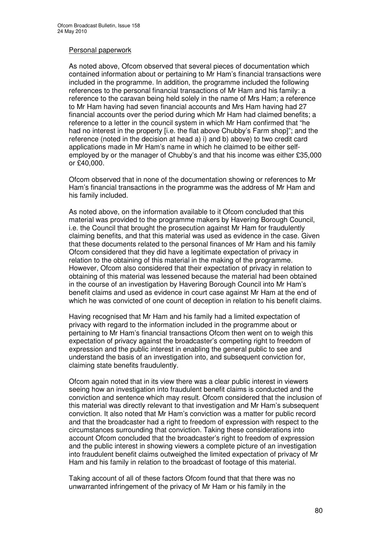### Personal paperwork

As noted above, Ofcom observed that several pieces of documentation which contained information about or pertaining to Mr Ham's financial transactions were included in the programme. In addition, the programme included the following references to the personal financial transactions of Mr Ham and his family: a reference to the caravan being held solely in the name of Mrs Ham; a reference to Mr Ham having had seven financial accounts and Mrs Ham having had 27 financial accounts over the period during which Mr Ham had claimed benefits; a reference to a letter in the council system in which Mr Ham confirmed that "he had no interest in the property [i.e. the flat above Chubby's Farm shop]"; and the reference (noted in the decision at head a) i) and b) above) to two credit card applications made in Mr Ham's name in which he claimed to be either selfemployed by or the manager of Chubby's and that his income was either £35,000 or £40,000.

Ofcom observed that in none of the documentation showing or references to Mr Ham's financial transactions in the programme was the address of Mr Ham and his family included.

As noted above, on the information available to it Ofcom concluded that this material was provided to the programme makers by Havering Borough Council, i.e. the Council that brought the prosecution against Mr Ham for fraudulently claiming benefits, and that this material was used as evidence in the case. Given that these documents related to the personal finances of Mr Ham and his family Ofcom considered that they did have a legitimate expectation of privacy in relation to the obtaining of this material in the making of the programme. However, Ofcom also considered that their expectation of privacy in relation to obtaining of this material was lessened because the material had been obtained in the course of an investigation by Havering Borough Council into Mr Ham's benefit claims and used as evidence in court case against Mr Ham at the end of which he was convicted of one count of deception in relation to his benefit claims.

Having recognised that Mr Ham and his family had a limited expectation of privacy with regard to the information included in the programme about or pertaining to Mr Ham's financial transactions Ofcom then went on to weigh this expectation of privacy against the broadcaster's competing right to freedom of expression and the public interest in enabling the general public to see and understand the basis of an investigation into, and subsequent conviction for, claiming state benefits fraudulently.

Ofcom again noted that in its view there was a clear public interest in viewers seeing how an investigation into fraudulent benefit claims is conducted and the conviction and sentence which may result. Ofcom considered that the inclusion of this material was directly relevant to that investigation and Mr Ham's subsequent conviction. It also noted that Mr Ham's conviction was a matter for public record and that the broadcaster had a right to freedom of expression with respect to the circumstances surrounding that conviction. Taking these considerations into account Ofcom concluded that the broadcaster's right to freedom of expression and the public interest in showing viewers a complete picture of an investigation into fraudulent benefit claims outweighed the limited expectation of privacy of Mr Ham and his family in relation to the broadcast of footage of this material.

Taking account of all of these factors Ofcom found that that there was no unwarranted infringement of the privacy of Mr Ham or his family in the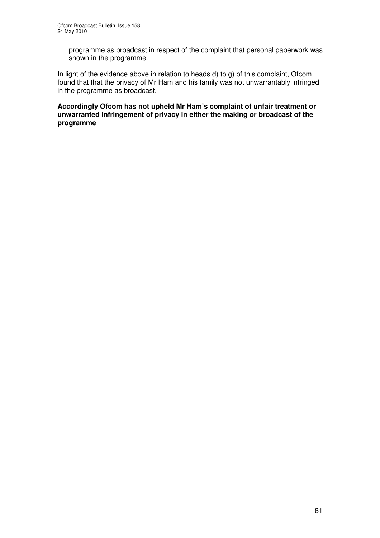programme as broadcast in respect of the complaint that personal paperwork was shown in the programme.

In light of the evidence above in relation to heads d) to g) of this complaint, Ofcom found that that the privacy of Mr Ham and his family was not unwarrantably infringed in the programme as broadcast.

**Accordingly Ofcom has not upheld Mr Ham's complaint of unfair treatment or unwarranted infringement of privacy in either the making or broadcast of the programme**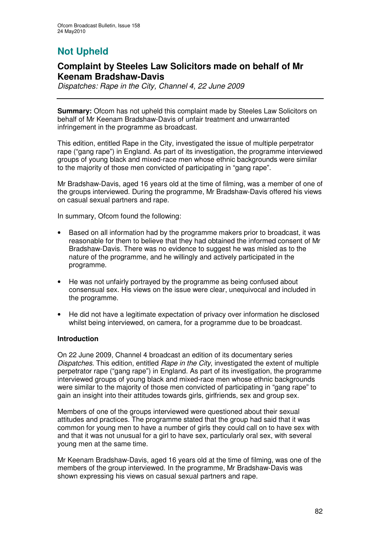# **Not Upheld**

### **Complaint by Steeles Law Solicitors made on behalf of Mr Keenam Bradshaw-Davis**

*Dispatches: Rape in the City, Channel 4, 22 June 2009*

**Summary:** Ofcom has not upheld this complaint made by Steeles Law Solicitors on behalf of Mr Keenam Bradshaw-Davis of unfair treatment and unwarranted infringement in the programme as broadcast.

This edition, entitled Rape in the City, investigated the issue of multiple perpetrator rape ("gang rape") in England. As part of its investigation, the programme interviewed groups of young black and mixed-race men whose ethnic backgrounds were similar to the majority of those men convicted of participating in "gang rape".

Mr Bradshaw-Davis, aged 16 years old at the time of filming, was a member of one of the groups interviewed. During the programme, Mr Bradshaw-Davis offered his views on casual sexual partners and rape.

In summary, Ofcom found the following:

- Based on all information had by the programme makers prior to broadcast, it was reasonable for them to believe that they had obtained the informed consent of Mr Bradshaw-Davis. There was no evidence to suggest he was misled as to the nature of the programme, and he willingly and actively participated in the programme.
- He was not unfairly portrayed by the programme as being confused about consensual sex. His views on the issue were clear, unequivocal and included in the programme.
- He did not have a legitimate expectation of privacy over information he disclosed whilst being interviewed, on camera, for a programme due to be broadcast.

### **Introduction**

On 22 June 2009, Channel 4 broadcast an edition of its documentary series *Dispatches*. This edition, entitled *Rape in the City*, investigated the extent of multiple perpetrator rape ("gang rape") in England. As part of its investigation, the programme interviewed groups of young black and mixed-race men whose ethnic backgrounds were similar to the majority of those men convicted of participating in "gang rape" to gain an insight into their attitudes towards girls, girlfriends, sex and group sex.

Members of one of the groups interviewed were questioned about their sexual attitudes and practices. The programme stated that the group had said that it was common for young men to have a number of girls they could call on to have sex with and that it was not unusual for a girl to have sex, particularly oral sex, with several young men at the same time.

Mr Keenam Bradshaw-Davis, aged 16 years old at the time of filming, was one of the members of the group interviewed. In the programme, Mr Bradshaw-Davis was shown expressing his views on casual sexual partners and rape.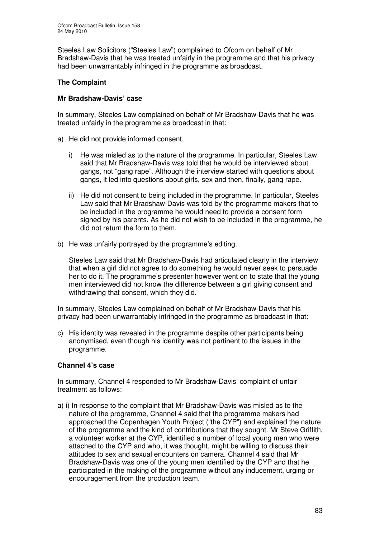Steeles Law Solicitors ("Steeles Law") complained to Ofcom on behalf of Mr Bradshaw-Davis that he was treated unfairly in the programme and that his privacy had been unwarrantably infringed in the programme as broadcast.

### **The Complaint**

### **Mr Bradshaw-Davis' case**

In summary, Steeles Law complained on behalf of Mr Bradshaw-Davis that he was treated unfairly in the programme as broadcast in that:

- a) He did not provide informed consent.
	- i) He was misled as to the nature of the programme. In particular, Steeles Law said that Mr Bradshaw-Davis was told that he would be interviewed about gangs, not "gang rape". Although the interview started with questions about gangs, it led into questions about girls, sex and then, finally, gang rape.
	- ii) He did not consent to being included in the programme. In particular, Steeles Law said that Mr Bradshaw-Davis was told by the programme makers that to be included in the programme he would need to provide a consent form signed by his parents. As he did not wish to be included in the programme, he did not return the form to them.
- b) He was unfairly portrayed by the programme's editing.

Steeles Law said that Mr Bradshaw-Davis had articulated clearly in the interview that when a girl did not agree to do something he would never seek to persuade her to do it. The programme's presenter however went on to state that the young men interviewed did not know the difference between a girl giving consent and withdrawing that consent, which they did.

In summary, Steeles Law complained on behalf of Mr Bradshaw-Davis that his privacy had been unwarrantably infringed in the programme as broadcast in that:

c) His identity was revealed in the programme despite other participants being anonymised, even though his identity was not pertinent to the issues in the programme.

### **Channel 4's case**

In summary, Channel 4 responded to Mr Bradshaw-Davis' complaint of unfair treatment as follows:

a) i) In response to the complaint that Mr Bradshaw-Davis was misled as to the nature of the programme, Channel 4 said that the programme makers had approached the Copenhagen Youth Project ("the CYP") and explained the nature of the programme and the kind of contributions that they sought. Mr Steve Griffith, a volunteer worker at the CYP, identified a number of local young men who were attached to the CYP and who, it was thought, might be willing to discuss their attitudes to sex and sexual encounters on camera. Channel 4 said that Mr Bradshaw-Davis was one of the young men identified by the CYP and that he participated in the making of the programme without any inducement, urging or encouragement from the production team.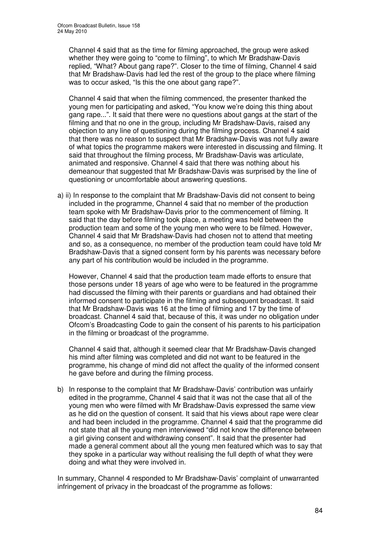Channel 4 said that as the time for filming approached, the group were asked whether they were going to "come to filming", to which Mr Bradshaw-Davis replied, "What? About gang rape?". Closer to the time of filming, Channel 4 said that Mr Bradshaw-Davis had led the rest of the group to the place where filming was to occur asked, "Is this the one about gang rape?".

Channel 4 said that when the filming commenced, the presenter thanked the young men for participating and asked, "You know we're doing this thing about gang rape...". It said that there were no questions about gangs at the start of the filming and that no one in the group, including Mr Bradshaw-Davis, raised any objection to any line of questioning during the filming process. Channel 4 said that there was no reason to suspect that Mr Bradshaw-Davis was not fully aware of what topics the programme makers were interested in discussing and filming. It said that throughout the filming process, Mr Bradshaw-Davis was articulate, animated and responsive. Channel 4 said that there was nothing about his demeanour that suggested that Mr Bradshaw-Davis was surprised by the line of questioning or uncomfortable about answering questions.

a) ii) In response to the complaint that Mr Bradshaw-Davis did not consent to being included in the programme, Channel 4 said that no member of the production team spoke with Mr Bradshaw-Davis prior to the commencement of filming. It said that the day before filming took place, a meeting was held between the production team and some of the young men who were to be filmed. However, Channel 4 said that Mr Bradshaw-Davis had chosen not to attend that meeting and so, as a consequence, no member of the production team could have told Mr Bradshaw-Davis that a signed consent form by his parents was necessary before any part of his contribution would be included in the programme.

However, Channel 4 said that the production team made efforts to ensure that those persons under 18 years of age who were to be featured in the programme had discussed the filming with their parents or guardians and had obtained their informed consent to participate in the filming and subsequent broadcast. It said that Mr Bradshaw-Davis was 16 at the time of filming and 17 by the time of broadcast. Channel 4 said that, because of this, it was under no obligation under Ofcom's Broadcasting Code to gain the consent of his parents to his participation in the filming or broadcast of the programme.

Channel 4 said that, although it seemed clear that Mr Bradshaw-Davis changed his mind after filming was completed and did not want to be featured in the programme, his change of mind did not affect the quality of the informed consent he gave before and during the filming process.

b) In response to the complaint that Mr Bradshaw-Davis' contribution was unfairly edited in the programme, Channel 4 said that it was not the case that all of the young men who were filmed with Mr Bradshaw-Davis expressed the same view as he did on the question of consent. It said that his views about rape were clear and had been included in the programme. Channel 4 said that the programme did not state that all the young men interviewed "did not know the difference between a girl giving consent and withdrawing consent". It said that the presenter had made a general comment about all the young men featured which was to say that they spoke in a particular way without realising the full depth of what they were doing and what they were involved in.

In summary, Channel 4 responded to Mr Bradshaw-Davis' complaint of unwarranted infringement of privacy in the broadcast of the programme as follows: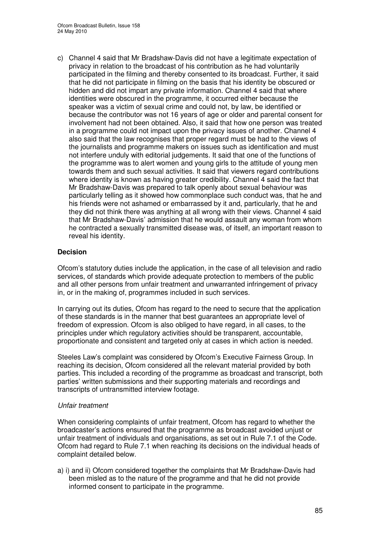c) Channel 4 said that Mr Bradshaw-Davis did not have a legitimate expectation of privacy in relation to the broadcast of his contribution as he had voluntarily participated in the filming and thereby consented to its broadcast. Further, it said that he did not participate in filming on the basis that his identity be obscured or hidden and did not impart any private information. Channel 4 said that where identities were obscured in the programme, it occurred either because the speaker was a victim of sexual crime and could not, by law, be identified or because the contributor was not 16 years of age or older and parental consent for involvement had not been obtained. Also, it said that how one person was treated in a programme could not impact upon the privacy issues of another. Channel 4 also said that the law recognises that proper regard must be had to the views of the journalists and programme makers on issues such as identification and must not interfere unduly with editorial judgements. It said that one of the functions of the programme was to alert women and young girls to the attitude of young men towards them and such sexual activities. It said that viewers regard contributions where identity is known as having greater credibility. Channel 4 said the fact that Mr Bradshaw-Davis was prepared to talk openly about sexual behaviour was particularly telling as it showed how commonplace such conduct was, that he and his friends were not ashamed or embarrassed by it and, particularly, that he and they did not think there was anything at all wrong with their views. Channel 4 said that Mr Bradshaw-Davis' admission that he would assault any woman from whom he contracted a sexually transmitted disease was, of itself, an important reason to reveal his identity.

### **Decision**

Ofcom's statutory duties include the application, in the case of all television and radio services, of standards which provide adequate protection to members of the public and all other persons from unfair treatment and unwarranted infringement of privacy in, or in the making of, programmes included in such services.

In carrying out its duties, Ofcom has regard to the need to secure that the application of these standards is in the manner that best guarantees an appropriate level of freedom of expression. Ofcom is also obliged to have regard, in all cases, to the principles under which regulatory activities should be transparent, accountable, proportionate and consistent and targeted only at cases in which action is needed.

Steeles Law's complaint was considered by Ofcom's Executive Fairness Group. In reaching its decision, Ofcom considered all the relevant material provided by both parties. This included a recording of the programme as broadcast and transcript, both parties' written submissions and their supporting materials and recordings and transcripts of untransmitted interview footage.

### *Unfair treatment*

When considering complaints of unfair treatment, Ofcom has regard to whether the broadcaster's actions ensured that the programme as broadcast avoided unjust or unfair treatment of individuals and organisations, as set out in Rule 7.1 of the Code. Ofcom had regard to Rule 7.1 when reaching its decisions on the individual heads of complaint detailed below.

a) i) and ii) Ofcom considered together the complaints that Mr Bradshaw-Davis had been misled as to the nature of the programme and that he did not provide informed consent to participate in the programme.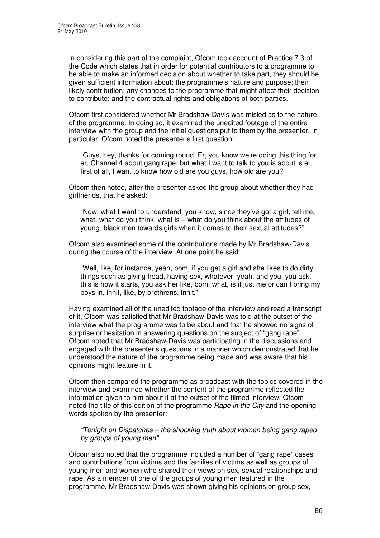In considering this part of the complaint, Ofcom took account of Practice 7.3 of the Code which states that in order for potential contributors to a programme to be able to make an informed decision about whether to take part, they should be given sufficient information about: the programme's nature and purpose; their likely contribution; any changes to the programme that might affect their decision to contribute; and the contractual rights and obligations of both parties.

Ofcom first considered whether Mr Bradshaw-Davis was misled as to the nature of the programme. In doing so, it examined the unedited footage of the entire interview with the group and the initial questions put to them by the presenter. In particular, Ofcom noted the presenter's first question:

"Guys, hey, thanks for coming round. Er, you know we're doing this thing for er, Channel 4 about gang rape, but what I want to talk to you is about is er, first of all, I want to know how old are you guys, how old are you?"

Ofcom then noted, after the presenter asked the group about whether they had girlfriends, that he asked:

"Now, what I want to understand, you know, since they've got a girl, tell me, what, what do you think, what is – what do you think about the attitudes of young, black men towards girls when it comes to their sexual attitudes?"

Ofcom also examined some of the contributions made by Mr Bradshaw-Davis during the course of the interview. At one point he said:

"Well, like, for instance, yeah, bom, if you get a girl and she likes to do dirty things such as giving head, having sex, whatever, yeah, and you, you ask, this is how it starts, you ask her like, bom, what, is it just me or can I bring my boys in, innit, like, by brethrens, innit."

Having examined all of the unedited footage of the interview and read a transcript of it, Ofcom was satisfied that Mr Bradshaw-Davis was told at the outset of the interview what the programme was to be about and that he showed no signs of surprise or hesitation in answering questions on the subject of "gang rape". Ofcom noted that Mr Bradshaw-Davis was participating in the discussions and engaged with the presenter's questions in a manner which demonstrated that he understood the nature of the programme being made and was aware that his opinions might feature in it.

Ofcom then compared the programme as broadcast with the topics covered in the interview and examined whether the content of the programme reflected the information given to him about it at the outset of the filmed interview. Ofcom noted the title of this edition of the programme *Rape in the City* and the opening words spoken by the presenter:

*"Tonight on Dispatches – the shocking truth about women being gang raped by groups of young men"*.

Ofcom also noted that the programme included a number of "gang rape" cases and contributions from victims and the families of victims as well as groups of young men and women who shared their views on sex, sexual relationships and rape. As a member of one of the groups of young men featured in the programme, Mr Bradshaw-Davis was shown giving his opinions on group sex,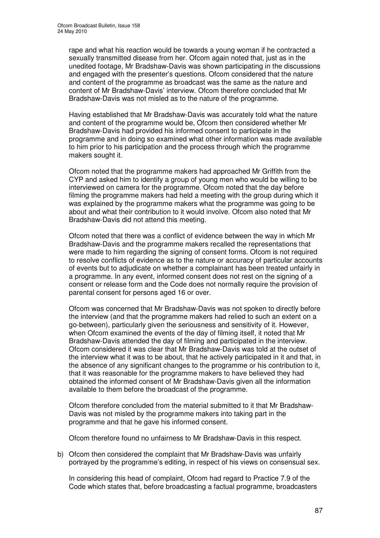rape and what his reaction would be towards a young woman if he contracted a sexually transmitted disease from her. Ofcom again noted that, just as in the unedited footage, Mr Bradshaw-Davis was shown participating in the discussions and engaged with the presenter's questions. Ofcom considered that the nature and content of the programme as broadcast was the same as the nature and content of Mr Bradshaw-Davis' interview. Ofcom therefore concluded that Mr Bradshaw-Davis was not misled as to the nature of the programme.

Having established that Mr Bradshaw-Davis was accurately told what the nature and content of the programme would be, Ofcom then considered whether Mr Bradshaw-Davis had provided his informed consent to participate in the programme and in doing so examined what other information was made available to him prior to his participation and the process through which the programme makers sought it.

Ofcom noted that the programme makers had approached Mr Griffith from the CYP and asked him to identify a group of young men who would be willing to be interviewed on camera for the programme. Ofcom noted that the day before filming the programme makers had held a meeting with the group during which it was explained by the programme makers what the programme was going to be about and what their contribution to it would involve. Ofcom also noted that Mr Bradshaw-Davis did not attend this meeting.

Ofcom noted that there was a conflict of evidence between the way in which Mr Bradshaw-Davis and the programme makers recalled the representations that were made to him regarding the signing of consent forms. Ofcom is not required to resolve conflicts of evidence as to the nature or accuracy of particular accounts of events but to adjudicate on whether a complainant has been treated unfairly in a programme. In any event, informed consent does not rest on the signing of a consent or release form and the Code does not normally require the provision of parental consent for persons aged 16 or over.

Ofcom was concerned that Mr Bradshaw-Davis was not spoken to directly before the interview (and that the programme makers had relied to such an extent on a go-between), particularly given the seriousness and sensitivity of it. However, when Ofcom examined the events of the day of filming itself, it noted that Mr Bradshaw-Davis attended the day of filming and participated in the interview. Ofcom considered it was clear that Mr Bradshaw-Davis was told at the outset of the interview what it was to be about, that he actively participated in it and that, in the absence of any significant changes to the programme or his contribution to it, that it was reasonable for the programme makers to have believed they had obtained the informed consent of Mr Bradshaw-Davis given all the information available to them before the broadcast of the programme.

Ofcom therefore concluded from the material submitted to it that Mr Bradshaw-Davis was not misled by the programme makers into taking part in the programme and that he gave his informed consent.

Ofcom therefore found no unfairness to Mr Bradshaw-Davis in this respect.

b) Ofcom then considered the complaint that Mr Bradshaw-Davis was unfairly portrayed by the programme's editing, in respect of his views on consensual sex.

In considering this head of complaint, Ofcom had regard to Practice 7.9 of the Code which states that, before broadcasting a factual programme, broadcasters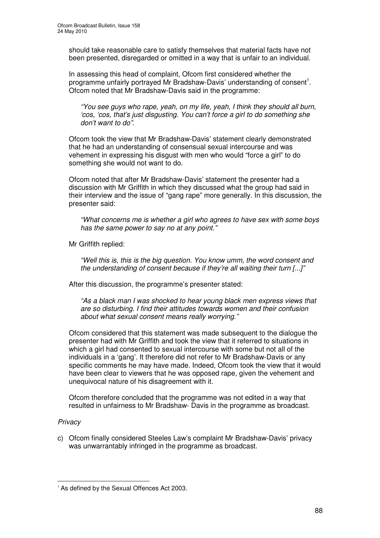should take reasonable care to satisfy themselves that material facts have not been presented, disregarded or omitted in a way that is unfair to an individual.

In assessing this head of complaint, Ofcom first considered whether the programme unfairly portrayed Mr Bradshaw-Davis' understanding of consent<sup>1</sup>. Ofcom noted that Mr Bradshaw-Davis said in the programme:

*"You see guys who rape, yeah, on my life, yeah, I think they should all burn, 'cos, 'cos, that's just disgusting. You can't force a girl to do something she don't want to do".*

Ofcom took the view that Mr Bradshaw-Davis' statement clearly demonstrated that he had an understanding of consensual sexual intercourse and was vehement in expressing his disgust with men who would "force a girl" to do something she would not want to do.

Ofcom noted that after Mr Bradshaw-Davis' statement the presenter had a discussion with Mr Griffith in which they discussed what the group had said in their interview and the issue of "gang rape" more generally. In this discussion, the presenter said:

*"What concerns me is whether a girl who agrees to have sex with some boys has the same power to say no at any point."*

Mr Griffith replied:

*"Well this is, this is the big question. You know umm, the word consent and the understanding of consent because if they're all waiting their turn [...]"*

After this discussion, the programme's presenter stated:

*"As a black man I was shocked to hear young black men express views that are so disturbing. I find their attitudes towards women and their confusion about what sexual consent means really worrying."*

Ofcom considered that this statement was made subsequent to the dialogue the presenter had with Mr Griffith and took the view that it referred to situations in which a girl had consented to sexual intercourse with some but not all of the individuals in a 'gang'. It therefore did not refer to Mr Bradshaw-Davis or any specific comments he may have made. Indeed, Ofcom took the view that it would have been clear to viewers that he was opposed rape, given the vehement and unequivocal nature of his disagreement with it.

Ofcom therefore concluded that the programme was not edited in a way that resulted in unfairness to Mr Bradshaw- Davis in the programme as broadcast.

### *Privacy*

c) Ofcom finally considered Steeles Law's complaint Mr Bradshaw-Davis' privacy was unwarrantably infringed in the programme as broadcast.

<sup>&</sup>lt;sup>1</sup> As defined by the Sexual Offences Act 2003.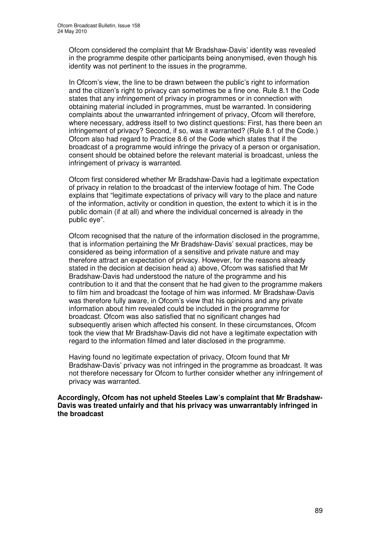Ofcom considered the complaint that Mr Bradshaw-Davis' identity was revealed in the programme despite other participants being anonymised, even though his identity was not pertinent to the issues in the programme.

In Ofcom's view, the line to be drawn between the public's right to information and the citizen's right to privacy can sometimes be a fine one. Rule 8.1 the Code states that any infringement of privacy in programmes or in connection with obtaining material included in programmes, must be warranted. In considering complaints about the unwarranted infringement of privacy, Ofcom will therefore, where necessary, address itself to two distinct questions: First, has there been an infringement of privacy? Second, if so, was it warranted? (Rule 8.1 of the Code.) Ofcom also had regard to Practice 8.6 of the Code which states that if the broadcast of a programme would infringe the privacy of a person or organisation, consent should be obtained before the relevant material is broadcast, unless the infringement of privacy is warranted.

Ofcom first considered whether Mr Bradshaw-Davis had a legitimate expectation of privacy in relation to the broadcast of the interview footage of him. The Code explains that "legitimate expectations of privacy will vary to the place and nature of the information, activity or condition in question, the extent to which it is in the public domain (if at all) and where the individual concerned is already in the public eye".

Ofcom recognised that the nature of the information disclosed in the programme, that is information pertaining the Mr Bradshaw-Davis' sexual practices, may be considered as being information of a sensitive and private nature and may therefore attract an expectation of privacy. However, for the reasons already stated in the decision at decision head a) above, Ofcom was satisfied that Mr Bradshaw-Davis had understood the nature of the programme and his contribution to it and that the consent that he had given to the programme makers to film him and broadcast the footage of him was informed. Mr Bradshaw-Davis was therefore fully aware, in Ofcom's view that his opinions and any private information about him revealed could be included in the programme for broadcast. Ofcom was also satisfied that no significant changes had subsequently arisen which affected his consent. In these circumstances, Ofcom took the view that Mr Bradshaw-Davis did not have a legitimate expectation with regard to the information filmed and later disclosed in the programme.

Having found no legitimate expectation of privacy, Ofcom found that Mr Bradshaw-Davis' privacy was not infringed in the programme as broadcast. It was not therefore necessary for Ofcom to further consider whether any infringement of privacy was warranted.

**Accordingly, Ofcom has not upheld Steeles Law's complaint that Mr Bradshaw-Davis was treated unfairly and that his privacy was unwarrantably infringed in the broadcast**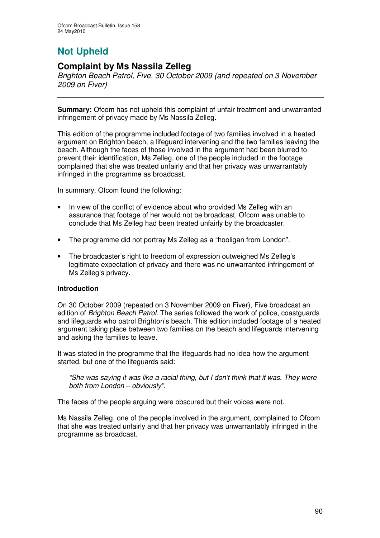# **Not Upheld**

### **Complaint by Ms Nassila Zelleg**

*Brighton Beach Patrol, Five, 30 October 2009 (and repeated on 3 November 2009 on Fiver)*

**Summary:** Ofcom has not upheld this complaint of unfair treatment and unwarranted infringement of privacy made by Ms Nassila Zelleg.

This edition of the programme included footage of two families involved in a heated argument on Brighton beach, a lifeguard intervening and the two families leaving the beach. Although the faces of those involved in the argument had been blurred to prevent their identification, Ms Zelleg, one of the people included in the footage complained that she was treated unfairly and that her privacy was unwarrantably infringed in the programme as broadcast.

In summary, Ofcom found the following:

- In view of the conflict of evidence about who provided Ms Zelleg with an assurance that footage of her would not be broadcast, Ofcom was unable to conclude that Ms Zelleg had been treated unfairly by the broadcaster.
- The programme did not portray Ms Zelleg as a "hooligan from London".
- The broadcaster's right to freedom of expression outweighed Ms Zelleg's legitimate expectation of privacy and there was no unwarranted infringement of Ms Zelleg's privacy.

### **Introduction**

On 30 October 2009 (repeated on 3 November 2009 on Fiver), Five broadcast an edition of *Brighton Beach Patrol*. The series followed the work of police, coastguards and lifeguards who patrol Brighton's beach. This edition included footage of a heated argument taking place between two families on the beach and lifeguards intervening and asking the families to leave.

It was stated in the programme that the lifeguards had no idea how the argument started, but one of the lifeguards said:

*"She was saying it was like a racial thing, but I don't think that it was. They were both from London – obviously"*.

The faces of the people arguing were obscured but their voices were not.

Ms Nassila Zelleg, one of the people involved in the argument, complained to Ofcom that she was treated unfairly and that her privacy was unwarrantably infringed in the programme as broadcast.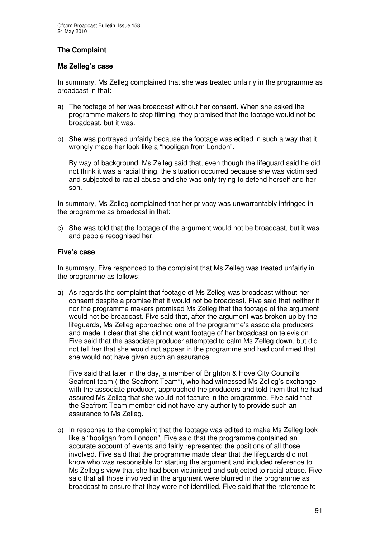### **The Complaint**

### **Ms Zelleg's case**

In summary, Ms Zelleg complained that she was treated unfairly in the programme as broadcast in that:

- a) The footage of her was broadcast without her consent. When she asked the programme makers to stop filming, they promised that the footage would not be broadcast, but it was.
- b) She was portrayed unfairly because the footage was edited in such a way that it wrongly made her look like a "hooligan from London".

By way of background, Ms Zelleg said that, even though the lifeguard said he did not think it was a racial thing, the situation occurred because she was victimised and subjected to racial abuse and she was only trying to defend herself and her son.

In summary, Ms Zelleg complained that her privacy was unwarrantably infringed in the programme as broadcast in that:

c) She was told that the footage of the argument would not be broadcast, but it was and people recognised her.

### **Five's case**

In summary, Five responded to the complaint that Ms Zelleg was treated unfairly in the programme as follows:

a) As regards the complaint that footage of Ms Zelleg was broadcast without her consent despite a promise that it would not be broadcast, Five said that neither it nor the programme makers promised Ms Zelleg that the footage of the argument would not be broadcast. Five said that, after the argument was broken up by the lifeguards, Ms Zelleg approached one of the programme's associate producers and made it clear that she did not want footage of her broadcast on television. Five said that the associate producer attempted to calm Ms Zelleg down, but did not tell her that she would not appear in the programme and had confirmed that she would not have given such an assurance.

Five said that later in the day, a member of Brighton & Hove City Council's Seafront team ("the Seafront Team"), who had witnessed Ms Zelleg's exchange with the associate producer, approached the producers and told them that he had assured Ms Zelleg that she would not feature in the programme. Five said that the Seafront Team member did not have any authority to provide such an assurance to Ms Zelleg.

b) In response to the complaint that the footage was edited to make Ms Zelleg look like a "hooligan from London", Five said that the programme contained an accurate account of events and fairly represented the positions of all those involved. Five said that the programme made clear that the lifeguards did not know who was responsible for starting the argument and included reference to Ms Zelleg's view that she had been victimised and subjected to racial abuse. Five said that all those involved in the argument were blurred in the programme as broadcast to ensure that they were not identified. Five said that the reference to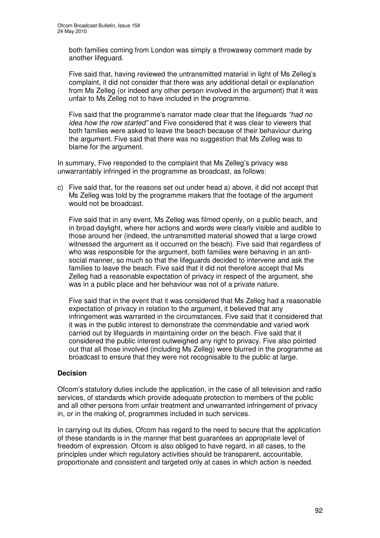both families coming from London was simply a throwaway comment made by another lifeguard.

Five said that, having reviewed the untransmitted material in light of Ms Zelleg's complaint, it did not consider that there was any additional detail or explanation from Ms Zelleg (or indeed any other person involved in the argument) that it was unfair to Ms Zelleg not to have included in the programme.

Five said that the programme's narrator made clear that the lifeguards *"had no idea how the row started"* and Five considered that it was clear to viewers that both families were asked to leave the beach because of their behaviour during the argument. Five said that there was no suggestion that Ms Zelleg was to blame for the argument.

In summary, Five responded to the complaint that Ms Zelleg's privacy was unwarrantably infringed in the programme as broadcast, as follows:

c) Five said that, for the reasons set out under head a) above, it did not accept that Ms Zelleg was told by the programme makers that the footage of the argument would not be broadcast.

Five said that in any event, Ms Zelleg was filmed openly, on a public beach, and in broad daylight, where her actions and words were clearly visible and audible to those around her (indeed, the untransmitted material showed that a large crowd witnessed the argument as it occurred on the beach). Five said that regardless of who was responsible for the argument, both families were behaving in an antisocial manner, so much so that the lifeguards decided to intervene and ask the families to leave the beach. Five said that it did not therefore accept that Ms Zelleg had a reasonable expectation of privacy in respect of the argument, she was in a public place and her behaviour was not of a private nature.

Five said that in the event that it was considered that Ms Zelleg had a reasonable expectation of privacy in relation to the argument, it believed that any infringement was warranted in the circumstances. Five said that it considered that it was in the public interest to demonstrate the commendable and varied work carried out by lifeguards in maintaining order on the beach. Five said that it considered the public interest outweighed any right to privacy. Five also pointed out that all those involved (including Ms Zelleg) were blurred in the programme as broadcast to ensure that they were not recognisable to the public at large.

### **Decision**

Ofcom's statutory duties include the application, in the case of all television and radio services, of standards which provide adequate protection to members of the public and all other persons from unfair treatment and unwarranted infringement of privacy in, or in the making of, programmes included in such services.

In carrying out its duties, Ofcom has regard to the need to secure that the application of these standards is in the manner that best guarantees an appropriate level of freedom of expression. Ofcom is also obliged to have regard, in all cases, to the principles under which regulatory activities should be transparent, accountable, proportionate and consistent and targeted only at cases in which action is needed.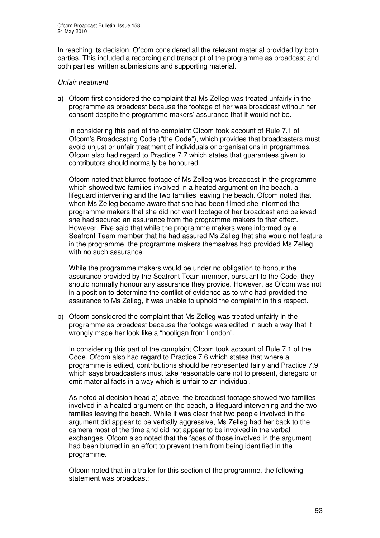In reaching its decision, Ofcom considered all the relevant material provided by both parties. This included a recording and transcript of the programme as broadcast and both parties' written submissions and supporting material.

### *Unfair treatment*

a) Ofcom first considered the complaint that Ms Zelleg was treated unfairly in the programme as broadcast because the footage of her was broadcast without her consent despite the programme makers' assurance that it would not be.

In considering this part of the complaint Ofcom took account of Rule 7.1 of Ofcom's Broadcasting Code ("the Code"), which provides that broadcasters must avoid unjust or unfair treatment of individuals or organisations in programmes. Ofcom also had regard to Practice 7.7 which states that guarantees given to contributors should normally be honoured.

Ofcom noted that blurred footage of Ms Zelleg was broadcast in the programme which showed two families involved in a heated argument on the beach, a lifeguard intervening and the two families leaving the beach. Ofcom noted that when Ms Zelleg became aware that she had been filmed she informed the programme makers that she did not want footage of her broadcast and believed she had secured an assurance from the programme makers to that effect. However, Five said that while the programme makers were informed by a Seafront Team member that he had assured Ms Zelleg that she would not feature in the programme, the programme makers themselves had provided Ms Zelleg with no such assurance.

While the programme makers would be under no obligation to honour the assurance provided by the Seafront Team member, pursuant to the Code, they should normally honour any assurance they provide. However, as Ofcom was not in a position to determine the conflict of evidence as to who had provided the assurance to Ms Zelleg, it was unable to uphold the complaint in this respect.

b) Ofcom considered the complaint that Ms Zelleg was treated unfairly in the programme as broadcast because the footage was edited in such a way that it wrongly made her look like a "hooligan from London".

In considering this part of the complaint Ofcom took account of Rule 7.1 of the Code. Ofcom also had regard to Practice 7.6 which states that where a programme is edited, contributions should be represented fairly and Practice 7.9 which says broadcasters must take reasonable care not to present, disregard or omit material facts in a way which is unfair to an individual.

As noted at decision head a) above, the broadcast footage showed two families involved in a heated argument on the beach, a lifeguard intervening and the two families leaving the beach. While it was clear that two people involved in the argument did appear to be verbally aggressive, Ms Zelleg had her back to the camera most of the time and did not appear to be involved in the verbal exchanges. Ofcom also noted that the faces of those involved in the argument had been blurred in an effort to prevent them from being identified in the programme.

Ofcom noted that in a trailer for this section of the programme, the following statement was broadcast: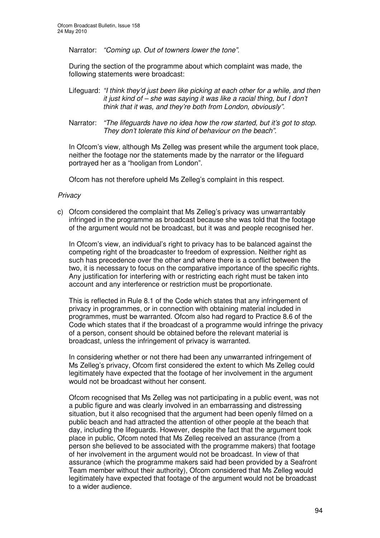Narrator: *"Coming up. Out of towners lower the tone".*

During the section of the programme about which complaint was made, the following statements were broadcast:

- Lifeguard: *"I think they'd just been like picking at each other for a while, and then it just kind of – she was saying it was like a racial thing, but I don't think that it was, and they're both from London, obviously".*
- Narrator: *"The lifeguards have no idea how the row started, but it's got to stop. They don't tolerate this kind of behaviour on the beach".*

In Ofcom's view, although Ms Zelleg was present while the argument took place, neither the footage nor the statements made by the narrator or the lifeguard portrayed her as a "hooligan from London".

Ofcom has not therefore upheld Ms Zelleg's complaint in this respect.

#### *Privacy*

c) Ofcom considered the complaint that Ms Zelleg's privacy was unwarrantably infringed in the programme as broadcast because she was told that the footage of the argument would not be broadcast, but it was and people recognised her.

In Ofcom's view, an individual's right to privacy has to be balanced against the competing right of the broadcaster to freedom of expression. Neither right as such has precedence over the other and where there is a conflict between the two, it is necessary to focus on the comparative importance of the specific rights. Any justification for interfering with or restricting each right must be taken into account and any interference or restriction must be proportionate.

This is reflected in Rule 8.1 of the Code which states that any infringement of privacy in programmes, or in connection with obtaining material included in programmes, must be warranted. Ofcom also had regard to Practice 8.6 of the Code which states that if the broadcast of a programme would infringe the privacy of a person, consent should be obtained before the relevant material is broadcast, unless the infringement of privacy is warranted.

In considering whether or not there had been any unwarranted infringement of Ms Zelleg's privacy, Ofcom first considered the extent to which Ms Zelleg could legitimately have expected that the footage of her involvement in the argument would not be broadcast without her consent.

Ofcom recognised that Ms Zelleg was not participating in a public event, was not a public figure and was clearly involved in an embarrassing and distressing situation, but it also recognised that the argument had been openly filmed on a public beach and had attracted the attention of other people at the beach that day, including the lifeguards. However, despite the fact that the argument took place in public, Ofcom noted that Ms Zelleg received an assurance (from a person she believed to be associated with the programme makers) that footage of her involvement in the argument would not be broadcast. In view of that assurance (which the programme makers said had been provided by a Seafront Team member without their authority), Ofcom considered that Ms Zelleg would legitimately have expected that footage of the argument would not be broadcast to a wider audience.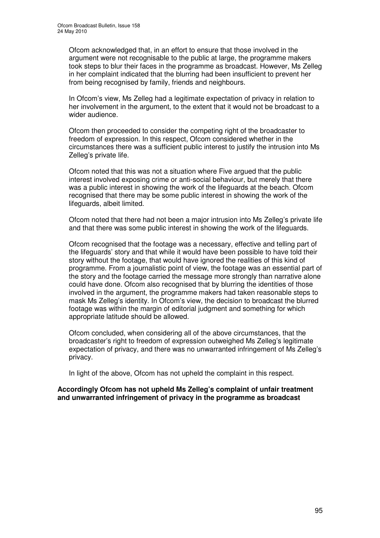Ofcom acknowledged that, in an effort to ensure that those involved in the argument were not recognisable to the public at large, the programme makers took steps to blur their faces in the programme as broadcast. However, Ms Zelleg in her complaint indicated that the blurring had been insufficient to prevent her from being recognised by family, friends and neighbours.

In Ofcom's view, Ms Zelleg had a legitimate expectation of privacy in relation to her involvement in the argument, to the extent that it would not be broadcast to a wider audience.

Ofcom then proceeded to consider the competing right of the broadcaster to freedom of expression. In this respect, Ofcom considered whether in the circumstances there was a sufficient public interest to justify the intrusion into Ms Zelleg's private life.

Ofcom noted that this was not a situation where Five argued that the public interest involved exposing crime or anti-social behaviour, but merely that there was a public interest in showing the work of the lifeguards at the beach. Ofcom recognised that there may be some public interest in showing the work of the lifeguards, albeit limited.

Ofcom noted that there had not been a major intrusion into Ms Zelleg's private life and that there was some public interest in showing the work of the lifeguards.

Ofcom recognised that the footage was a necessary, effective and telling part of the lifeguards' story and that while it would have been possible to have told their story without the footage, that would have ignored the realities of this kind of programme. From a journalistic point of view, the footage was an essential part of the story and the footage carried the message more strongly than narrative alone could have done. Ofcom also recognised that by blurring the identities of those involved in the argument, the programme makers had taken reasonable steps to mask Ms Zelleg's identity. In Ofcom's view, the decision to broadcast the blurred footage was within the margin of editorial judgment and something for which appropriate latitude should be allowed.

Ofcom concluded, when considering all of the above circumstances, that the broadcaster's right to freedom of expression outweighed Ms Zelleg's legitimate expectation of privacy, and there was no unwarranted infringement of Ms Zelleg's privacy.

In light of the above, Ofcom has not upheld the complaint in this respect.

**Accordingly Ofcom has not upheld Ms Zelleg's complaint of unfair treatment and unwarranted infringement of privacy in the programme as broadcast**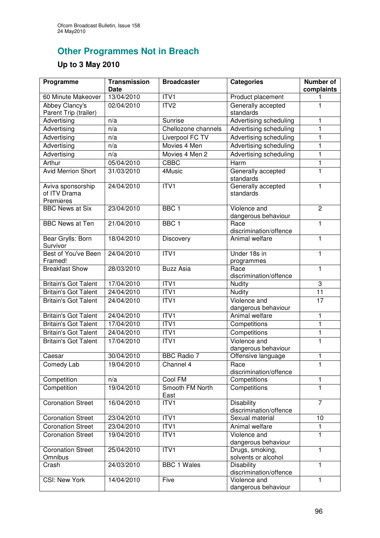## **Other Programmes Not in Breach**

### **Up to 3 May 2010**

| Programme                                      | <b>Transmission</b><br><b>Date</b> | <b>Broadcaster</b>      | <b>Categories</b>                           | <b>Number of</b><br>complaints |
|------------------------------------------------|------------------------------------|-------------------------|---------------------------------------------|--------------------------------|
| 60 Minute Makeover                             | 13/04/2010                         | ITV1                    | Product placement                           |                                |
| Abbey Clancy's<br>Parent Trip (trailer)        | 02/04/2010                         | ITV2                    | Generally accepted<br>standards             | $\mathbf{1}$                   |
| Advertising                                    | n/a                                | Sunrise                 | Advertising scheduling                      | 1                              |
| Advertising                                    | n/a                                | Chellozone channels     | Advertising scheduling                      | 1                              |
| Advertising                                    | n/a                                | Liverpool FC TV         | <b>Advertising scheduling</b>               | 1                              |
| Advertising                                    | n/a                                | Movies 4 Men            | Advertising scheduling                      | 1                              |
| Advertising                                    | n/a                                | Movies 4 Men 2          | Advertising scheduling                      | $\mathbf{1}$                   |
| Arthur                                         | 05/04/2010                         | <b>CBBC</b>             | $\overline{Harm}$                           | $\overline{1}$                 |
| <b>Avid Merrion Short</b>                      | 31/03/2010                         | 4Music                  | Generally accepted<br>standards             | $\mathbf{1}$                   |
| Aviva sponsorship<br>of ITV Drama<br>Premieres | 24/04/2010                         | ITVI                    | Generally accepted<br>standards             | $\mathbf{1}$                   |
| <b>BBC News at Six</b>                         | 23/04/2010                         | $\overline{BBC}$ 1      | Violence and<br>dangerous behaviour         | $\overline{2}$                 |
| <b>BBC News at Ten</b>                         | 21/04/2010                         | BBC <sub>1</sub>        | Race<br>discrimination/offence              | $\mathbf{1}$                   |
| Bear Grylls: Born<br>Survivor                  | 18/04/2010                         | Discovery               | Animal welfare                              | 1                              |
| Best of You've Been<br>Framed!                 | 24/04/2010                         | ITVI                    | Under 18s in<br>programmes                  | 1                              |
| <b>Breakfast Show</b>                          | 28/03/2010                         | <b>Buzz Asia</b>        | Race<br>discrimination/offence              | $\mathbf{1}$                   |
| <b>Britain's Got Talent</b>                    | 17/04/2010                         | ITV1                    | Nudity                                      | 3                              |
| <b>Britain's Got Talent</b>                    | 24/04/2010                         | ITVI                    | Nudity                                      | 11                             |
| <b>Britain's Got Talent</b>                    | 24/04/2010                         | ITVI                    | Violence and<br>dangerous behaviour         | $\overline{17}$                |
| <b>Britain's Got Talent</b>                    | 24/04/2010                         | ITVI                    | Animal welfare                              | $\mathbf{1}$                   |
| <b>Britain's Got Talent</b>                    | 17/04/2010                         | ITVI                    | Competitions                                | $\mathbf{1}$                   |
| <b>Britain's Got Talent</b>                    | 24/04/2010                         | ITV1                    | Competitions                                | $\mathbf{1}$                   |
| <b>Britain's Got Talent</b>                    | 17/04/2010                         | ITVI                    | Violence and<br>dangerous behaviour         | $\mathbf 1$                    |
| Caesar                                         | 30/04/2010                         | <b>BBC</b> Radio 7      | Offensive language                          | $\mathbf{1}$                   |
| Comedy Lab                                     | 19/04/2010                         | Channel 4               | Race<br>discrimination/offence              | $\mathbf{1}$                   |
| Competition                                    | n/a                                | Cool FM                 | Competitions                                | $\mathbf{1}$                   |
| Competition                                    | 19/04/2010                         | Smooth FM North<br>East | Competitions                                | $\mathbf{1}$                   |
| <b>Coronation Street</b>                       | 16/04/2010                         | ITV1                    | <b>Disability</b><br>discrimination/offence | $\overline{7}$                 |
| <b>Coronation Street</b>                       | 23/04/2010                         | ITV1                    | Sexual material                             | 10                             |
| Coronation Street                              | 23/04/2010                         | ITV1                    | Animal welfare                              | 1                              |
| <b>Coronation Street</b>                       | 19/04/2010                         | ITVI                    | Violence and<br>dangerous behaviour         | 1                              |
| <b>Coronation Street</b><br>Omnibus            | 25/04/2010                         | ITVI                    | Drugs, smoking,<br>solvents or alcohol      | $\mathbf{1}$                   |
| Crash                                          | 24/03/2010                         | <b>BBC 1 Wales</b>      | <b>Disability</b><br>discrimination/offence | 1                              |
| <b>CSI: New York</b>                           | 14/04/2010                         | Five                    | Violence and<br>dangerous behaviour         | 1                              |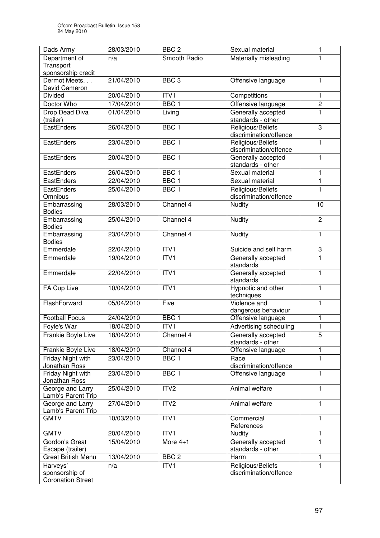| Dads Army                                              | 28/03/2010 | BBC <sub>2</sub> | Sexual material                             | 1              |
|--------------------------------------------------------|------------|------------------|---------------------------------------------|----------------|
| Department of                                          | n/a        | Smooth Radio     | Materially misleading                       | 1              |
| Transport                                              |            |                  |                                             |                |
| sponsorship credit<br>Dermot Meets                     | 21/04/2010 | BBC <sub>3</sub> | Offensive language                          | $\mathbf{1}$   |
| David Cameron                                          |            |                  |                                             |                |
| <b>Divided</b>                                         | 20/04/2010 | ITV1             | Competitions                                | 1              |
| Doctor Who                                             | 17/04/2010 | BBC <sub>1</sub> | Offensive language                          | $\overline{2}$ |
| <b>Drop Dead Diva</b>                                  | 01/04/2010 | Living           | Generally accepted                          | 1              |
| (trailer)                                              |            |                  | standards - other                           |                |
| EastEnders                                             | 26/04/2010 | BBC <sub>1</sub> | Religious/Beliefs<br>discrimination/offence | 3              |
| EastEnders                                             | 23/04/2010 | BBC <sub>1</sub> | Religious/Beliefs<br>discrimination/offence | $\mathbf{1}$   |
| EastEnders                                             | 20/04/2010 | BBC <sub>1</sub> | Generally accepted<br>standards - other     | $\mathbf{1}$   |
| EastEnders                                             | 26/04/2010 | BBC <sub>1</sub> | Sexual material                             | 1              |
| EastEnders                                             | 22/04/2010 | BBC <sub>1</sub> | Sexual material                             | $\mathbf{1}$   |
| EastEnders                                             | 25/04/2010 | BBC <sub>1</sub> | Religious/Beliefs                           | $\mathbf{1}$   |
| Omnibus                                                |            |                  | discrimination/offence                      |                |
| Embarrassing<br><b>Bodies</b>                          | 28/03/2010 | Channel 4        | Nudity                                      | 10             |
| Embarrassing<br><b>Bodies</b>                          | 25/04/2010 | Channel 4        | Nudity                                      | $\overline{2}$ |
| Embarrassing<br><b>Bodies</b>                          | 23/04/2010 | Channel 4        | Nudity                                      | $\overline{1}$ |
| Emmerdale                                              | 22/04/2010 | ITVI             | Suicide and self harm                       | 3              |
| Emmerdale                                              | 19/04/2010 | ITVI             | Generally accepted<br>standards             | $\mathbf{1}$   |
| Emmerdale                                              | 22/04/2010 | ITVI             | Generally accepted<br>standards             | $\mathbf{1}$   |
| FA Cup Live                                            | 10/04/2010 | ITVI             | Hypnotic and other<br>techniques            | $\mathbf{1}$   |
| FlashForward                                           | 05/04/2010 | Five             | Violence and<br>dangerous behaviour         | $\mathbf{1}$   |
| <b>Football Focus</b>                                  | 24/04/2010 | BBC <sub>1</sub> | Offensive language                          | 1              |
| Foyle's War                                            | 18/04/2010 | $\overline{IV1}$ | Advertising scheduling                      | $\mathbf{1}$   |
| Frankie Boyle Live                                     | 18/04/2010 | Channel 4        | Generally accepted<br>standards - other     | 5              |
| Frankie Boyle Live                                     | 18/04/2010 | Channel 4        | Offensive language                          | $\mathbf{1}$   |
| Friday Night with<br>Jonathan Ross                     | 23/04/2010 | BBC <sub>1</sub> | Race<br>discrimination/offence              | 1              |
| Friday Night with<br>Jonathan Ross                     | 23/04/2010 | BBC <sub>1</sub> | Offensive language                          | 1              |
| George and Larry<br>Lamb's Parent Trip                 | 25/04/2010 | ITV2             | Animal welfare                              | $\mathbf{1}$   |
| George and Larry<br>Lamb's Parent Trip                 | 27/04/2010 | ITV <sub>2</sub> | Animal welfare                              | $\mathbf{1}$   |
| <b>GMTV</b>                                            | 10/03/2010 | ITVI             | Commercial<br>References                    | $\overline{1}$ |
| <b>GMTV</b>                                            | 20/04/2010 | ITV <sub>1</sub> | Nudity                                      | 1              |
| Gordon's Great<br>Escape (trailer)                     | 15/04/2010 | More $4+1$       | Generally accepted<br>standards - other     | $\mathbf{1}$   |
| <b>Great British Menu</b>                              | 13/04/2010 | BBC <sub>2</sub> | Harm                                        | 1              |
| Harveys'<br>sponsorship of<br><b>Coronation Street</b> | n/a        | ITV1             | Religious/Beliefs<br>discrimination/offence | $\mathbf{1}$   |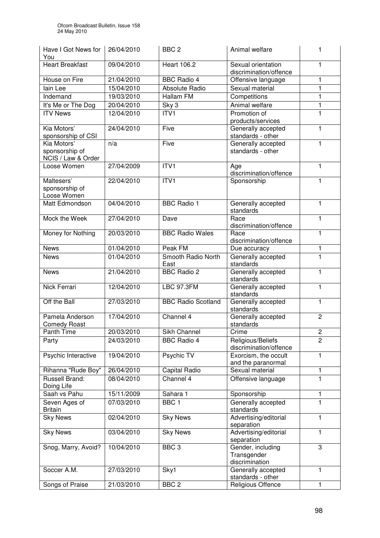| Have I Got News for<br>You             | 26/04/2010 | BBC <sub>2</sub>           | Animal welfare                               | 1              |
|----------------------------------------|------------|----------------------------|----------------------------------------------|----------------|
| <b>Heart Breakfast</b>                 | 09/04/2010 | <b>Heart 106.2</b>         | Sexual orientation<br>discrimination/offence | 1.             |
| House on Fire                          | 21/04/2010 | <b>BBC Radio 4</b>         | Offensive language                           | 1              |
| lain Lee                               | 15/04/2010 | <b>Absolute Radio</b>      | Sexual material                              | 1              |
| Indemand                               | 19/03/2010 | Hallam FM                  | Competitions                                 | 1              |
| It's Me or The Dog                     | 20/04/2010 | Sky 3                      | Animal welfare                               | 1              |
| <b>ITV News</b>                        | 12/04/2010 | ITV <sub>1</sub>           | Promotion of                                 | 1              |
|                                        |            |                            | products/services                            |                |
| Kia Motors'<br>sponsorship of CSI      | 24/04/2010 | Five                       | Generally accepted<br>standards - other      | 1              |
| Kia Motors'                            | n/a        | Five                       | Generally accepted                           | 1              |
| sponsorship of<br>NCIS / Law & Order   |            |                            | standards - other                            |                |
| Loose Women                            | 27/04/2009 | ITVI                       | Age<br>discrimination/offence                | $\mathbf{1}$   |
| Maltesers'<br>sponsorship of           | 22/04/2010 | ITV1                       | Sponsorship                                  | 1              |
| Loose Women<br>Matt Edmondson          | 04/04/2010 | <b>BBC Radio 1</b>         | Generally accepted                           | 1              |
|                                        |            |                            | standards                                    |                |
| Mock the Week                          | 27/04/2010 | Dave                       | Race<br>discrimination/offence               | 1              |
| Money for Nothing                      | 20/03/2010 | <b>BBC Radio Wales</b>     | Race<br>discrimination/offence               | 1              |
| <b>News</b>                            | 01/04/2010 | Peak FM                    | Due accuracy                                 | 1              |
| <b>News</b>                            | 01/04/2010 | Smooth Radio North<br>East | Generally accepted<br>standards              | $\mathbf{1}$   |
| <b>News</b>                            | 21/04/2010 | <b>BBC Radio 2</b>         | Generally accepted<br>standards              | 1              |
| Nick Ferrari                           | 12/04/2010 | <b>LBC 97.3FM</b>          | Generally accepted<br>standards              | $\mathbf{1}$   |
| Off the Ball                           | 27/03/2010 | <b>BBC Radio Scotland</b>  | Generally accepted<br>standards              | 1              |
| Pamela Anderson<br><b>Comedy Roast</b> | 17/04/2010 | Channel 4                  | Generally accepted<br>standards              | $\overline{2}$ |
| Panth Time                             | 20/03/2010 | Sikh Channel               | $\overline{C}$ rime                          | $\overline{2}$ |
| Party                                  | 24/03/2010 | <b>BBC Radio 4</b>         | Religious/Beliefs                            | $\overline{2}$ |
|                                        |            |                            | discrimination/offence                       |                |
| Psychic Interactive                    | 19/04/2010 | Psychic TV                 | Exorcism, the occult                         | 1              |
|                                        |            |                            | and the paranormal                           |                |
| Rihanna "Rude Boy"                     | 26/04/2010 | Capital Radio              | Sexual material                              | 1              |
| Russell Brand:<br>Doing Life           | 08/04/2010 | Channel 4                  | Offensive language                           | 1              |
| Saah vs Pahu                           | 15/11/2009 | Sahara 1                   | Sponsorship                                  | 1              |
| Seven Ages of                          | 07/03/2010 | BBC <sub>1</sub>           | Generally accepted                           | $\mathbf{1}$   |
| <b>Britain</b>                         |            |                            | standards                                    |                |
| <b>Sky News</b>                        | 02/04/2010 | <b>Sky News</b>            | Advertising/editorial<br>separation          | 1              |
| <b>Sky News</b>                        | 03/04/2010 | <b>Sky News</b>            | Advertising/editorial<br>separation          | 1              |
| Snog, Marry, Avoid?                    | 10/04/2010 | BBC <sub>3</sub>           | Gender, including                            | 3              |
|                                        |            |                            | Transgender<br>discrimination                |                |
| Soccer A.M.                            | 27/03/2010 | Sky1                       | Generally accepted                           | 1              |
|                                        |            |                            | standards - other                            |                |
| Songs of Praise                        | 21/03/2010 | BBC <sub>2</sub>           | Religious Offence                            | 1              |